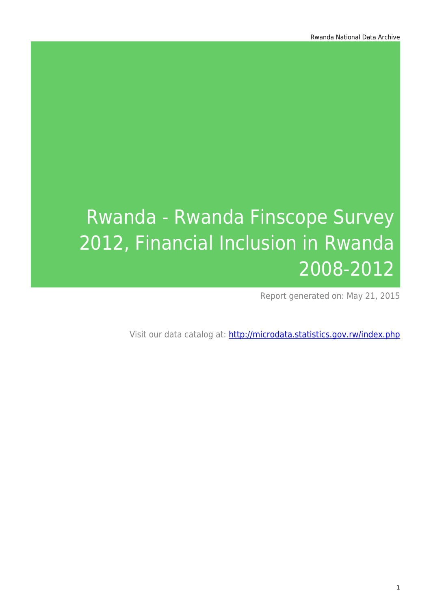# Rwanda - Rwanda Finscope Survey 2012, Financial Inclusion in Rwanda 2008-2012

Report generated on: May 21, 2015

Visit our data catalog at: http://microdata.statistics.gov.rw/index.php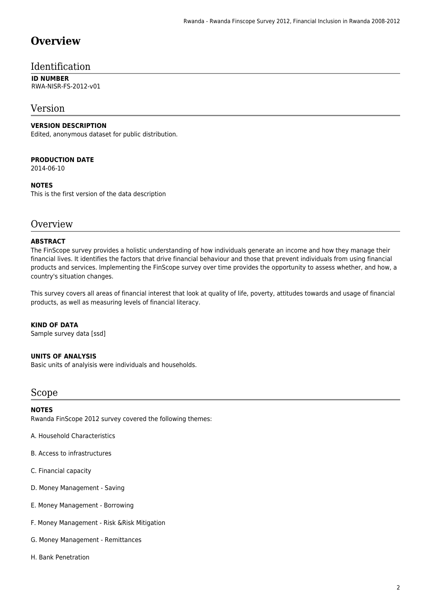### **Overview**

### Identification

#### **ID NUMBER** RWA-NISR-FS-2012-v01

### Version

### **VERSION DESCRIPTION**

Edited, anonymous dataset for public distribution.

### **PRODUCTION DATE**

2014-06-10

### **NOTES**

This is the first version of the data description

### **Overview**

### **ABSTRACT**

The FinScope survey provides a holistic understanding of how individuals generate an income and how they manage their financial lives. It identifies the factors that drive financial behaviour and those that prevent individuals from using financial products and services. Implementing the FinScope survey over time provides the opportunity to assess whether, and how, a country's situation changes.

This survey covers all areas of financial interest that look at quality of life, poverty, attitudes towards and usage of financial products, as well as measuring levels of financial literacy.

#### **KIND OF DATA**

Sample survey data [ssd]

#### **UNITS OF ANALYSIS**

Basic units of analyisis were individuals and households.

### Scope

#### **NOTES**

Rwanda FinScope 2012 survey covered the following themes:

A. Household Characteristics

- B. Access to infrastructures
- C. Financial capacity
- D. Money Management Saving
- E. Money Management Borrowing
- F. Money Management Risk &Risk Mitigation
- G. Money Management Remittances
- H. Bank Penetration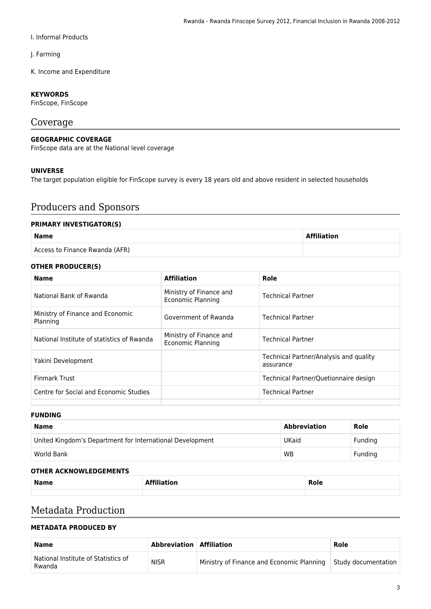### I. Informal Products

J. Farming

K. Income and Expenditure

### **KEYWORDS**

FinScope, FinScope

### Coverage

### **GEOGRAPHIC COVERAGE**

FinScope data are at the National level coverage

### **UNIVERSE**

The target population eligible for FinScope survey is every 18 years old and above resident in selected households

### Producers and Sponsors

#### **PRIMARY INVESTIGATOR(S)**

### **Name Affiliation** Access to Finance Rwanda (AFR)

#### **OTHER PRODUCER(S)**

| <b>Name</b>                                  | <b>Affiliation</b>                           | Role                                                |
|----------------------------------------------|----------------------------------------------|-----------------------------------------------------|
| National Bank of Rwanda                      | Ministry of Finance and<br>Economic Planning | <b>Technical Partner</b>                            |
| Ministry of Finance and Economic<br>Planning | Government of Rwanda                         | <b>Technical Partner</b>                            |
| National Institute of statistics of Rwanda   | Ministry of Finance and<br>Economic Planning | <b>Technical Partner</b>                            |
| Yakini Development                           |                                              | Technical Partner/Analysis and quality<br>assurance |
| <b>Finmark Trust</b>                         |                                              | Technical Partner/Quetionnaire design               |
| Centre for Social and Economic Studies       |                                              | <b>Technical Partner</b>                            |
|                                              |                                              |                                                     |

#### **FUNDING**

| <b>Name</b>                                               | <b>Abbreviation</b> | Role    |
|-----------------------------------------------------------|---------------------|---------|
| United Kingdom's Department for International Development | <b>UKaid</b>        | Funding |
| World Bank                                                | <b>WB</b>           | Funding |

#### **OTHER ACKNOWLEDGEMENTS**

| <b>Name</b> | the contract of the contract of the contract of the contract of the contract of the contract of the contract of | -<br>D,<br><b>NOIG</b> |
|-------------|-----------------------------------------------------------------------------------------------------------------|------------------------|
|             |                                                                                                                 |                        |

### Metadata Production

### **METADATA PRODUCED BY**

| <b>Name</b>                                   | Abbreviation   Affiliation |                                                                 | Role |
|-----------------------------------------------|----------------------------|-----------------------------------------------------------------|------|
| National Institute of Statistics of<br>Rwanda | <b>NISR</b>                | Ministry of Finance and Economic Planning   Study documentation |      |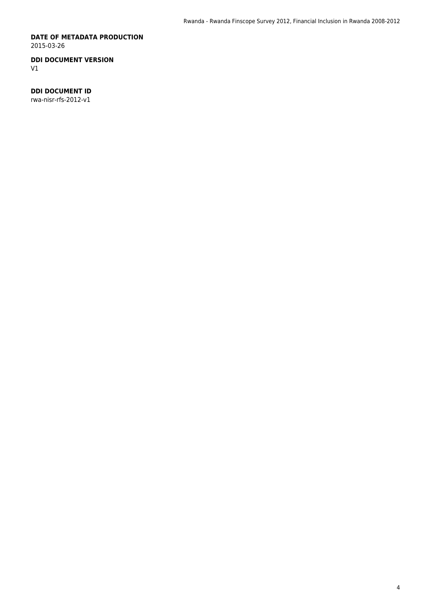#### **DATE OF METADATA PRODUCTION** 2015-03-26

### **DDI DOCUMENT VERSION**

V1

### **DDI DOCUMENT ID**

rwa-nisr-rfs-2012-v1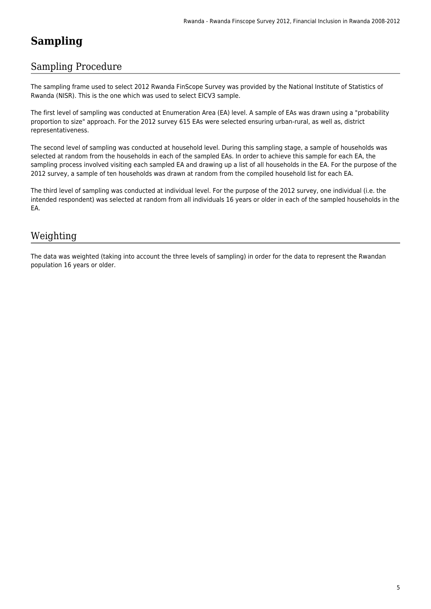## **Sampling**

### Sampling Procedure

The sampling frame used to select 2012 Rwanda FinScope Survey was provided by the National Institute of Statistics of Rwanda (NISR). This is the one which was used to select EICV3 sample.

The first level of sampling was conducted at Enumeration Area (EA) level. A sample of EAs was drawn using a "probability proportion to size" approach. For the 2012 survey 615 EAs were selected ensuring urban-rural, as well as, district representativeness.

The second level of sampling was conducted at household level. During this sampling stage, a sample of households was selected at random from the households in each of the sampled EAs. In order to achieve this sample for each EA, the sampling process involved visiting each sampled EA and drawing up a list of all households in the EA. For the purpose of the 2012 survey, a sample of ten households was drawn at random from the compiled household list for each EA.

The third level of sampling was conducted at individual level. For the purpose of the 2012 survey, one individual (i.e. the intended respondent) was selected at random from all individuals 16 years or older in each of the sampled households in the EA.

### Weighting

The data was weighted (taking into account the three levels of sampling) in order for the data to represent the Rwandan population 16 years or older.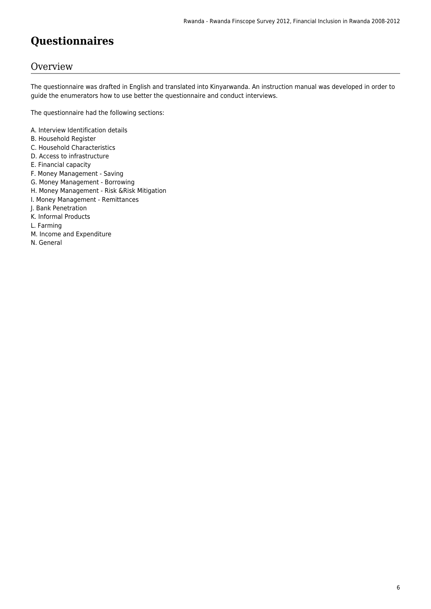## **Questionnaires**

### **Overview**

The questionnaire was drafted in English and translated into Kinyarwanda. An instruction manual was developed in order to guide the enumerators how to use better the questionnaire and conduct interviews.

The questionnaire had the following sections:

- A. Interview Identification details
- B. Household Register
- C. Household Characteristics
- D. Access to infrastructure
- E. Financial capacity
- F. Money Management Saving
- G. Money Management Borrowing
- H. Money Management Risk &Risk Mitigation
- I. Money Management Remittances
- J. Bank Penetration
- K. Informal Products
- L. Farming
- M. Income and Expenditure
- N. General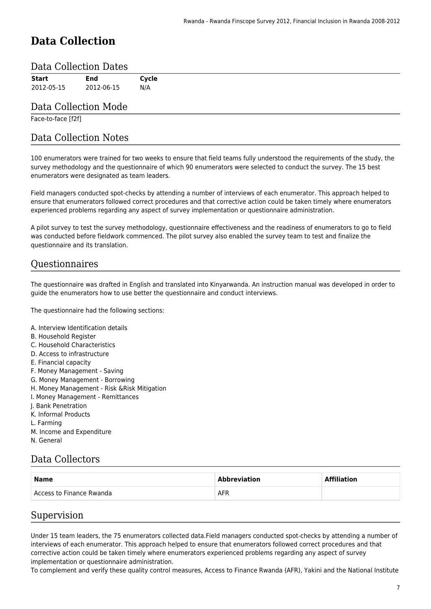## **Data Collection**

### Data Collection Dates

| End        | Cycle |
|------------|-------|
| 2012-06-15 | N/A   |
|            |       |

### Data Collection Mode

Face-to-face [f2f]

### Data Collection Notes

100 enumerators were trained for two weeks to ensure that field teams fully understood the requirements of the study, the survey methodology and the questionnaire of which 90 enumerators were selected to conduct the survey. The 15 best enumerators were designated as team leaders.

Field managers conducted spot-checks by attending a number of interviews of each enumerator. This approach helped to ensure that enumerators followed correct procedures and that corrective action could be taken timely where enumerators experienced problems regarding any aspect of survey implementation or questionnaire administration.

A pilot survey to test the survey methodology, questionnaire effectiveness and the readiness of enumerators to go to field was conducted before fieldwork commenced. The pilot survey also enabled the survey team to test and finalize the questionnaire and its translation.

### Questionnaires

The questionnaire was drafted in English and translated into Kinyarwanda. An instruction manual was developed in order to guide the enumerators how to use better the questionnaire and conduct interviews.

The questionnaire had the following sections:

- A. Interview Identification details
- B. Household Register
- C. Household Characteristics
- D. Access to infrastructure
- E. Financial capacity
- F. Money Management Saving
- G. Money Management Borrowing
- H. Money Management Risk &Risk Mitigation
- I. Money Management Remittances
- J. Bank Penetration
- K. Informal Products
- L. Farming
- M. Income and Expenditure
- N. General

### Data Collectors

| <b>Name</b>              | <b>Abbreviation</b> | <b>Affiliation</b> |  |
|--------------------------|---------------------|--------------------|--|
| Access to Finance Rwanda | <b>AFR</b>          |                    |  |

### Supervision

Under 15 team leaders, the 75 enumerators collected data.Field managers conducted spot-checks by attending a number of interviews of each enumerator. This approach helped to ensure that enumerators followed correct procedures and that corrective action could be taken timely where enumerators experienced problems regarding any aspect of survey implementation or questionnaire administration.

To complement and verify these quality control measures, Access to Finance Rwanda (AFR), Yakini and the National Institute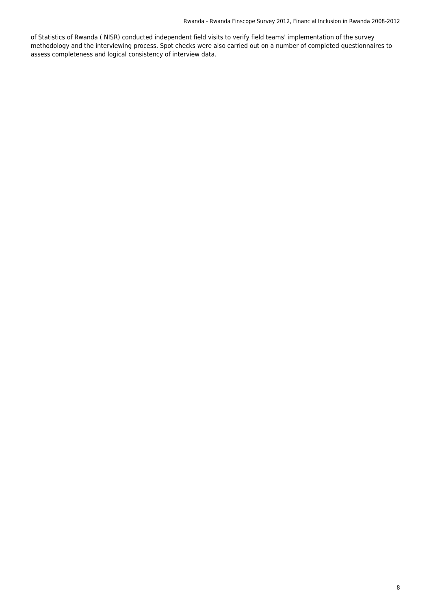of Statistics of Rwanda ( NISR) conducted independent field visits to verify field teams' implementation of the survey methodology and the interviewing process. Spot checks were also carried out on a number of completed questionnaires to assess completeness and logical consistency of interview data.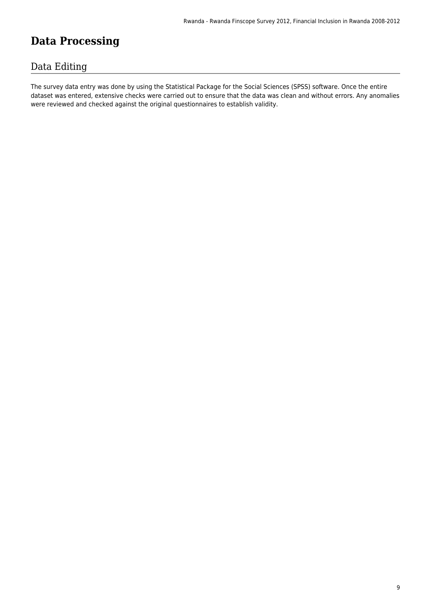## **Data Processing**

### Data Editing

The survey data entry was done by using the Statistical Package for the Social Sciences (SPSS) software. Once the entire dataset was entered, extensive checks were carried out to ensure that the data was clean and without errors. Any anomalies were reviewed and checked against the original questionnaires to establish validity.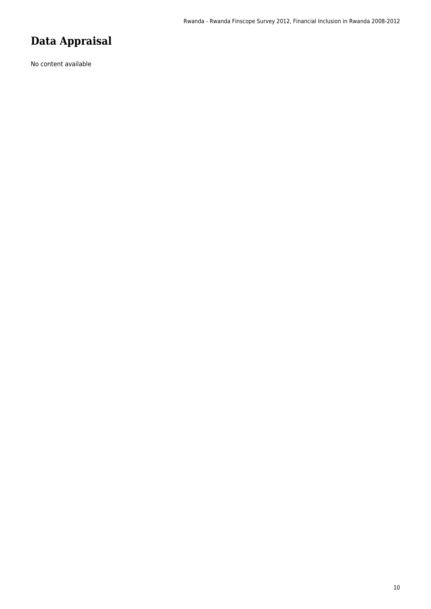## **Data Appraisal**

No content available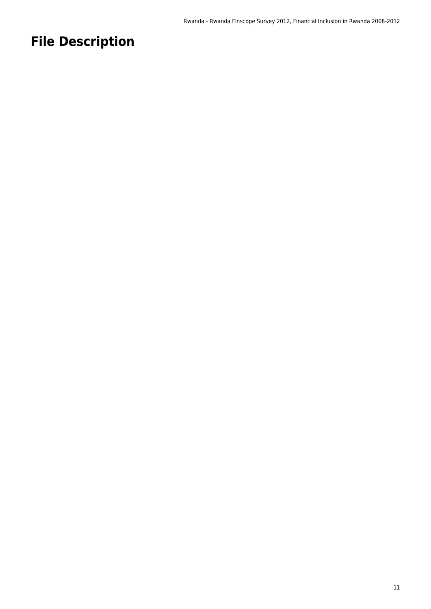## **File Description**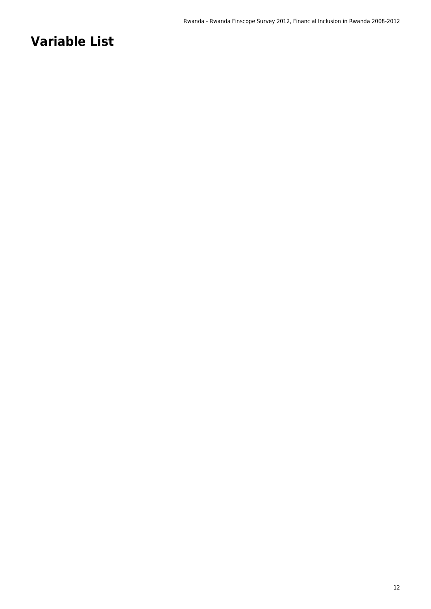## **Variable List**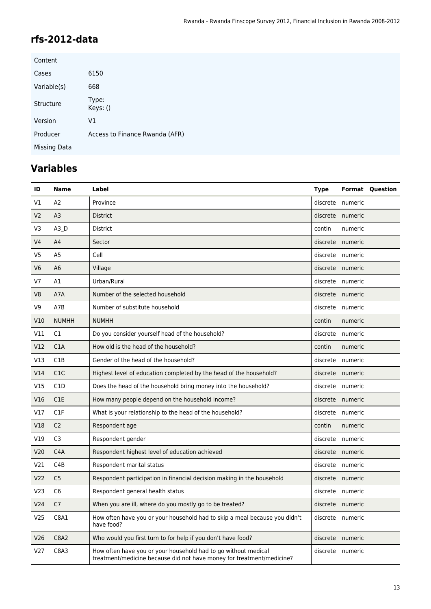### **rfs-2012-data**

| Content      |                                |
|--------------|--------------------------------|
| Cases        | 6150                           |
| Variable(s)  | 668                            |
| Structure    | Type:<br>Keys: ()              |
| Version      | V1                             |
| Producer     | Access to Finance Rwanda (AFR) |
| Missing Data |                                |

## **Variables**

| ID              | Name             | Label                                                                                                                                   | <b>Type</b> |                    | <b>Format Question</b> |
|-----------------|------------------|-----------------------------------------------------------------------------------------------------------------------------------------|-------------|--------------------|------------------------|
| V1              | A2               | Province                                                                                                                                | discrete    | numeric            |                        |
| V <sub>2</sub>  | A <sub>3</sub>   | <b>District</b>                                                                                                                         | discrete    | numeric            |                        |
| V3              | A3D              | District                                                                                                                                | contin      | numeric            |                        |
| V <sub>4</sub>  | A4               | Sector                                                                                                                                  | discrete    | numeric            |                        |
| V <sub>5</sub>  | A <sub>5</sub>   | Cell                                                                                                                                    | discrete    | numeric            |                        |
| V <sub>6</sub>  | A <sub>6</sub>   | Village                                                                                                                                 | discrete    | numeric            |                        |
| V <sub>7</sub>  | A1               | Urban/Rural                                                                                                                             | discrete    | numeric            |                        |
| V <sub>8</sub>  | A7A              | Number of the selected household                                                                                                        | discrete    | numeric            |                        |
| V <sub>9</sub>  | A7B              | Number of substitute household                                                                                                          | discrete    | numeric            |                        |
| V10             | <b>NUMHH</b>     | <b>NUMHH</b>                                                                                                                            | contin      | numeric            |                        |
| V11             | C1               | Do you consider yourself head of the household?                                                                                         | discrete    | numeric            |                        |
| V12             | C1A              | How old is the head of the household?                                                                                                   | contin      | numeric            |                        |
| V13             | C <sub>1</sub> B | Gender of the head of the household?                                                                                                    | discrete    | numeric            |                        |
| V14             | C1C              | Highest level of education completed by the head of the household?                                                                      | discrete    | numeric            |                        |
| V15             | C <sub>1</sub> D | Does the head of the household bring money into the household?                                                                          | discrete    | numeric            |                        |
| V16             | C1E              | How many people depend on the household income?                                                                                         | discrete    | numeric            |                        |
| V17             | C1F              | What is your relationship to the head of the household?                                                                                 | discrete    | numeric            |                        |
| V18             | C <sub>2</sub>   | Respondent age                                                                                                                          | contin      | numeric            |                        |
| V19             | C <sub>3</sub>   | Respondent gender                                                                                                                       | discrete    | numeric            |                        |
| V20             | C <sub>4</sub> A | Respondent highest level of education achieved                                                                                          | discrete    | numeric            |                        |
| V21             | C <sub>4</sub> B | Respondent marital status                                                                                                               | discrete    | numeric            |                        |
| V <sub>22</sub> | C <sub>5</sub>   | Respondent participation in financial decision making in the household                                                                  | discrete    | numeric            |                        |
| V <sub>23</sub> | C <sub>6</sub>   | Respondent general health status                                                                                                        | discrete    | numeric            |                        |
| V <sub>24</sub> | C <sub>7</sub>   | When you are ill, where do you mostly go to be treated?                                                                                 |             | discrete   numeric |                        |
| V <sub>25</sub> | C8A1             | How often have you or your household had to skip a meal because you didn't<br>have food?                                                | discrete    | numeric            |                        |
| V <sub>26</sub> | C8A2             | Who would you first turn to for help if you don't have food?                                                                            | discrete    | numeric            |                        |
| V <sub>27</sub> | C8A3             | How often have you or your household had to go without medical<br>treatment/medicine because did not have money for treatment/medicine? | discrete    | numeric            |                        |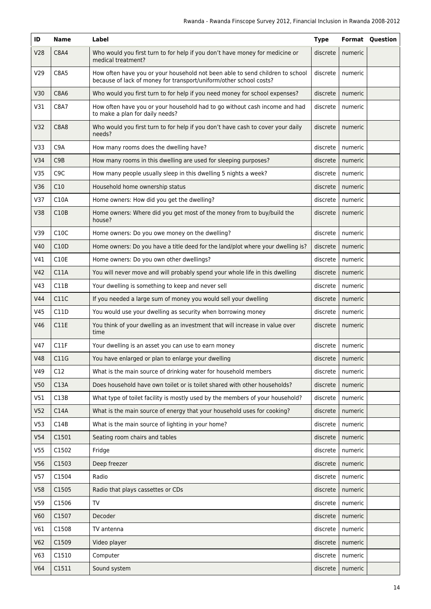| ID              | <b>Name</b>      | Label                                                                                                                                               | <b>Type</b> |                    | <b>Format Question</b> |
|-----------------|------------------|-----------------------------------------------------------------------------------------------------------------------------------------------------|-------------|--------------------|------------------------|
| V28             | <b>C8A4</b>      | Who would you first turn to for help if you don't have money for medicine or<br>medical treatment?                                                  | discrete    | numeric            |                        |
| V <sub>29</sub> | C8A5             | How often have you or your household not been able to send children to school<br>because of lack of money for transport/uniform/other school costs? | discrete    | numeric            |                        |
| V30             | <b>C8A6</b>      | Who would you first turn to for help if you need money for school expenses?                                                                         | discrete    | numeric            |                        |
| V31             | C8A7             | How often have you or your household had to go without cash income and had<br>to make a plan for daily needs?                                       | discrete    | numeric            |                        |
| V32             | <b>C8A8</b>      | Who would you first turn to for help if you don't have cash to cover your daily<br>needs?                                                           | discrete    | numeric            |                        |
| V33             | C <sub>9</sub> A | How many rooms does the dwelling have?                                                                                                              | discrete    | numeric            |                        |
| V34             | C <sub>9</sub> B | How many rooms in this dwelling are used for sleeping purposes?                                                                                     | discrete    | numeric            |                        |
| V35             | C <sub>9</sub> C | How many people usually sleep in this dwelling 5 nights a week?                                                                                     | discrete    | numeric            |                        |
| V36             | C10              | Household home ownership status                                                                                                                     | discrete    | numeric            |                        |
| V37             | C10A             | Home owners: How did you get the dwelling?                                                                                                          | discrete    | numeric            |                        |
| V38             | C10B             | Home owners: Where did you get most of the money from to buy/build the<br>house?                                                                    | discrete    | numeric            |                        |
| V39             | C10C             | Home owners: Do you owe money on the dwelling?                                                                                                      | discrete    | numeric            |                        |
| V40             | C10D             | Home owners: Do you have a title deed for the land/plot where your dwelling is?                                                                     | discrete    | numeric            |                        |
| V41             | C10E             | Home owners: Do you own other dwellings?                                                                                                            | discrete    | numeric            |                        |
| V42             | C11A             | You will never move and will probably spend your whole life in this dwelling                                                                        | discrete    | numeric            |                        |
| V43             | C11B             | Your dwelling is something to keep and never sell                                                                                                   | discrete    | numeric            |                        |
| V44             | C11C             | If you needed a large sum of money you would sell your dwelling                                                                                     | discrete    | numeric            |                        |
| V45             | C11D             | You would use your dwelling as security when borrowing money                                                                                        | discrete    | numeric            |                        |
| V46             | C11E             | You think of your dwelling as an investment that will increase in value over<br>time                                                                | discrete    | numeric            |                        |
| V47             | C11F             | Your dwelling is an asset you can use to earn money                                                                                                 | discrete    | numeric            |                        |
| <b>V48</b>      | C11G             | You have enlarged or plan to enlarge your dwelling                                                                                                  |             | discrete   numeric |                        |
| V49             | C12              | What is the main source of drinking water for household members                                                                                     | discrete    | numeric            |                        |
| V50             | C13A             | Does household have own toilet or is toilet shared with other households?                                                                           | discrete    | numeric            |                        |
| V51             | C13B             | What type of toilet facility is mostly used by the members of your household?                                                                       | discrete    | numeric            |                        |
| V <sub>52</sub> | C14A             | What is the main source of energy that your household uses for cooking?                                                                             | discrete    | numeric            |                        |
| V <sub>53</sub> | C14B             | What is the main source of lighting in your home?                                                                                                   | discrete    | numeric            |                        |
| V54             | C1501            | Seating room chairs and tables                                                                                                                      | discrete    | numeric            |                        |
| V <sub>55</sub> | C1502            | Fridge                                                                                                                                              | discrete    | numeric            |                        |
| V56             | C1503            | Deep freezer                                                                                                                                        | discrete    | numeric            |                        |
| V57             | C1504            | Radio                                                                                                                                               | discrete    | numeric            |                        |
| V58             | C1505            | Radio that plays cassettes or CDs                                                                                                                   | discrete    | numeric            |                        |
| V59             | C1506            | TV                                                                                                                                                  | discrete    | numeric            |                        |
| <b>V60</b>      | C1507            | Decoder                                                                                                                                             | discrete    | numeric            |                        |
| V61             | C1508            | TV antenna                                                                                                                                          | discrete    | numeric            |                        |
| V62             | C1509            | Video player                                                                                                                                        | discrete    | numeric            |                        |
| V63             | C1510            | Computer                                                                                                                                            | discrete    | numeric            |                        |
| V64             | C1511            | Sound system                                                                                                                                        | discrete    | numeric            |                        |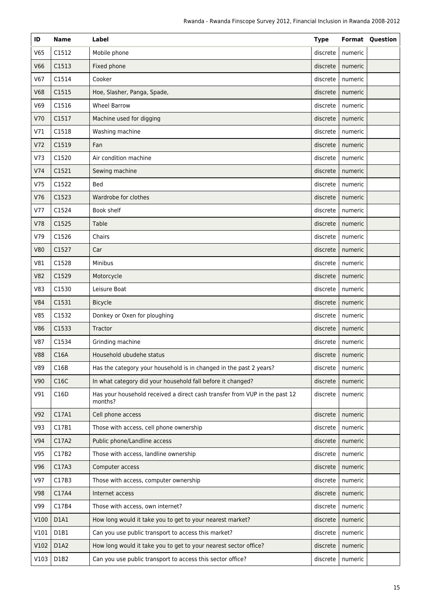| ID              | <b>Name</b> | Label                                                                                 | <b>Type</b> |                    | <b>Format Question</b> |
|-----------------|-------------|---------------------------------------------------------------------------------------|-------------|--------------------|------------------------|
| V65             | C1512       | Mobile phone                                                                          | discrete    | numeric            |                        |
| <b>V66</b>      | C1513       | Fixed phone                                                                           | discrete    | numeric            |                        |
| V67             | C1514       | Cooker                                                                                | discrete    | numeric            |                        |
| <b>V68</b>      | C1515       | Hoe, Slasher, Panga, Spade,                                                           | discrete    | numeric            |                        |
| V69             | C1516       | <b>Wheel Barrow</b>                                                                   | discrete    | numeric            |                        |
| V70             | C1517       | Machine used for digging                                                              | discrete    | numeric            |                        |
| V71             | C1518       | Washing machine                                                                       | discrete    | numeric            |                        |
| V <sub>72</sub> | C1519       | Fan                                                                                   | discrete    | numeric            |                        |
| V73             | C1520       | Air condition machine                                                                 | discrete    | numeric            |                        |
| V74             | C1521       | Sewing machine                                                                        | discrete    | numeric            |                        |
| V75             | C1522       | Bed                                                                                   | discrete    | numeric            |                        |
| V76             | C1523       | Wardrobe for clothes                                                                  | discrete    | numeric            |                        |
| V77             | C1524       | Book shelf                                                                            | discrete    | numeric            |                        |
| V78             | C1525       | Table                                                                                 | discrete    | numeric            |                        |
| V79             | C1526       | Chairs                                                                                | discrete    | numeric            |                        |
| <b>V80</b>      | C1527       | Car                                                                                   | discrete    | numeric            |                        |
| V81             | C1528       | <b>Minibus</b>                                                                        | discrete    | numeric            |                        |
| <b>V82</b>      | C1529       | Motorcycle                                                                            | discrete    | numeric            |                        |
| V83             | C1530       | Leisure Boat                                                                          | discrete    | numeric            |                        |
| <b>V84</b>      | C1531       | <b>Bicycle</b>                                                                        | discrete    | numeric            |                        |
| V85             | C1532       | Donkey or Oxen for ploughing                                                          | discrete    | numeric            |                        |
| <b>V86</b>      | C1533       | Tractor                                                                               | discrete    | numeric            |                        |
| V87             | C1534       | Grinding machine                                                                      | discrete    | numeric            |                        |
| <b>V88</b>      | C16A        | Household ubudehe status                                                              |             | discrete   numeric |                        |
| V89             | C16B        | Has the category your household is in changed in the past 2 years?                    | discrete    | numeric            |                        |
| V90             | C16C        | In what category did your household fall before it changed?                           | discrete    | numeric            |                        |
| V91             | C16D        | Has your household received a direct cash transfer from VUP in the past 12<br>months? | discrete    | numeric            |                        |
| V92             | C17A1       | Cell phone access                                                                     | discrete    | numeric            |                        |
| V93             | C17B1       | Those with access, cell phone ownership                                               | discrete    | numeric            |                        |
| V94             | C17A2       | Public phone/Landline access                                                          | discrete    | numeric            |                        |
| V95             | C17B2       | Those with access, landline ownership                                                 | discrete    | numeric            |                        |
| V96             | C17A3       | Computer access                                                                       | discrete    | numeric            |                        |
| V97             | C17B3       | Those with access, computer ownership                                                 | discrete    | numeric            |                        |
| V98             | C17A4       | Internet access                                                                       | discrete    | numeric            |                        |
| V99             | C17B4       | Those with access, own internet?                                                      | discrete    | numeric            |                        |
| V100            | D1A1        | How long would it take you to get to your nearest market?                             | discrete    | numeric            |                        |
| V101            | D1B1        | Can you use public transport to access this market?                                   | discrete    | numeric            |                        |
| V102            | D1A2        | How long would it take you to get to your nearest sector office?                      | discrete    | numeric            |                        |
| V103            | D1B2        | Can you use public transport to access this sector office?                            | discrete    | numeric            |                        |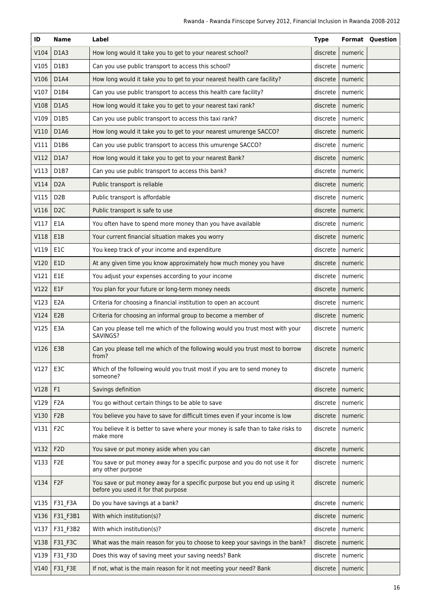| ID   | <b>Name</b>                   | Label                                                                                                            | <b>Type</b> |         | <b>Format Question</b> |
|------|-------------------------------|------------------------------------------------------------------------------------------------------------------|-------------|---------|------------------------|
| V104 | D <sub>1</sub> A <sub>3</sub> | How long would it take you to get to your nearest school?                                                        | discrete    | numeric |                        |
| V105 | D1B3                          | Can you use public transport to access this school?                                                              | discrete    | numeric |                        |
| V106 | D1A4                          | How long would it take you to get to your nearest health care facility?                                          | discrete    | numeric |                        |
| V107 | D1B4                          | Can you use public transport to access this health care facility?                                                | discrete    | numeric |                        |
| V108 | D1A5                          | How long would it take you to get to your nearest taxi rank?                                                     | discrete    | numeric |                        |
| V109 | D1B5                          | Can you use public transport to access this taxi rank?                                                           | discrete    | numeric |                        |
| V110 | D1A6                          | How long would it take you to get to your nearest umurenge SACCO?                                                | discrete    | numeric |                        |
| V111 | D1B6                          | Can you use public transport to access this umurenge SACCO?                                                      | discrete    | numeric |                        |
| V112 | D1A7                          | How long would it take you to get to your nearest Bank?                                                          | discrete    | numeric |                        |
| V113 | D1B7                          | Can you use public transport to access this bank?                                                                | discrete    | numeric |                        |
| V114 | D <sub>2</sub> A              | Public transport is reliable                                                                                     | discrete    | numeric |                        |
| V115 | D <sub>2</sub> B              | Public transport is affordable                                                                                   | discrete    | numeric |                        |
| V116 | D <sub>2</sub> C              | Public transport is safe to use                                                                                  | discrete    | numeric |                        |
| V117 | E1A                           | You often have to spend more money than you have available                                                       | discrete    | numeric |                        |
| V118 | E1B                           | Your current financial situation makes you worry                                                                 | discrete    | numeric |                        |
| V119 | E <sub>1</sub> C              | You keep track of your income and expenditure                                                                    | discrete    | numeric |                        |
| V120 | E1D                           | At any given time you know approximately how much money you have                                                 | discrete    | numeric |                        |
| V121 | E1E                           | You adjust your expenses according to your income                                                                | discrete    | numeric |                        |
| V122 | E1F                           | You plan for your future or long-term money needs                                                                | discrete    | numeric |                        |
| V123 | E <sub>2</sub> A              | Criteria for choosing a financial institution to open an account                                                 | discrete    | numeric |                        |
| V124 | E <sub>2</sub> B              | Criteria for choosing an informal group to become a member of                                                    | discrete    | numeric |                        |
| V125 | E3A                           | Can you please tell me which of the following would you trust most with your<br>SAVINGS?                         | discrete    | numeric |                        |
| V126 | E3B                           | Can you please tell me which of the following would you trust most to borrow<br>from?                            | discrete    | numeric |                        |
| V127 | E3C                           | Which of the following would you trust most if you are to send money to<br>someone?                              | discrete    | numeric |                        |
| V128 | F1                            | Savings definition                                                                                               | discrete    | numeric |                        |
| V129 | F <sub>2</sub> A              | You go without certain things to be able to save                                                                 | discrete    | numeric |                        |
| V130 | F <sub>2</sub> B              | You believe you have to save for difficult times even if your income is low                                      | discrete    | numeric |                        |
| V131 | F <sub>2</sub> C              | You believe it is better to save where your money is safe than to take risks to<br>make more                     | discrete    | numeric |                        |
| V132 | F <sub>2</sub> D              | You save or put money aside when you can                                                                         | discrete    | numeric |                        |
| V133 | F <sub>2</sub> E              | You save or put money away for a specific purpose and you do not use it for<br>any other purpose                 | discrete    | numeric |                        |
| V134 | F <sub>2F</sub>               | You save or put money away for a specific purpose but you end up using it<br>before you used it for that purpose | discrete    | numeric |                        |
| V135 | F31_F3A                       | Do you have savings at a bank?                                                                                   | discrete    | numeric |                        |
| V136 | F31_F3B1                      | With which institution(s)?                                                                                       | discrete    | numeric |                        |
| V137 | F31_F3B2                      | With which institution(s)?                                                                                       | discrete    | numeric |                        |
| V138 | F31_F3C                       | What was the main reason for you to choose to keep your savings in the bank?                                     | discrete    | numeric |                        |
| V139 | F31_F3D                       | Does this way of saving meet your saving needs? Bank                                                             | discrete    | numeric |                        |
| V140 | F31_F3E                       | If not, what is the main reason for it not meeting your need? Bank                                               | discrete    | numeric |                        |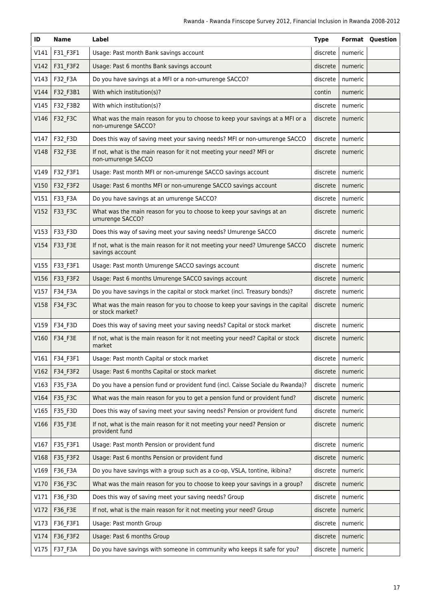| ID   | <b>Name</b> | Label                                                                                                | <b>Type</b> |                    | <b>Format Question</b> |
|------|-------------|------------------------------------------------------------------------------------------------------|-------------|--------------------|------------------------|
| V141 | F31_F3F1    | Usage: Past month Bank savings account                                                               | discrete    | numeric            |                        |
| V142 | F31_F3F2    | Usage: Past 6 months Bank savings account                                                            | discrete    | numeric            |                        |
| V143 | F32_F3A     | Do you have savings at a MFI or a non-umurenge SACCO?                                                | discrete    | numeric            |                        |
| V144 | F32_F3B1    | With which institution(s)?                                                                           | contin      | numeric            |                        |
| V145 | F32_F3B2    | With which institution(s)?                                                                           | discrete    | numeric            |                        |
| V146 | F32_F3C     | What was the main reason for you to choose to keep your savings at a MFI or a<br>non-umurenge SACCO? | discrete    | numeric            |                        |
| V147 | F32_F3D     | Does this way of saving meet your saving needs? MFI or non-umurenge SACCO                            | discrete    | numeric            |                        |
| V148 | F32_F3E     | If not, what is the main reason for it not meeting your need? MFI or<br>non-umurenge SACCO           | discrete    | numeric            |                        |
| V149 | F32_F3F1    | Usage: Past month MFI or non-umurenge SACCO savings account                                          | discrete    | numeric            |                        |
| V150 | F32_F3F2    | Usage: Past 6 months MFI or non-umurenge SACCO savings account                                       | discrete    | numeric            |                        |
| V151 | F33_F3A     | Do you have savings at an umurenge SACCO?                                                            | discrete    | numeric            |                        |
| V152 | F33_F3C     | What was the main reason for you to choose to keep your savings at an<br>umurenge SACCO?             | discrete    | numeric            |                        |
| V153 | F33_F3D     | Does this way of saving meet your saving needs? Umurenge SACCO                                       | discrete    | numeric            |                        |
| V154 | F33_F3E     | If not, what is the main reason for it not meeting your need? Umurenge SACCO<br>savings account      | discrete    | numeric            |                        |
| V155 | F33_F3F1    | Usage: Past month Umurenge SACCO savings account                                                     | discrete    | numeric            |                        |
| V156 | F33_F3F2    | Usage: Past 6 months Umurenge SACCO savings account                                                  | discrete    | numeric            |                        |
| V157 | F34_F3A     | Do you have savings in the capital or stock market (incl. Treasury bonds)?                           | discrete    | numeric            |                        |
| V158 | F34_F3C     | What was the main reason for you to choose to keep your savings in the capital<br>or stock market?   | discrete    | numeric            |                        |
| V159 | F34 F3D     | Does this way of saving meet your saving needs? Capital or stock market                              | discrete    | numeric            |                        |
| V160 | F34_F3E     | If not, what is the main reason for it not meeting your need? Capital or stock<br>market             | discrete    | numeric            |                        |
| V161 | F34_F3F1    | Usage: Past month Capital or stock market                                                            |             | discrete   numeric |                        |
| V162 | F34_F3F2    | Usage: Past 6 months Capital or stock market                                                         | discrete    | numeric            |                        |
| V163 | F35_F3A     | Do you have a pension fund or provident fund (incl. Caisse Sociale du Rwanda)?                       | discrete    | numeric            |                        |
| V164 | F35_F3C     | What was the main reason for you to get a pension fund or provident fund?                            | discrete    | numeric            |                        |
| V165 | F35_F3D     | Does this way of saving meet your saving needs? Pension or provident fund                            | discrete    | numeric            |                        |
| V166 | F35_F3E     | If not, what is the main reason for it not meeting your need? Pension or<br>provident fund           | discrete    | numeric            |                        |
| V167 | F35_F3F1    | Usage: Past month Pension or provident fund                                                          | discrete    | numeric            |                        |
| V168 | F35_F3F2    | Usage: Past 6 months Pension or provident fund                                                       | discrete    | numeric            |                        |
| V169 | F36_F3A     | Do you have savings with a group such as a co-op, VSLA, tontine, ikibina?                            | discrete    | numeric            |                        |
| V170 | F36_F3C     | What was the main reason for you to choose to keep your savings in a group?                          | discrete    | numeric            |                        |
| V171 | F36_F3D     | Does this way of saving meet your saving needs? Group                                                | discrete    | numeric            |                        |
| V172 | F36_F3E     | If not, what is the main reason for it not meeting your need? Group                                  | discrete    | numeric            |                        |
| V173 | F36_F3F1    | Usage: Past month Group                                                                              | discrete    | numeric            |                        |
| V174 | F36_F3F2    | Usage: Past 6 months Group                                                                           | discrete    | numeric            |                        |
| V175 | F37_F3A     | Do you have savings with someone in community who keeps it safe for you?                             | discrete    | numeric            |                        |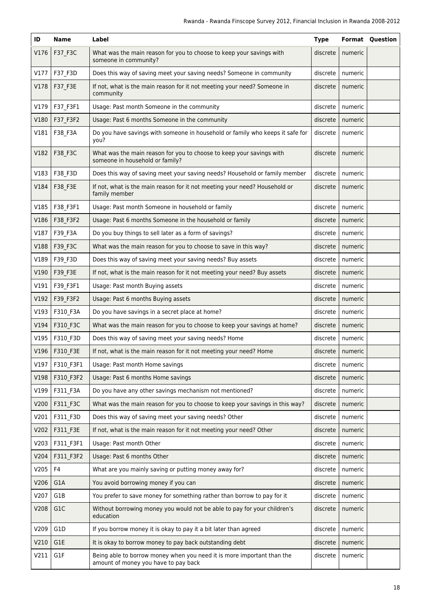| ID   | <b>Name</b>    | Label                                                                                                          | <b>Type</b> |         | <b>Format Question</b> |
|------|----------------|----------------------------------------------------------------------------------------------------------------|-------------|---------|------------------------|
| V176 | F37_F3C        | What was the main reason for you to choose to keep your savings with<br>someone in community?                  | discrete    | numeric |                        |
| V177 | F37_F3D        | Does this way of saving meet your saving needs? Someone in community                                           | discrete    | numeric |                        |
| V178 | F37_F3E        | If not, what is the main reason for it not meeting your need? Someone in<br>community                          | discrete    | numeric |                        |
| V179 | F37_F3F1       | Usage: Past month Someone in the community                                                                     | discrete    | numeric |                        |
| V180 | F37 F3F2       | Usage: Past 6 months Someone in the community                                                                  | discrete    | numeric |                        |
| V181 | F38_F3A        | Do you have savings with someone in household or family who keeps it safe for<br>you?                          | discrete    | numeric |                        |
| V182 | F38_F3C        | What was the main reason for you to choose to keep your savings with<br>someone in household or family?        | discrete    | numeric |                        |
| V183 | F38_F3D        | Does this way of saving meet your saving needs? Household or family member                                     | discrete    | numeric |                        |
| V184 | F38_F3E        | If not, what is the main reason for it not meeting your need? Household or<br>family member                    | discrete    | numeric |                        |
| V185 | F38_F3F1       | Usage: Past month Someone in household or family                                                               | discrete    | numeric |                        |
| V186 | F38_F3F2       | Usage: Past 6 months Someone in the household or family                                                        | discrete    | numeric |                        |
| V187 | F39_F3A        | Do you buy things to sell later as a form of savings?                                                          | discrete    | numeric |                        |
| V188 | F39_F3C        | What was the main reason for you to choose to save in this way?                                                | discrete    | numeric |                        |
| V189 | F39_F3D        | Does this way of saving meet your saving needs? Buy assets                                                     | discrete    | numeric |                        |
| V190 | F39_F3E        | If not, what is the main reason for it not meeting your need? Buy assets                                       | discrete    | numeric |                        |
| V191 | F39_F3F1       | Usage: Past month Buying assets                                                                                | discrete    | numeric |                        |
| V192 | F39_F3F2       | Usage: Past 6 months Buying assets                                                                             | discrete    | numeric |                        |
| V193 | F310_F3A       | Do you have savings in a secret place at home?                                                                 | discrete    | numeric |                        |
| V194 | F310_F3C       | What was the main reason for you to choose to keep your savings at home?                                       | discrete    | numeric |                        |
| V195 | F310_F3D       | Does this way of saving meet your saving needs? Home                                                           | discrete    | numeric |                        |
| V196 | F310 F3E       | If not, what is the main reason for it not meeting your need? Home                                             | discrete    | numeric |                        |
| V197 | F310 F3F1      | Usage: Past month Home savings                                                                                 | discrete    | numeric |                        |
| V198 | F310_F3F2      | Usage: Past 6 months Home savings                                                                              | discrete    | numeric |                        |
| V199 | F311_F3A       | Do you have any other savings mechanism not mentioned?                                                         | discrete    | numeric |                        |
| V200 | F311_F3C       | What was the main reason for you to choose to keep your savings in this way?                                   | discrete    | numeric |                        |
| V201 | F311_F3D       | Does this way of saving meet your saving needs? Other                                                          | discrete    | numeric |                        |
| V202 | F311_F3E       | If not, what is the main reason for it not meeting your need? Other                                            | discrete    | numeric |                        |
| V203 | F311_F3F1      | Usage: Past month Other                                                                                        | discrete    | numeric |                        |
| V204 | F311_F3F2      | Usage: Past 6 months Other                                                                                     | discrete    | numeric |                        |
| V205 | F <sub>4</sub> | What are you mainly saving or putting money away for?                                                          | discrete    | numeric |                        |
| V206 | G1A            | You avoid borrowing money if you can                                                                           | discrete    | numeric |                        |
| V207 | G1B            | You prefer to save money for something rather than borrow to pay for it                                        | discrete    | numeric |                        |
| V208 | G1C            | Without borrowing money you would not be able to pay for your children's<br>education                          | discrete    | numeric |                        |
| V209 | G1D            | If you borrow money it is okay to pay it a bit later than agreed                                               | discrete    | numeric |                        |
| V210 | G1E            | It is okay to borrow money to pay back outstanding debt                                                        | discrete    | numeric |                        |
| V211 | G1F            | Being able to borrow money when you need it is more important than the<br>amount of money you have to pay back | discrete    | numeric |                        |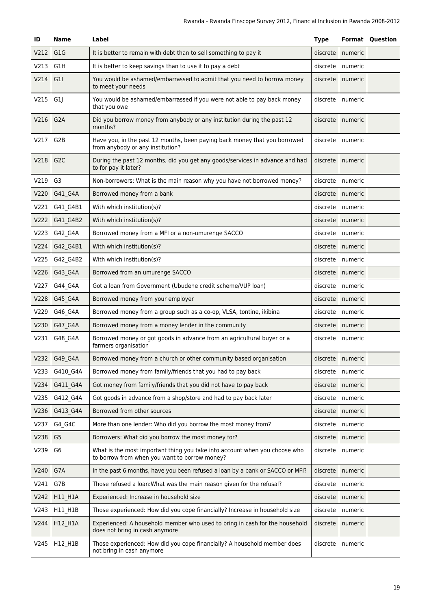| ID   | <b>Name</b>      | Label                                                                                                                       | <b>Type</b> |                    | <b>Format Question</b> |
|------|------------------|-----------------------------------------------------------------------------------------------------------------------------|-------------|--------------------|------------------------|
| V212 | G <sub>1</sub> G | It is better to remain with debt than to sell something to pay it                                                           | discrete    | numeric            |                        |
| V213 | G1H              | It is better to keep savings than to use it to pay a debt                                                                   | discrete    | numeric            |                        |
| V214 | G11              | You would be ashamed/embarrassed to admit that you need to borrow money<br>to meet your needs                               | discrete    | numeric            |                        |
| V215 | G <sub>1</sub>   | You would be ashamed/embarrassed if you were not able to pay back money<br>that you owe                                     | discrete    | numeric            |                        |
| V216 | G <sub>2</sub> A | Did you borrow money from anybody or any institution during the past 12<br>months?                                          | discrete    | numeric            |                        |
| V217 | G <sub>2</sub> B | Have you, in the past 12 months, been paying back money that you borrowed<br>from anybody or any institution?               | discrete    | numeric            |                        |
| V218 | G <sub>2</sub> C | During the past 12 months, did you get any goods/services in advance and had<br>to for pay it later?                        | discrete    | numeric            |                        |
| V219 | G <sub>3</sub>   | Non-borrowers: What is the main reason why you have not borrowed money?                                                     | discrete    | numeric            |                        |
| V220 | G41_G4A          | Borrowed money from a bank                                                                                                  | discrete    | numeric            |                        |
| V221 | G41_G4B1         | With which institution(s)?                                                                                                  | discrete    | numeric            |                        |
| V222 | G41_G4B2         | With which institution(s)?                                                                                                  | discrete    | numeric            |                        |
| V223 | G42_G4A          | Borrowed money from a MFI or a non-umurenge SACCO                                                                           | discrete    | numeric            |                        |
| V224 | G42_G4B1         | With which institution(s)?                                                                                                  | discrete    | numeric            |                        |
| V225 | G42_G4B2         | With which institution(s)?                                                                                                  | discrete    | numeric            |                        |
| V226 | G43_G4A          | Borrowed from an umurenge SACCO                                                                                             | discrete    | numeric            |                        |
| V227 | G44_G4A          | Got a loan from Government (Ubudehe credit scheme/VUP loan)                                                                 | discrete    | numeric            |                        |
| V228 | G45_G4A          | Borrowed money from your employer                                                                                           | discrete    | numeric            |                        |
| V229 | G46_G4A          | Borrowed money from a group such as a co-op, VLSA, tontine, ikibina                                                         | discrete    | numeric            |                        |
| V230 | G47_G4A          | Borrowed money from a money lender in the community                                                                         | discrete    | numeric            |                        |
| V231 | G48_G4A          | Borrowed money or got goods in advance from an agricultural buyer or a<br>farmers organisation                              | discrete    | numeric            |                        |
|      | V232 G49 G4A     | Borrowed money from a church or other community based organisation                                                          |             | discrete   numeric |                        |
| V233 | G410_G4A         | Borrowed money from family/friends that you had to pay back                                                                 | discrete    | numeric            |                        |
| V234 | G411_G4A         | Got money from family/friends that you did not have to pay back                                                             | discrete    | numeric            |                        |
| V235 | G412_G4A         | Got goods in advance from a shop/store and had to pay back later                                                            | discrete    | numeric            |                        |
| V236 | G413_G4A         | Borrowed from other sources                                                                                                 | discrete    | numeric            |                        |
| V237 | G4_G4C           | More than one lender: Who did you borrow the most money from?                                                               | discrete    | numeric            |                        |
| V238 | G <sub>5</sub>   | Borrowers: What did you borrow the most money for?                                                                          | discrete    | numeric            |                        |
| V239 | G <sub>6</sub>   | What is the most important thing you take into account when you choose who<br>to borrow from when you want to borrow money? | discrete    | numeric            |                        |
| V240 | G7A              | In the past 6 months, have you been refused a loan by a bank or SACCO or MFI?                                               | discrete    | numeric            |                        |
| V241 | G7B              | Those refused a loan: What was the main reason given for the refusal?                                                       | discrete    | numeric            |                        |
| V242 | H11_H1A          | Experienced: Increase in household size                                                                                     | discrete    | numeric            |                        |
| V243 | H11_H1B          | Those experienced: How did you cope financially? Increase in household size                                                 | discrete    | numeric            |                        |
| V244 | H12_H1A          | Experienced: A household member who used to bring in cash for the household<br>does not bring in cash anymore               | discrete    | numeric            |                        |
| V245 | H12_H1B          | Those experienced: How did you cope financially? A household member does<br>not bring in cash anymore                       | discrete    | numeric            |                        |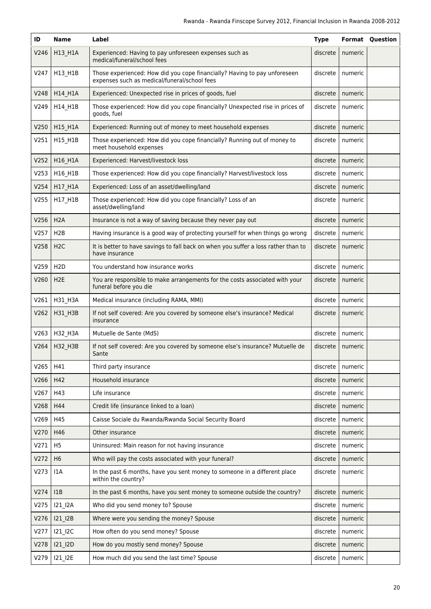| ID   | <b>Name</b>      | Label                                                                                                                     | <b>Type</b> |         | <b>Format Question</b> |
|------|------------------|---------------------------------------------------------------------------------------------------------------------------|-------------|---------|------------------------|
| V246 | H13_H1A          | Experienced: Having to pay unforeseen expenses such as<br>medical/funeral/school fees                                     | discrete    | numeric |                        |
| V247 | H13_H1B          | Those experienced: How did you cope financially? Having to pay unforeseen<br>expenses such as medical/funeral/school fees | discrete    | numeric |                        |
| V248 | H14_H1A          | Experienced: Unexpected rise in prices of goods, fuel                                                                     | discrete    | numeric |                        |
| V249 | H14_H1B          | Those experienced: How did you cope financially? Unexpected rise in prices of<br>goods, fuel                              | discrete    | numeric |                        |
| V250 | H15_H1A          | Experienced: Running out of money to meet household expenses                                                              | discrete    | numeric |                        |
| V251 | H15_H1B          | Those experienced: How did you cope financially? Running out of money to<br>meet household expenses                       | discrete    | numeric |                        |
| V252 | H16_H1A          | Experienced: Harvest/livestock loss                                                                                       | discrete    | numeric |                        |
| V253 | H16_H1B          | Those experienced: How did you cope financially? Harvest/livestock loss                                                   | discrete    | numeric |                        |
| V254 | H17_H1A          | Experienced: Loss of an asset/dwelling/land                                                                               | discrete    | numeric |                        |
| V255 | H17_H1B          | Those experienced: How did you cope financially? Loss of an<br>asset/dwelling/land                                        | discrete    | numeric |                        |
| V256 | H <sub>2</sub> A | Insurance is not a way of saving because they never pay out                                                               | discrete    | numeric |                        |
| V257 | H <sub>2</sub> B | Having insurance is a good way of protecting yourself for when things go wrong                                            | discrete    | numeric |                        |
| V258 | H <sub>2</sub> C | It is better to have savings to fall back on when you suffer a loss rather than to<br>have insurance                      | discrete    | numeric |                        |
| V259 | H <sub>2</sub> D | You understand how insurance works                                                                                        | discrete    | numeric |                        |
| V260 | H <sub>2</sub> E | You are responsible to make arrangements for the costs associated with your<br>funeral before you die                     | discrete    | numeric |                        |
| V261 | H31_H3A          | Medical insurance (including RAMA, MMI)                                                                                   | discrete    | numeric |                        |
| V262 | H31_H3B          | If not self covered: Are you covered by someone else's insurance? Medical<br>insurance                                    | discrete    | numeric |                        |
| V263 | H32_H3A          | Mutuelle de Sante (MdS)                                                                                                   | discrete    | numeric |                        |
| V264 | H32_H3B          | If not self covered: Are you covered by someone else's insurance? Mutuelle de<br>Sante                                    | discrete    | numeric |                        |
| V265 | H41              | Third party insurance                                                                                                     | discrete    | numeric |                        |
| V266 | H42              | Household insurance                                                                                                       | discrete    | numeric |                        |
| V267 | H43              | Life insurance                                                                                                            | discrete    | numeric |                        |
| V268 | H44              | Credit life (insurance linked to a loan)                                                                                  | discrete    | numeric |                        |
| V269 | H45              | Caisse Sociale du Rwanda/Rwanda Social Security Board                                                                     | discrete    | numeric |                        |
| V270 | H46              | Other insurance                                                                                                           | discrete    | numeric |                        |
| V271 | H <sub>5</sub>   | Uninsured: Main reason for not having insurance                                                                           | discrete    | numeric |                        |
| V272 | H <sub>6</sub>   | Who will pay the costs associated with your funeral?                                                                      | discrete    | numeric |                        |
| V273 | 1A               | In the past 6 months, have you sent money to someone in a different place<br>within the country?                          | discrete    | numeric |                        |
| V274 | 11B              | In the past 6 months, have you sent money to someone outside the country?                                                 | discrete    | numeric |                        |
| V275 | 121_12A          | Who did you send money to? Spouse                                                                                         | discrete    | numeric |                        |
| V276 | I21_I2B          | Where were you sending the money? Spouse                                                                                  | discrete    | numeric |                        |
| V277 | I21_I2C          | How often do you send money? Spouse                                                                                       | discrete    | numeric |                        |
| V278 | I21_I2D          | How do you mostly send money? Spouse                                                                                      | discrete    | numeric |                        |
| V279 | 121_12E          | How much did you send the last time? Spouse                                                                               | discrete    | numeric |                        |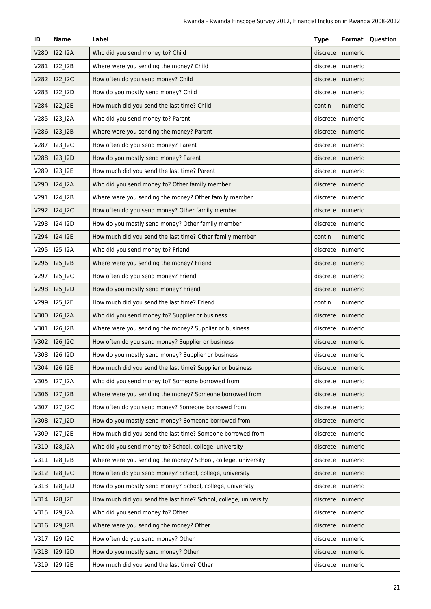| ID   | Name                              | Label                                                            | <b>Type</b> |                    | <b>Format Question</b> |
|------|-----------------------------------|------------------------------------------------------------------|-------------|--------------------|------------------------|
| V280 | I22_I2A                           | Who did you send money to? Child                                 | discrete    | numeric            |                        |
| V281 | 122_12B                           | Where were you sending the money? Child                          | discrete    | numeric            |                        |
| V282 | I22_I2C                           | How often do you send money? Child                               | discrete    | numeric            |                        |
| V283 | I22_I2D                           | How do you mostly send money? Child                              | discrete    | numeric            |                        |
| V284 | 122_12E                           | How much did you send the last time? Child                       | contin      | numeric            |                        |
| V285 | 123_12A                           | Who did you send money to? Parent                                | discrete    | numeric            |                        |
| V286 | I23_I2B                           | Where were you sending the money? Parent                         | discrete    | numeric            |                        |
| V287 | I23_I2C                           | How often do you send money? Parent                              | discrete    | numeric            |                        |
| V288 | I23_I2D                           | How do you mostly send money? Parent                             | discrete    | numeric            |                        |
| V289 | 123_12E                           | How much did you send the last time? Parent                      | discrete    | numeric            |                        |
| V290 | 124_12A                           | Who did you send money to? Other family member                   | discrete    | numeric            |                        |
| V291 | 124_12B                           | Where were you sending the money? Other family member            | discrete    | numeric            |                        |
| V292 | I24_I2C                           | How often do you send money? Other family member                 | discrete    | numeric            |                        |
| V293 | I24_I2D                           | How do you mostly send money? Other family member                | discrete    | numeric            |                        |
| V294 | 124_12E                           | How much did you send the last time? Other family member         | contin      | numeric            |                        |
| V295 | 125_12A                           | Who did you send money to? Friend                                | discrete    | numeric            |                        |
| V296 | I25_I2B                           | Where were you sending the money? Friend                         | discrete    | numeric            |                        |
| V297 | I25_I2C                           | How often do you send money? Friend                              | discrete    | numeric            |                        |
| V298 | I25_I2D                           | How do you mostly send money? Friend                             | discrete    | numeric            |                        |
| V299 | I25_I2E                           | How much did you send the last time? Friend                      | contin      | numeric            |                        |
| V300 | I26_I2A                           | Who did you send money to? Supplier or business                  | discrete    | numeric            |                        |
| V301 | I26_I2B                           | Where were you sending the money? Supplier or business           | discrete    | numeric            |                        |
| V302 | I26_I2C                           | How often do you send money? Supplier or business                | discrete    | numeric            |                        |
| V303 | I26 I2D                           | How do you mostly send money? Supplier or business               |             | discrete   numeric |                        |
| V304 | I26_I2E                           | How much did you send the last time? Supplier or business        | discrete    | numeric            |                        |
| V305 | 127_12A                           | Who did you send money to? Someone borrowed from                 | discrete    | numeric            |                        |
| V306 | $127$ <sup><math>12B</math></sup> | Where were you sending the money? Someone borrowed from          | discrete    | numeric            |                        |
| V307 | 127_12C                           | How often do you send money? Someone borrowed from               | discrete    | numeric            |                        |
| V308 | I27_I2D                           | How do you mostly send money? Someone borrowed from              | discrete    | numeric            |                        |
| V309 | 127_12E                           | How much did you send the last time? Someone borrowed from       | discrete    | numeric            |                        |
| V310 | 128_12A                           | Who did you send money to? School, college, university           | discrete    | numeric            |                        |
| V311 | 128_12B                           | Where were you sending the money? School, college, university    | discrete    | numeric            |                        |
| V312 | I28_I2C                           | How often do you send money? School, college, university         | discrete    | numeric            |                        |
| V313 | I28_I2D                           | How do you mostly send money? School, college, university        | discrete    | numeric            |                        |
| V314 | 128_12E                           | How much did you send the last time? School, college, university | discrete    | numeric            |                        |
| V315 | 129_12A                           | Who did you send money to? Other                                 | discrete    | numeric            |                        |
| V316 | 129_12B                           | Where were you sending the money? Other                          | discrete    | numeric            |                        |
| V317 | 129_12C                           | How often do you send money? Other                               | discrete    | numeric            |                        |
| V318 | I29_I2D                           | How do you mostly send money? Other                              | discrete    | numeric            |                        |
| V319 | 129_12E                           | How much did you send the last time? Other                       | discrete    | numeric            |                        |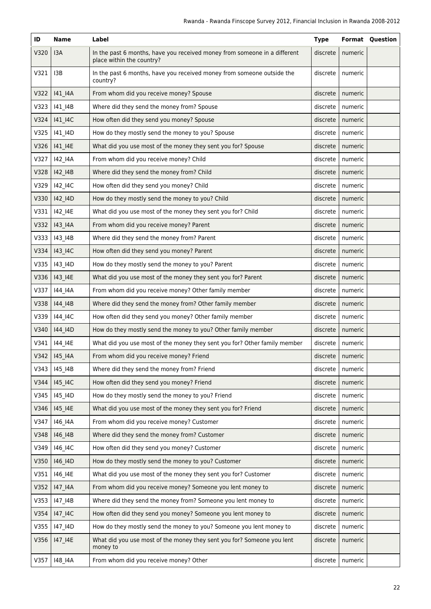| ID   | <b>Name</b>      | Label                                                                                                  | <b>Type</b> |         | <b>Format Question</b> |
|------|------------------|--------------------------------------------------------------------------------------------------------|-------------|---------|------------------------|
| V320 | I <sub>3</sub> A | In the past 6 months, have you received money from someone in a different<br>place within the country? | discrete    | numeric |                        |
| V321 | I <sub>3</sub> B | In the past 6 months, have you received money from someone outside the<br>country?                     | discrete    | numeric |                        |
| V322 | 141_14A          | From whom did you receive money? Spouse                                                                | discrete    | numeric |                        |
| V323 | 141_14B          | Where did they send the money from? Spouse                                                             | discrete    | numeric |                        |
| V324 | 141_14C          | How often did they send you money? Spouse                                                              | discrete    | numeric |                        |
| V325 | 141_14D          | How do they mostly send the money to you? Spouse                                                       | discrete    | numeric |                        |
| V326 | 141_14E          | What did you use most of the money they sent you for? Spouse                                           | discrete    | numeric |                        |
| V327 | 142_14A          | From whom did you receive money? Child                                                                 | discrete    | numeric |                        |
| V328 | 142_14B          | Where did they send the money from? Child                                                              | discrete    | numeric |                        |
| V329 | 142_14C          | How often did they send you money? Child                                                               | discrete    | numeric |                        |
| V330 | 142_14D          | How do they mostly send the money to you? Child                                                        | discrete    | numeric |                        |
| V331 | 142_14E          | What did you use most of the money they sent you for? Child                                            | discrete    | numeric |                        |
| V332 | 143_14A          | From whom did you receive money? Parent                                                                | discrete    | numeric |                        |
| V333 | 143_14B          | Where did they send the money from? Parent                                                             | discrete    | numeric |                        |
| V334 | 143_14C          | How often did they send you money? Parent                                                              | discrete    | numeric |                        |
| V335 | 143_14D          | How do they mostly send the money to you? Parent                                                       | discrete    | numeric |                        |
| V336 | 143_14E          | What did you use most of the money they sent you for? Parent                                           | discrete    | numeric |                        |
| V337 | 144_14A          | From whom did you receive money? Other family member                                                   | discrete    | numeric |                        |
| V338 | 144_14B          | Where did they send the money from? Other family member                                                | discrete    | numeric |                        |
| V339 | 144_14C          | How often did they send you money? Other family member                                                 | discrete    | numeric |                        |
| V340 | 144_14D          | How do they mostly send the money to you? Other family member                                          | discrete    | numeric |                        |
| V341 | 144_14E          | What did you use most of the money they sent you for? Other family member                              | discrete    | numeric |                        |
|      | V342   145 14A   | From whom did you receive money? Friend                                                                | discrete    | numeric |                        |
| V343 | 145 14B          | Where did they send the money from? Friend                                                             | discrete    | numeric |                        |
| V344 | 145_14C          | How often did they send you money? Friend                                                              | discrete    | numeric |                        |
| V345 | 145_14D          | How do they mostly send the money to you? Friend                                                       | discrete    | numeric |                        |
| V346 | 145_14E          | What did you use most of the money they sent you for? Friend                                           | discrete    | numeric |                        |
| V347 | 146_14A          | From whom did you receive money? Customer                                                              | discrete    | numeric |                        |
| V348 | 146_14B          | Where did they send the money from? Customer                                                           | discrete    | numeric |                        |
| V349 | 146_14C          | How often did they send you money? Customer                                                            | discrete    | numeric |                        |
| V350 | 146_14D          | How do they mostly send the money to you? Customer                                                     | discrete    | numeric |                        |
| V351 | 146_14E          | What did you use most of the money they sent you for? Customer                                         | discrete    | numeric |                        |
| V352 | 147_14A          | From whom did you receive money? Someone you lent money to                                             | discrete    | numeric |                        |
| V353 | 147_14B          | Where did they send the money from? Someone you lent money to                                          | discrete    | numeric |                        |
| V354 | 147_14C          | How often did they send you money? Someone you lent money to                                           | discrete    | numeric |                        |
| V355 | 147_14D          | How do they mostly send the money to you? Someone you lent money to                                    | discrete    | numeric |                        |
| V356 | 147_14E          | What did you use most of the money they sent you for? Someone you lent<br>money to                     | discrete    | numeric |                        |
| V357 | 148_14A          | From whom did you receive money? Other                                                                 | discrete    | numeric |                        |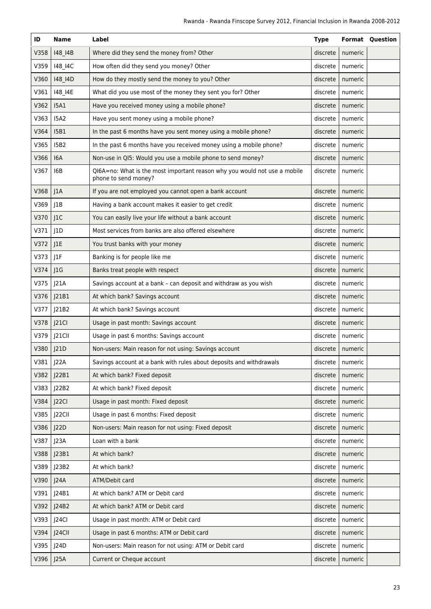| ID   | <b>Name</b> | Label                                                                                             | <b>Type</b> |         | <b>Format Ouestion</b> |
|------|-------------|---------------------------------------------------------------------------------------------------|-------------|---------|------------------------|
| V358 | 148_14B     | Where did they send the money from? Other                                                         | discrete    | numeric |                        |
| V359 | 148_14C     | How often did they send you money? Other                                                          | discrete    | numeric |                        |
| V360 | 148_14D     | How do they mostly send the money to you? Other                                                   | discrete    | numeric |                        |
| V361 | 148_14E     | What did you use most of the money they sent you for? Other                                       | discrete    | numeric |                        |
| V362 | <b>I5A1</b> | Have you received money using a mobile phone?                                                     | discrete    | numeric |                        |
| V363 | <b>I5A2</b> | Have you sent money using a mobile phone?                                                         | discrete    | numeric |                        |
| V364 | <b>I5B1</b> | In the past 6 months have you sent money using a mobile phone?                                    | discrete    | numeric |                        |
| V365 | <b>I5B2</b> | In the past 6 months have you received money using a mobile phone?                                | discrete    | numeric |                        |
| V366 | 16A         | Non-use in QI5: Would you use a mobile phone to send money?                                       | discrete    | numeric |                        |
| V367 | I6B         | QI6A=no: What is the most important reason why you would not use a mobile<br>phone to send money? | discrete    | numeric |                        |
| V368 | 1A          | If you are not employed you cannot open a bank account                                            | discrete    | numeric |                        |
| V369 | J1B         | Having a bank account makes it easier to get credit                                               | discrete    | numeric |                        |
| V370 | J1C         | You can easily live your life without a bank account                                              | discrete    | numeric |                        |
| V371 | J1D         | Most services from banks are also offered elsewhere                                               | discrete    | numeric |                        |
| V372 | J1E         | You trust banks with your money                                                                   | discrete    | numeric |                        |
| V373 | J1F         | Banking is for people like me                                                                     | discrete    | numeric |                        |
| V374 | J1G         | Banks treat people with respect                                                                   | discrete    | numeric |                        |
| V375 | J21A        | Savings account at a bank - can deposit and withdraw as you wish                                  | discrete    | numeric |                        |
| V376 | J21B1       | At which bank? Savings account                                                                    | discrete    | numeric |                        |
| V377 | J21B2       | At which bank? Savings account                                                                    | discrete    | numeric |                        |
| V378 | J21Cl       | Usage in past month: Savings account                                                              | discrete    | numeric |                        |
| V379 | J21CII      | Usage in past 6 months: Savings account                                                           | discrete    | numeric |                        |
| V380 | J21D        | Non-users: Main reason for not using: Savings account                                             | discrete    | numeric |                        |
| V381 | J22A        | Savings account at a bank with rules about deposits and withdrawals                               | discrete    | numeric |                        |
| V382 | J22B1       | At which bank? Fixed deposit                                                                      | discrete    | numeric |                        |
| V383 | J22B2       | At which bank? Fixed deposit                                                                      | discrete    | numeric |                        |
| V384 | J22Cl       | Usage in past month: Fixed deposit                                                                | discrete    | numeric |                        |
| V385 | J22CII      | Usage in past 6 months: Fixed deposit                                                             | discrete    | numeric |                        |
| V386 | J22D        | Non-users: Main reason for not using: Fixed deposit                                               | discrete    | numeric |                        |
| V387 | J23A        | Loan with a bank                                                                                  | discrete    | numeric |                        |
| V388 | J23B1       | At which bank?                                                                                    | discrete    | numeric |                        |
| V389 | J23B2       | At which bank?                                                                                    | discrete    | numeric |                        |
| V390 | J24A        | ATM/Debit card                                                                                    | discrete    | numeric |                        |
| V391 | J24B1       | At which bank? ATM or Debit card                                                                  | discrete    | numeric |                        |
| V392 | J24B2       | At which bank? ATM or Debit card                                                                  | discrete    | numeric |                        |
| V393 | J24Cl       | Usage in past month: ATM or Debit card                                                            | discrete    | numeric |                        |
| V394 | $J24$ CII   | Usage in past 6 months: ATM or Debit card                                                         | discrete    | numeric |                        |
| V395 | J24D        | Non-users: Main reason for not using: ATM or Debit card                                           | discrete    | numeric |                        |
| V396 | J25A        | Current or Cheque account                                                                         | discrete    | numeric |                        |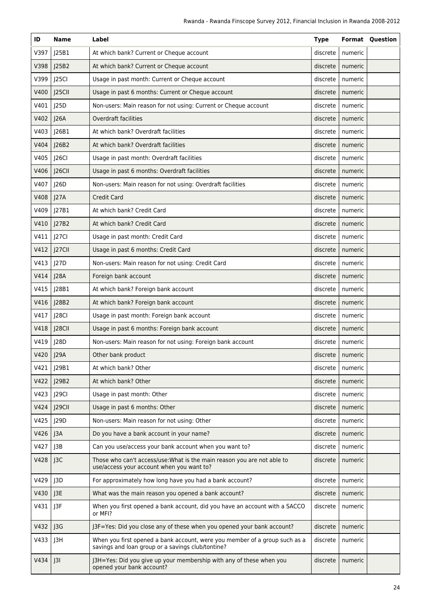| ID          | <b>Name</b>     | Label                                                                                                                           | <b>Type</b> |                    | <b>Format Question</b> |
|-------------|-----------------|---------------------------------------------------------------------------------------------------------------------------------|-------------|--------------------|------------------------|
| V397        | J25B1           | At which bank? Current or Cheque account                                                                                        | discrete    | numeric            |                        |
| V398        | J25B2           | At which bank? Current or Cheque account                                                                                        | discrete    | numeric            |                        |
| V399        | J25Cl           | Usage in past month: Current or Cheque account                                                                                  | discrete    | numeric            |                        |
| V400        | J25CII          | Usage in past 6 months: Current or Cheque account                                                                               | discrete    | numeric            |                        |
| V401        | J25D            | Non-users: Main reason for not using: Current or Cheque account                                                                 | discrete    | numeric            |                        |
| V402        | J26A            | <b>Overdraft facilities</b>                                                                                                     | discrete    | numeric            |                        |
| V403        | J26B1           | At which bank? Overdraft facilities                                                                                             | discrete    | numeric            |                        |
| V404        | J26B2           | At which bank? Overdraft facilities                                                                                             | discrete    | numeric            |                        |
| V405        | J26Cl           | Usage in past month: Overdraft facilities                                                                                       | discrete    | numeric            |                        |
| V406        | J26CII          | Usage in past 6 months: Overdraft facilities                                                                                    | discrete    | numeric            |                        |
| V407        | J26D            | Non-users: Main reason for not using: Overdraft facilities                                                                      | discrete    | numeric            |                        |
| V408        | J27A            | <b>Credit Card</b>                                                                                                              | discrete    | numeric            |                        |
| V409        | J27B1           | At which bank? Credit Card                                                                                                      | discrete    | numeric            |                        |
| V410        | J27B2           | At which bank? Credit Card                                                                                                      | discrete    | numeric            |                        |
| V411        | J27CI           | Usage in past month: Credit Card                                                                                                | discrete    | numeric            |                        |
| V412        | J27CII          | Usage in past 6 months: Credit Card                                                                                             | discrete    | numeric            |                        |
| V413        | J27D            | Non-users: Main reason for not using: Credit Card                                                                               | discrete    | numeric            |                        |
| V414        | J28A            | Foreign bank account                                                                                                            | discrete    | numeric            |                        |
| V415        | J28B1           | At which bank? Foreign bank account                                                                                             | discrete    | numeric            |                        |
| V416        | J28B2           | At which bank? Foreign bank account                                                                                             | discrete    | numeric            |                        |
| V417        | J28CI           | Usage in past month: Foreign bank account                                                                                       | discrete    | numeric            |                        |
| V418        | J28CII          | Usage in past 6 months: Foreign bank account                                                                                    | discrete    | numeric            |                        |
| V419        | J28D            | Non-users: Main reason for not using: Foreign bank account                                                                      | discrete    | numeric            |                        |
| V420   J29A |                 | Other bank product                                                                                                              |             | discrete   numeric |                        |
| V421        | J29B1           | At which bank? Other                                                                                                            | discrete    | numeric            |                        |
| V422        | J29B2           | At which bank? Other                                                                                                            | discrete    | numeric            |                        |
| V423        | J29Cl           | Usage in past month: Other                                                                                                      | discrete    | numeric            |                        |
| V424        | J29CII          | Usage in past 6 months: Other                                                                                                   | discrete    | numeric            |                        |
| V425        | J29D            | Non-users: Main reason for not using: Other                                                                                     | discrete    | numeric            |                        |
| V426        | J3A             | Do you have a bank account in your name?                                                                                        | discrete    | numeric            |                        |
| V427        | J3B             | Can you use/access your bank account when you want to?                                                                          | discrete    | numeric            |                        |
| V428        | J3C             | Those who can't access/use: What is the main reason you are not able to<br>use/access your account when you want to?            | discrete    | numeric            |                        |
| V429        | J3D             | For approximately how long have you had a bank account?                                                                         | discrete    | numeric            |                        |
| V430        | J3E             | What was the main reason you opened a bank account?                                                                             | discrete    | numeric            |                        |
| V431        | J3F             | When you first opened a bank account, did you have an account with a SACCO<br>or MFI?                                           | discrete    | numeric            |                        |
| V432        | J3G             | J3F=Yes: Did you close any of these when you opened your bank account?                                                          | discrete    | numeric            |                        |
| V433        | J3H             | When you first opened a bank account, were you member of a group such as a<br>savings and loan group or a savings club/tontine? | discrete    | numeric            |                        |
| V434        | J <sup>31</sup> | J3H=Yes: Did you give up your membership with any of these when you<br>opened your bank account?                                | discrete    | numeric            |                        |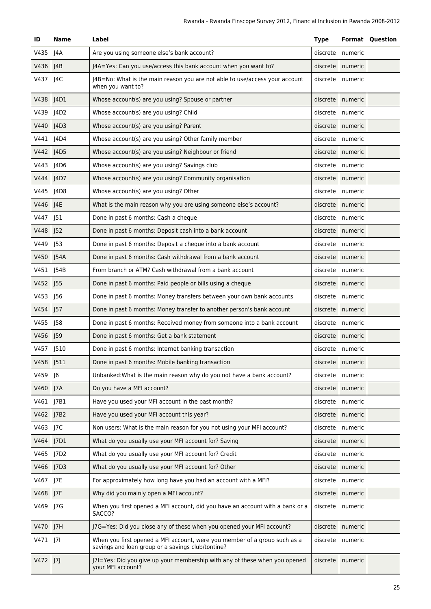| ID   | <b>Name</b>      | Label                                                                                                                          | <b>Type</b> |         | <b>Format Question</b> |
|------|------------------|--------------------------------------------------------------------------------------------------------------------------------|-------------|---------|------------------------|
| V435 | J4A              | Are you using someone else's bank account?                                                                                     | discrete    | numeric |                        |
| V436 | JAB              | J4A=Yes: Can you use/access this bank account when you want to?                                                                | discrete    | numeric |                        |
| V437 | J4C              | J4B=No: What is the main reason you are not able to use/access your account<br>when you want to?                               | discrete    | numeric |                        |
| V438 | 4D1              | Whose account(s) are you using? Spouse or partner                                                                              | discrete    | numeric |                        |
| V439 | J4D2             | Whose account(s) are you using? Child                                                                                          | discrete    | numeric |                        |
| V440 | J4D3             | Whose account(s) are you using? Parent                                                                                         | discrete    | numeric |                        |
| V441 | J4D4             | Whose account(s) are you using? Other family member                                                                            | discrete    | numeric |                        |
| V442 | J4D5             | Whose account(s) are you using? Neighbour or friend                                                                            | discrete    | numeric |                        |
| V443 | J4D6             | Whose account(s) are you using? Savings club                                                                                   | discrete    | numeric |                        |
| V444 | J4D7             | Whose account(s) are you using? Community organisation                                                                         | discrete    | numeric |                        |
| V445 | J4D8             | Whose account(s) are you using? Other                                                                                          | discrete    | numeric |                        |
| V446 | J4E              | What is the main reason why you are using someone else's account?                                                              | discrete    | numeric |                        |
| V447 | J51              | Done in past 6 months: Cash a cheque                                                                                           | discrete    | numeric |                        |
| V448 | J52              | Done in past 6 months: Deposit cash into a bank account                                                                        | discrete    | numeric |                        |
| V449 | J53              | Done in past 6 months: Deposit a cheque into a bank account                                                                    | discrete    | numeric |                        |
| V450 | J54A             | Done in past 6 months: Cash withdrawal from a bank account                                                                     | discrete    | numeric |                        |
| V451 | J54B             | From branch or ATM? Cash withdrawal from a bank account                                                                        | discrete    | numeric |                        |
| V452 | J55              | Done in past 6 months: Paid people or bills using a cheque                                                                     | discrete    | numeric |                        |
| V453 | J56              | Done in past 6 months: Money transfers between your own bank accounts                                                          | discrete    | numeric |                        |
| V454 | J57              | Done in past 6 months: Money transfer to another person's bank account                                                         | discrete    | numeric |                        |
| V455 | J58              | Done in past 6 months: Received money from someone into a bank account                                                         | discrete    | numeric |                        |
| V456 | J59              | Done in past 6 months: Get a bank statement                                                                                    | discrete    | numeric |                        |
| V457 | J510             | Done in past 6 months: Internet banking transaction                                                                            | discrete    | numeric |                        |
| V458 | J511             | Done in past 6 months: Mobile banking transaction                                                                              | discrete    | numeric |                        |
| V459 | J <sub>6</sub>   | Unbanked: What is the main reason why do you not have a bank account?                                                          | discrete    | numeric |                        |
| V460 | J7A              | Do you have a MFI account?                                                                                                     | discrete    | numeric |                        |
| V461 | J7B1             | Have you used your MFI account in the past month?                                                                              | discrete    | numeric |                        |
| V462 | J7B2             | Have you used your MFI account this year?                                                                                      | discrete    | numeric |                        |
| V463 | J7C              | Non users: What is the main reason for you not using your MFI account?                                                         | discrete    | numeric |                        |
| V464 | J <sub>7D1</sub> | What do you usually use your MFI account for? Saving                                                                           | discrete    | numeric |                        |
| V465 | J7D2             | What do you usually use your MFI account for? Credit                                                                           | discrete    | numeric |                        |
| V466 | J7D3             | What do you usually use your MFI account for? Other                                                                            | discrete    | numeric |                        |
| V467 | J7E              | For approximately how long have you had an account with a MFI?                                                                 | discrete    | numeric |                        |
| V468 | J7F              | Why did you mainly open a MFI account?                                                                                         | discrete    | numeric |                        |
| V469 | J7G              | When you first opened a MFI account, did you have an account with a bank or a<br>SACCO?                                        | discrete    | numeric |                        |
| V470 | J7H              | J7G=Yes: Did you close any of these when you opened your MFI account?                                                          | discrete    | numeric |                        |
| V471 | 7                | When you first opened a MFI account, were you member of a group such as a<br>savings and loan group or a savings club/tontine? | discrete    | numeric |                        |
| V472 | J7               | J7I=Yes: Did you give up your membership with any of these when you opened<br>your MFI account?                                | discrete    | numeric |                        |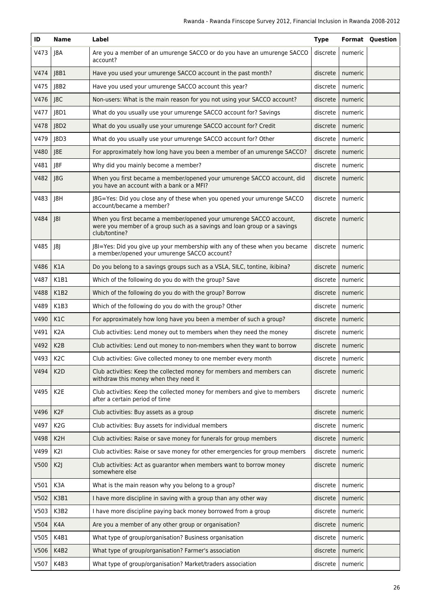| ID   | <b>Name</b>      | Label                                                                                                                                                           | <b>Type</b> |                    | <b>Format Question</b> |
|------|------------------|-----------------------------------------------------------------------------------------------------------------------------------------------------------------|-------------|--------------------|------------------------|
| V473 | J8A              | Are you a member of an umurenge SACCO or do you have an umurenge SACCO<br>account?                                                                              | discrete    | numeric            |                        |
| V474 | 8B1              | Have you used your umurenge SACCO account in the past month?                                                                                                    | discrete    | numeric            |                        |
| V475 | 8B2              | Have you used your umurenge SACCO account this year?                                                                                                            | discrete    | numeric            |                        |
| V476 | 8C               | Non-users: What is the main reason for you not using your SACCO account?                                                                                        | discrete    | numeric            |                        |
| V477 | 8D1              | What do you usually use your umurenge SACCO account for? Savings                                                                                                | discrete    | numeric            |                        |
| V478 | 8D2              | What do you usually use your umurenge SACCO account for? Credit                                                                                                 | discrete    | numeric            |                        |
| V479 | 8D3              | What do you usually use your umurenge SACCO account for? Other                                                                                                  | discrete    | numeric            |                        |
| V480 | J8E              | For approximately how long have you been a member of an umurenge SACCO?                                                                                         | discrete    | numeric            |                        |
| V481 | J8F              | Why did you mainly become a member?                                                                                                                             | discrete    | numeric            |                        |
| V482 | J8G              | When you first became a member/opened your umurenge SACCO account, did<br>you have an account with a bank or a MFI?                                             | discrete    | numeric            |                        |
| V483 | J8H              | J8G=Yes: Did you close any of these when you opened your umurenge SACCO<br>account/became a member?                                                             | discrete    | numeric            |                        |
| V484 | 8                | When you first became a member/opened your umurenge SACCO account,<br>were you member of a group such as a savings and loan group or a savings<br>club/tontine? | discrete    | numeric            |                        |
| V485 | 8                | J8I=Yes: Did you give up your membership with any of these when you became<br>a member/opened your umurenge SACCO account?                                      | discrete    | numeric            |                        |
| V486 | K1A              | Do you belong to a savings groups such as a VSLA, SILC, tontine, ikibina?                                                                                       | discrete    | numeric            |                        |
| V487 | K1B1             | Which of the following do you do with the group? Save                                                                                                           | discrete    | numeric            |                        |
| V488 | K1B2             | Which of the following do you do with the group? Borrow                                                                                                         | discrete    | numeric            |                        |
| V489 | K1B3             | Which of the following do you do with the group? Other                                                                                                          | discrete    | numeric            |                        |
| V490 | K1C              | For approximately how long have you been a member of such a group?                                                                                              | discrete    | numeric            |                        |
| V491 | K <sub>2</sub> A | Club activities: Lend money out to members when they need the money                                                                                             | discrete    | numeric            |                        |
| V492 | K <sub>2</sub> B | Club activities: Lend out money to non-members when they want to borrow                                                                                         | discrete    | numeric            |                        |
| V493 | K <sub>2</sub> C | Club activities: Give collected money to one member every month                                                                                                 |             | discrete   numeric |                        |
| V494 | K <sub>2</sub> D | Club activities: Keep the collected money for members and members can<br>withdraw this money when they need it                                                  | discrete    | numeric            |                        |
| V495 | K <sub>2</sub> E | Club activities: Keep the collected money for members and give to members<br>after a certain period of time                                                     | discrete    | numeric            |                        |
| V496 | K <sub>2F</sub>  | Club activities: Buy assets as a group                                                                                                                          | discrete    | numeric            |                        |
| V497 | K <sub>2</sub> G | Club activities: Buy assets for individual members                                                                                                              | discrete    | numeric            |                        |
| V498 | K <sub>2</sub> H | Club activities: Raise or save money for funerals for group members                                                                                             | discrete    | numeric            |                        |
| V499 | K2I              | Club activities: Raise or save money for other emergencies for group members                                                                                    | discrete    | numeric            |                        |
| V500 | K2               | Club activities: Act as guarantor when members want to borrow money<br>somewhere else                                                                           | discrete    | numeric            |                        |
| V501 | K3A              | What is the main reason why you belong to a group?                                                                                                              | discrete    | numeric            |                        |
| V502 | K3B1             | I have more discipline in saving with a group than any other way                                                                                                | discrete    | numeric            |                        |
| V503 | K3B2             | I have more discipline paying back money borrowed from a group                                                                                                  | discrete    | numeric            |                        |
| V504 | K4A              | Are you a member of any other group or organisation?                                                                                                            | discrete    | numeric            |                        |
| V505 | K4B1             | What type of group/organisation? Business organisation                                                                                                          | discrete    | numeric            |                        |
| V506 | K4B2             | What type of group/organisation? Farmer's association                                                                                                           | discrete    | numeric            |                        |
| V507 | K4B3             | What type of group/organisation? Market/traders association                                                                                                     | discrete    | numeric            |                        |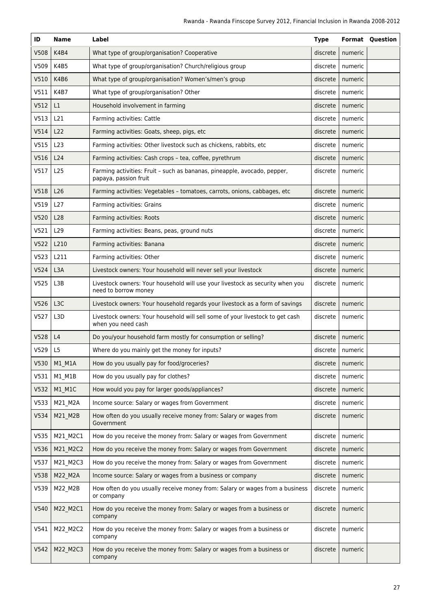| ID               | <b>Name</b>      | Label                                                                                                 | <b>Type</b> |         | <b>Format Question</b> |
|------------------|------------------|-------------------------------------------------------------------------------------------------------|-------------|---------|------------------------|
| V508             | K4B4             | What type of group/organisation? Cooperative                                                          | discrete    | numeric |                        |
| V509             | K4B5             | What type of group/organisation? Church/religious group                                               | discrete    | numeric |                        |
| V510             | K4B6             | What type of group/organisation? Women's/men's group                                                  | discrete    | numeric |                        |
| V511             | K4B7             | What type of group/organisation? Other                                                                | discrete    | numeric |                        |
| V512             | L1               | Household involvement in farming                                                                      | discrete    | numeric |                        |
| V513             | L21              | Farming activities: Cattle                                                                            | discrete    | numeric |                        |
| V514             | L22              | Farming activities: Goats, sheep, pigs, etc                                                           | discrete    | numeric |                        |
| V515             | L23              | Farming activities: Other livestock such as chickens, rabbits, etc                                    | discrete    | numeric |                        |
| V516             | L24              | Farming activities: Cash crops - tea, coffee, pyrethrum                                               | discrete    | numeric |                        |
| V517             | L25              | Farming activities: Fruit - such as bananas, pineapple, avocado, pepper,<br>papaya, passion fruit     | discrete    | numeric |                        |
| V518             | L26              | Farming activities: Vegetables - tomatoes, carrots, onions, cabbages, etc.                            | discrete    | numeric |                        |
| V519             | L27              | Farming activities: Grains                                                                            | discrete    | numeric |                        |
| V520             | L28              | Farming activities: Roots                                                                             | discrete    | numeric |                        |
| V521             | L <sub>29</sub>  | Farming activities: Beans, peas, ground nuts                                                          | discrete    | numeric |                        |
| V522             | L210             | Farming activities: Banana                                                                            | discrete    | numeric |                        |
| V <sub>523</sub> | L211             | Farming activities: Other                                                                             | discrete    | numeric |                        |
| V524             | L <sub>3</sub> A | Livestock owners: Your household will never sell your livestock                                       | discrete    | numeric |                        |
| V525             | L3B              | Livestock owners: Your household will use your livestock as security when you<br>need to borrow money | discrete    | numeric |                        |
| V526             | L <sub>3</sub> C | Livestock owners: Your household regards your livestock as a form of savings                          | discrete    | numeric |                        |
| V527             | L <sub>3</sub> D | Livestock owners: Your household will sell some of your livestock to get cash<br>when you need cash   | discrete    | numeric |                        |
| V528             | L4               | Do you/your household farm mostly for consumption or selling?                                         | discrete    | numeric |                        |
| V529             | L5               | Where do you mainly get the money for inputs?                                                         | discrete    | numeric |                        |
| V530             | M1 M1A           | How do you usually pay for food/groceries?                                                            | discrete    | numeric |                        |
| V531             | $M1$ $M1B$       | How do you usually pay for clothes?                                                                   | discrete    | numeric |                        |
| V532             | M1_M1C           | How would you pay for larger goods/appliances?                                                        | discrete    | numeric |                        |
| V533             | M21_M2A          | Income source: Salary or wages from Government                                                        | discrete    | numeric |                        |
| V534             | M21_M2B          | How often do you usually receive money from: Salary or wages from<br>Government                       | discrete    | numeric |                        |
| V535             | M21_M2C1         | How do you receive the money from: Salary or wages from Government                                    | discrete    | numeric |                        |
| V536             | M21_M2C2         | How do you receive the money from: Salary or wages from Government                                    | discrete    | numeric |                        |
| V537             | M21_M2C3         | How do you receive the money from: Salary or wages from Government                                    | discrete    | numeric |                        |
| V538             | M22_M2A          | Income source: Salary or wages from a business or company                                             | discrete    | numeric |                        |
| V539             | M22_M2B          | How often do you usually receive money from: Salary or wages from a business<br>or company            | discrete    | numeric |                        |
| V540             | M22_M2C1         | How do you receive the money from: Salary or wages from a business or<br>company                      | discrete    | numeric |                        |
| V541             | M22_M2C2         | How do you receive the money from: Salary or wages from a business or<br>company                      | discrete    | numeric |                        |
| V542             | M22_M2C3         | How do you receive the money from: Salary or wages from a business or<br>company                      | discrete    | numeric |                        |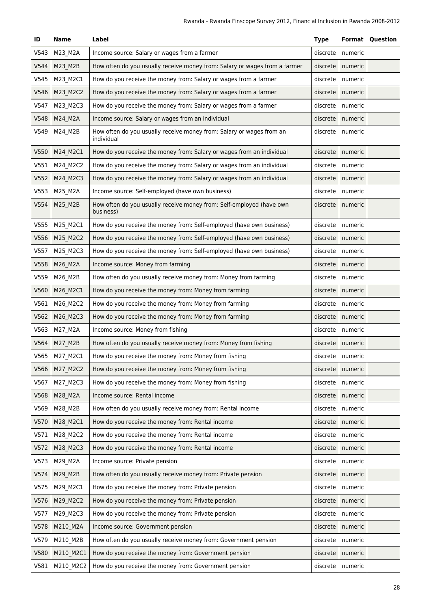| ID   | <b>Name</b> | Label                                                                              | <b>Type</b> |                    | <b>Format Question</b> |
|------|-------------|------------------------------------------------------------------------------------|-------------|--------------------|------------------------|
| V543 | M23_M2A     | Income source: Salary or wages from a farmer                                       | discrete    | numeric            |                        |
| V544 | M23_M2B     | How often do you usually receive money from: Salary or wages from a farmer         | discrete    | numeric            |                        |
| V545 | M23_M2C1    | How do you receive the money from: Salary or wages from a farmer                   | discrete    | numeric            |                        |
| V546 | M23_M2C2    | How do you receive the money from: Salary or wages from a farmer                   | discrete    | numeric            |                        |
| V547 | M23_M2C3    | How do you receive the money from: Salary or wages from a farmer                   | discrete    | numeric            |                        |
| V548 | M24_M2A     | Income source: Salary or wages from an individual                                  | discrete    | numeric            |                        |
| V549 | M24_M2B     | How often do you usually receive money from: Salary or wages from an<br>individual | discrete    | numeric            |                        |
| V550 | M24_M2C1    | How do you receive the money from: Salary or wages from an individual              | discrete    | numeric            |                        |
| V551 | M24_M2C2    | How do you receive the money from: Salary or wages from an individual              | discrete    | numeric            |                        |
| V552 | M24_M2C3    | How do you receive the money from: Salary or wages from an individual              | discrete    | numeric            |                        |
| V553 | M25_M2A     | Income source: Self-employed (have own business)                                   | discrete    | numeric            |                        |
| V554 | M25_M2B     | How often do you usually receive money from: Self-employed (have own<br>business)  | discrete    | numeric            |                        |
| V555 | M25_M2C1    | How do you receive the money from: Self-employed (have own business)               | discrete    | numeric            |                        |
| V556 | M25_M2C2    | How do you receive the money from: Self-employed (have own business)               | discrete    | numeric            |                        |
| V557 | M25_M2C3    | How do you receive the money from: Self-employed (have own business)               | discrete    | numeric            |                        |
| V558 | M26_M2A     | Income source: Money from farming                                                  | discrete    | numeric            |                        |
| V559 | M26_M2B     | How often do you usually receive money from: Money from farming                    | discrete    | numeric            |                        |
| V560 | M26_M2C1    | How do you receive the money from: Money from farming                              | discrete    | numeric            |                        |
| V561 | M26_M2C2    | How do you receive the money from: Money from farming                              | discrete    | numeric            |                        |
| V562 | M26_M2C3    | How do you receive the money from: Money from farming                              | discrete    | numeric            |                        |
| V563 | M27_M2A     | Income source: Money from fishing                                                  | discrete    | numeric            |                        |
| V564 | M27_M2B     | How often do you usually receive money from: Money from fishing                    | discrete    | numeric            |                        |
| V565 | M27 M2C1    | How do you receive the money from: Money from fishing                              |             | discrete   numeric |                        |
| V566 | M27 M2C2    | How do you receive the money from: Money from fishing                              | discrete    | numeric            |                        |
| V567 | M27_M2C3    | How do you receive the money from: Money from fishing                              | discrete    | numeric            |                        |
| V568 | M28_M2A     | Income source: Rental income                                                       | discrete    | numeric            |                        |
| V569 | M28_M2B     | How often do you usually receive money from: Rental income                         | discrete    | numeric            |                        |
| V570 | M28_M2C1    | How do you receive the money from: Rental income                                   | discrete    | numeric            |                        |
| V571 | M28_M2C2    | How do you receive the money from: Rental income                                   | discrete    | numeric            |                        |
| V572 | M28_M2C3    | How do you receive the money from: Rental income                                   | discrete    | numeric            |                        |
| V573 | M29_M2A     | Income source: Private pension                                                     | discrete    | numeric            |                        |
| V574 | M29_M2B     | How often do you usually receive money from: Private pension                       | discrete    | numeric            |                        |
| V575 | M29_M2C1    | How do you receive the money from: Private pension                                 | discrete    | numeric            |                        |
| V576 | M29_M2C2    | How do you receive the money from: Private pension                                 | discrete    | numeric            |                        |
| V577 | M29_M2C3    | How do you receive the money from: Private pension                                 | discrete    | numeric            |                        |
| V578 | M210_M2A    | Income source: Government pension                                                  | discrete    | numeric            |                        |
| V579 | M210_M2B    | How often do you usually receive money from: Government pension                    | discrete    | numeric            |                        |
| V580 | M210_M2C1   | How do you receive the money from: Government pension                              | discrete    | numeric            |                        |
| V581 | M210_M2C2   | How do you receive the money from: Government pension                              | discrete    | numeric            |                        |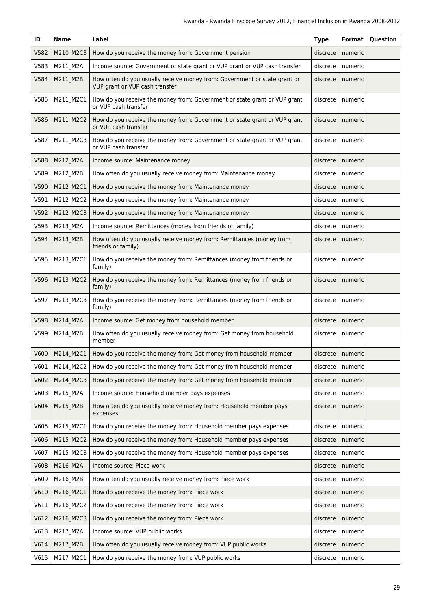| ID   | Name      | Label                                                                                                       | <b>Type</b> |                    | <b>Format Question</b> |
|------|-----------|-------------------------------------------------------------------------------------------------------------|-------------|--------------------|------------------------|
| V582 | M210 M2C3 | How do you receive the money from: Government pension                                                       | discrete    | numeric            |                        |
| V583 | M211_M2A  | Income source: Government or state grant or VUP grant or VUP cash transfer                                  | discrete    | numeric            |                        |
| V584 | M211_M2B  | How often do you usually receive money from: Government or state grant or<br>VUP grant or VUP cash transfer | discrete    | numeric            |                        |
| V585 | M211_M2C1 | How do you receive the money from: Government or state grant or VUP grant<br>or VUP cash transfer           | discrete    | numeric            |                        |
| V586 | M211_M2C2 | How do you receive the money from: Government or state grant or VUP grant<br>or VUP cash transfer           | discrete    | numeric            |                        |
| V587 | M211_M2C3 | How do you receive the money from: Government or state grant or VUP grant<br>or VUP cash transfer           | discrete    | numeric            |                        |
| V588 | M212_M2A  | Income source: Maintenance money                                                                            | discrete    | numeric            |                        |
| V589 | M212_M2B  | How often do you usually receive money from: Maintenance money                                              | discrete    | numeric            |                        |
| V590 | M212_M2C1 | How do you receive the money from: Maintenance money                                                        | discrete    | numeric            |                        |
| V591 | M212_M2C2 | How do you receive the money from: Maintenance money                                                        | discrete    | numeric            |                        |
| V592 | M212_M2C3 | How do you receive the money from: Maintenance money                                                        | discrete    | numeric            |                        |
| V593 | M213_M2A  | Income source: Remittances (money from friends or family)                                                   | discrete    | numeric            |                        |
| V594 | M213_M2B  | How often do you usually receive money from: Remittances (money from<br>friends or family)                  | discrete    | numeric            |                        |
| V595 | M213_M2C1 | How do you receive the money from: Remittances (money from friends or<br>family)                            | discrete    | numeric            |                        |
| V596 | M213_M2C2 | How do you receive the money from: Remittances (money from friends or<br>family)                            | discrete    | numeric            |                        |
| V597 | M213_M2C3 | How do you receive the money from: Remittances (money from friends or<br>family)                            | discrete    | numeric            |                        |
| V598 | M214_M2A  | Income source: Get money from household member                                                              | discrete    | numeric            |                        |
| V599 | M214_M2B  | How often do you usually receive money from: Get money from household<br>member                             | discrete    | numeric            |                        |
| V600 | M214 M2C1 | How do you receive the money from: Get money from household member                                          |             | discrete   numeric |                        |
| V601 | M214_M2C2 | How do you receive the money from: Get money from household member                                          | discrete    | numeric            |                        |
| V602 | M214_M2C3 | How do you receive the money from: Get money from household member                                          | discrete    | numeric            |                        |
| V603 | M215_M2A  | Income source: Household member pays expenses                                                               | discrete    | numeric            |                        |
| V604 | M215 M2B  | How often do you usually receive money from: Household member pays<br>expenses                              | discrete    | numeric            |                        |
| V605 | M215 M2C1 | How do you receive the money from: Household member pays expenses                                           | discrete    | numeric            |                        |
| V606 | M215_M2C2 | How do you receive the money from: Household member pays expenses                                           | discrete    | numeric            |                        |
| V607 | M215_M2C3 | How do you receive the money from: Household member pays expenses                                           | discrete    | numeric            |                        |
| V608 | M216_M2A  | Income source: Piece work                                                                                   | discrete    | numeric            |                        |
| V609 | M216_M2B  | How often do you usually receive money from: Piece work                                                     | discrete    | numeric            |                        |
| V610 | M216_M2C1 | How do you receive the money from: Piece work                                                               | discrete    | numeric            |                        |
| V611 | M216_M2C2 | How do you receive the money from: Piece work                                                               | discrete    | numeric            |                        |
| V612 | M216_M2C3 | How do you receive the money from: Piece work                                                               | discrete    | numeric            |                        |
| V613 | M217_M2A  | Income source: VUP public works                                                                             | discrete    | numeric            |                        |
| V614 | M217_M2B  | How often do you usually receive money from: VUP public works                                               | discrete    | numeric            |                        |
| V615 | M217_M2C1 | How do you receive the money from: VUP public works                                                         | discrete    | numeric            |                        |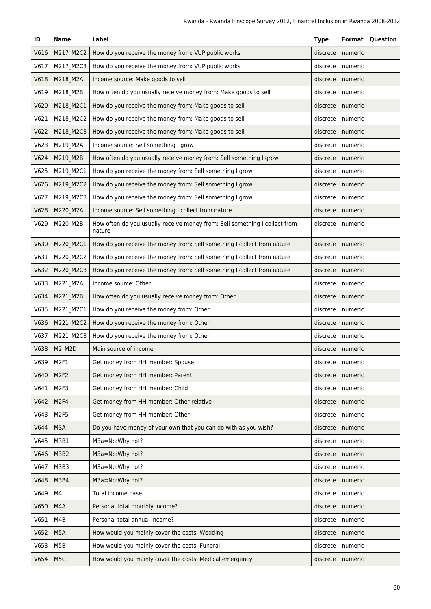| ID   | <b>Name</b>      | Label                                                                                | <b>Type</b> |         | <b>Format Question</b> |
|------|------------------|--------------------------------------------------------------------------------------|-------------|---------|------------------------|
| V616 | M217_M2C2        | How do you receive the money from: VUP public works                                  | discrete    | numeric |                        |
| V617 | M217_M2C3        | How do you receive the money from: VUP public works                                  | discrete    | numeric |                        |
| V618 | M218_M2A         | Income source: Make goods to sell                                                    | discrete    | numeric |                        |
| V619 | M218_M2B         | How often do you usually receive money from: Make goods to sell                      | discrete    | numeric |                        |
| V620 | M218_M2C1        | How do you receive the money from: Make goods to sell                                | discrete    | numeric |                        |
| V621 | M218_M2C2        | How do you receive the money from: Make goods to sell                                | discrete    | numeric |                        |
| V622 | M218_M2C3        | How do you receive the money from: Make goods to sell                                | discrete    | numeric |                        |
| V623 | M219_M2A         | Income source: Sell something I grow                                                 | discrete    | numeric |                        |
| V624 | M219_M2B         | How often do you usually receive money from: Sell something I grow                   | discrete    | numeric |                        |
| V625 | M219_M2C1        | How do you receive the money from: Sell something I grow                             | discrete    | numeric |                        |
| V626 | M219_M2C2        | How do you receive the money from: Sell something I grow                             | discrete    | numeric |                        |
| V627 | M219_M2C3        | How do you receive the money from: Sell something I grow                             | discrete    | numeric |                        |
| V628 | M220_M2A         | Income source: Sell something I collect from nature                                  | discrete    | numeric |                        |
| V629 | M220_M2B         | How often do you usually receive money from: Sell something I collect from<br>nature | discrete    | numeric |                        |
| V630 | M220_M2C1        | How do you receive the money from: Sell something I collect from nature              | discrete    | numeric |                        |
| V631 | M220_M2C2        | How do you receive the money from: Sell something I collect from nature              | discrete    | numeric |                        |
| V632 | M220_M2C3        | How do you receive the money from: Sell something I collect from nature              | discrete    | numeric |                        |
| V633 | M221_M2A         | Income source: Other                                                                 | discrete    | numeric |                        |
| V634 | M221_M2B         | How often do you usually receive money from: Other                                   | discrete    | numeric |                        |
| V635 | M221_M2C1        | How do you receive the money from: Other                                             | discrete    | numeric |                        |
| V636 | M221_M2C2        | How do you receive the money from: Other                                             | discrete    | numeric |                        |
| V637 | M221 M2C3        | How do you receive the money from: Other                                             | discrete    | numeric |                        |
| V638 | M2_M2D           | Main source of income                                                                | discrete    | numeric |                        |
| V639 | M2F1             | Get money from HH member: Spouse                                                     | discrete    | numeric |                        |
| V640 | M <sub>2F2</sub> | Get money from HH member: Parent                                                     | discrete    | numeric |                        |
| V641 | M <sub>2F3</sub> | Get money from HH member: Child                                                      | discrete    | numeric |                        |
| V642 | M <sub>2F4</sub> | Get money from HH member: Other relative                                             | discrete    | numeric |                        |
| V643 | M <sub>2F5</sub> | Get money from HH member: Other                                                      | discrete    | numeric |                        |
| V644 | M3A              | Do you have money of your own that you can do with as you wish?                      | discrete    | numeric |                        |
| V645 | M3B1             | M3a=No:Why not?                                                                      | discrete    | numeric |                        |
| V646 | M3B2             | M3a=No:Why not?                                                                      | discrete    | numeric |                        |
| V647 | M3B3             | M3a=No:Why not?                                                                      | discrete    | numeric |                        |
| V648 | M3B4             | M3a=No:Why not?                                                                      | discrete    | numeric |                        |
| V649 | M4               | Total income base                                                                    | discrete    | numeric |                        |
| V650 | M4A              | Personal total monthly income?                                                       | discrete    | numeric |                        |
| V651 | M4B              | Personal total annual income?                                                        | discrete    | numeric |                        |
| V652 | M <sub>5</sub> A | How would you mainly cover the costs: Wedding                                        | discrete    | numeric |                        |
| V653 | M5B              | How would you mainly cover the costs: Funeral                                        | discrete    | numeric |                        |
| V654 | M <sub>5</sub> C | How would you mainly cover the costs: Medical emergency                              | discrete    | numeric |                        |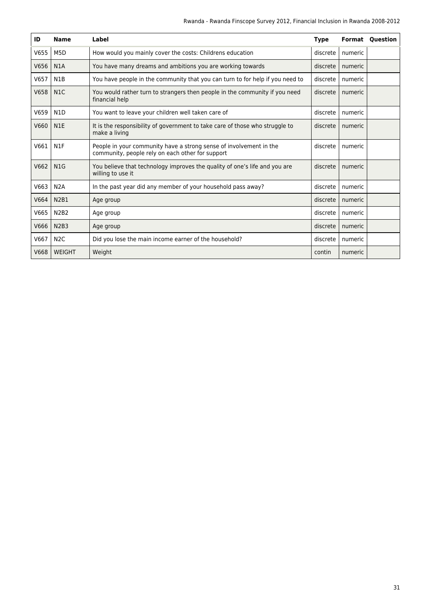| ID   | <b>Name</b>      | Label                                                                                                                  | <b>Type</b> | Format  | <b>Ouestion</b> |
|------|------------------|------------------------------------------------------------------------------------------------------------------------|-------------|---------|-----------------|
| V655 | M <sub>5</sub> D | How would you mainly cover the costs: Childrens education                                                              | discrete    | numeric |                 |
| V656 | N <sub>1</sub> A | You have many dreams and ambitions you are working towards                                                             | discrete    | numeric |                 |
| V657 | N <sub>1</sub> B | You have people in the community that you can turn to for help if you need to                                          | discrete    | numeric |                 |
| V658 | N1C              | You would rather turn to strangers then people in the community if you need<br>financial help                          | discrete    | numeric |                 |
| V659 | N <sub>1</sub> D | You want to leave your children well taken care of                                                                     | discrete    | numeric |                 |
| V660 | N <sub>1</sub> E | It is the responsibility of government to take care of those who struggle to<br>make a living                          | discrete    | numeric |                 |
| V661 | N <sub>1</sub> F | People in your community have a strong sense of involvement in the<br>community, people rely on each other for support | discrete    | numeric |                 |
| V662 | N1G              | You believe that technology improves the quality of one's life and you are<br>willing to use it                        | discrete    | numeric |                 |
| V663 | N2A              | In the past year did any member of your household pass away?                                                           | discrete    | numeric |                 |
| V664 | <b>N2B1</b>      | Age group                                                                                                              | discrete    | numeric |                 |
| V665 | <b>N2B2</b>      | Age group                                                                                                              | discrete    | numeric |                 |
| V666 | <b>N2B3</b>      | Age group                                                                                                              | discrete    | numeric |                 |
| V667 | N <sub>2</sub> C | Did you lose the main income earner of the household?                                                                  | discrete    | numeric |                 |
| V668 | <b>WEIGHT</b>    | Weight                                                                                                                 | contin      | numeric |                 |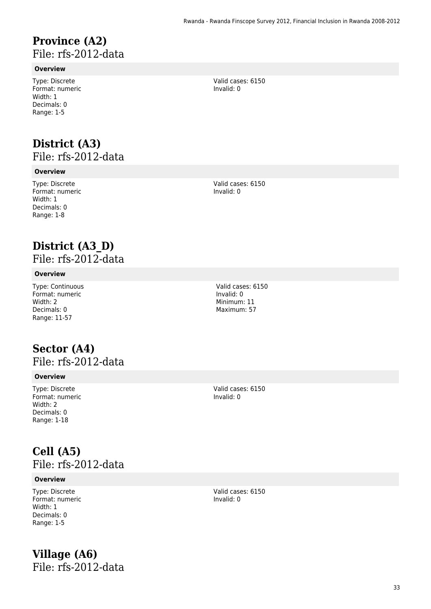### **Province (A2)**  File: rfs-2012-data

### **Overview**

Type: Discrete Format: numeric Width: 1 Decimals: 0 Range: 1-5

## **District (A3)**

File: rfs-2012-data

#### **Overview**

Type: Discrete Format: numeric Width: 1 Decimals: 0 Range: 1-8

Valid cases: 6150 Invalid: 0

Valid cases: 6150 Invalid: 0

## **District (A3\_D)**

File: rfs-2012-data

### **Overview**

Type: Continuous Format: numeric Width: 2 Decimals: 0 Range: 11-57

### **Sector (A4)**  File: rfs-2012-data

#### **Overview**

Type: Discrete Format: numeric Width: 2 Decimals: 0 Range: 1-18

Valid cases: 6150

Invalid: 0

**Cell (A5)**  File: rfs-2012-data

#### **Overview**

Type: Discrete Format: numeric Width: 1 Decimals: 0 Range: 1-5

**Village (A6)**  File: rfs-2012-data Valid cases: 6150 Invalid: 0

Valid cases: 6150 Invalid: 0 Minimum: 11

Maximum: 57

33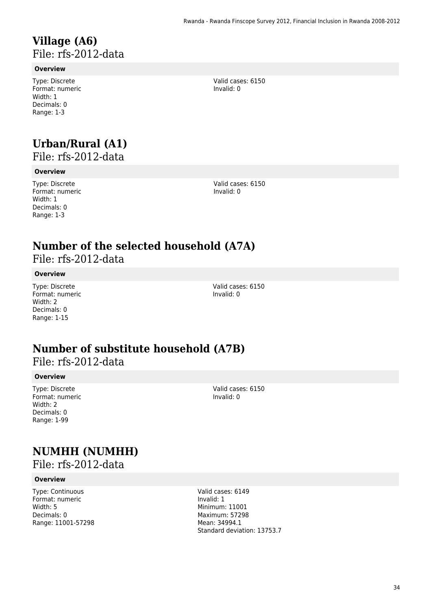### **Village (A6)**  File: rfs-2012-data

#### **Overview**

Type: Discrete Format: numeric Width: 1 Decimals: 0 Range: 1-3

## **Urban/Rural (A1)**

File: rfs-2012-data

#### **Overview**

Type: Discrete Format: numeric Width: 1 Decimals: 0 Range: 1-3

Valid cases: 6150 Invalid: 0

### **Number of the selected household (A7A)**

File: rfs-2012-data

#### **Overview**

Type: Discrete Format: numeric Width: 2 Decimals: 0 Range: 1-15

Valid cases: 6150 Invalid: 0

## **Number of substitute household (A7B)**

### File: rfs-2012-data

#### **Overview**

Type: Discrete Format: numeric Width: 2 Decimals: 0 Range: 1-99

Valid cases: 6150 Invalid: 0

## **NUMHH (NUMHH)**

File: rfs-2012-data

#### **Overview**

Type: Continuous Format: numeric Width: 5 Decimals: 0 Range: 11001-57298 Valid cases: 6149 Invalid: 1 Minimum: 11001 Maximum: 57298 Mean: 34994.1 Standard deviation: 13753.7

Valid cases: 6150 Invalid: 0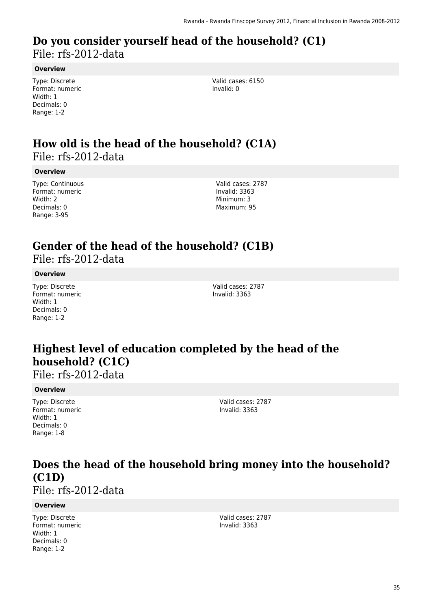### **Do you consider yourself head of the household? (C1)**  File: rfs-2012-data

#### **Overview**

Type: Discrete Format: numeric Width: 1 Decimals: 0 Range: 1-2

Valid cases: 6150 Invalid: 0

### **How old is the head of the household? (C1A)**  File: rfs-2012-data

#### **Overview**

Type: Continuous Format: numeric Width: 2 Decimals: 0 Range: 3-95

Valid cases: 2787 Invalid: 3363 Minimum: 3 Maximum: 95

## **Gender of the head of the household? (C1B)**

File: rfs-2012-data

#### **Overview**

Type: Discrete Format: numeric Width: 1 Decimals: 0 Range: 1-2

Valid cases: 2787 Invalid: 3363

## **Highest level of education completed by the head of the household? (C1C)**

File: rfs-2012-data

#### **Overview**

Type: Discrete Format: numeric Width: 1 Decimals: 0 Range: 1-8

Valid cases: 2787 Invalid: 3363

## **Does the head of the household bring money into the household? (C1D)**

File: rfs-2012-data

#### **Overview**

Type: Discrete Format: numeric Width: 1 Decimals: 0 Range: 1-2

Valid cases: 2787 Invalid: 3363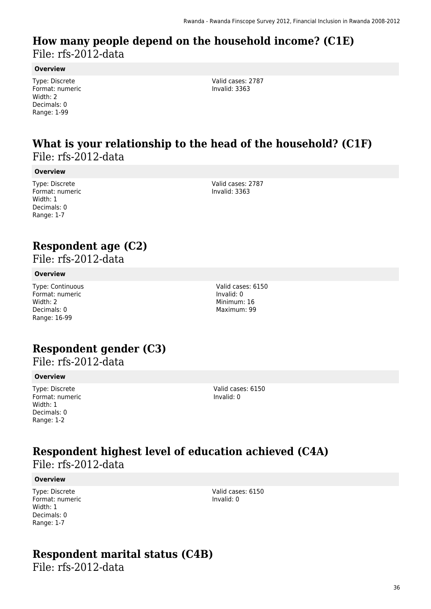### **How many people depend on the household income? (C1E)**  File: rfs-2012-data

**Overview**

Type: Discrete Format: numeric Width: 2 Decimals: 0 Range: 1-99

Valid cases: 2787 Invalid: 3363

### **What is your relationship to the head of the household? (C1F)**  File: rfs-2012-data

#### **Overview**

Type: Discrete Format: numeric Width: 1 Decimals: 0 Range: 1-7

Valid cases: 2787 Invalid: 3363

### **Respondent age (C2)**

File: rfs-2012-data

### **Overview**

Type: Continuous Format: numeric Width: 2 Decimals: 0 Range: 16-99

### **Respondent gender (C3)**

File: rfs-2012-data

#### **Overview**

Type: Discrete Format: numeric Width: 1 Decimals: 0 Range: 1-2

Valid cases: 6150 Invalid: 0

## **Respondent highest level of education achieved (C4A)**

File: rfs-2012-data

#### **Overview**

Type: Discrete Format: numeric Width: 1 Decimals: 0 Range: 1-7

Valid cases: 6150 Invalid: 0

## **Respondent marital status (C4B)**

File: rfs-2012-data

Valid cases: 6150 Invalid: 0 Minimum: 16 Maximum: 99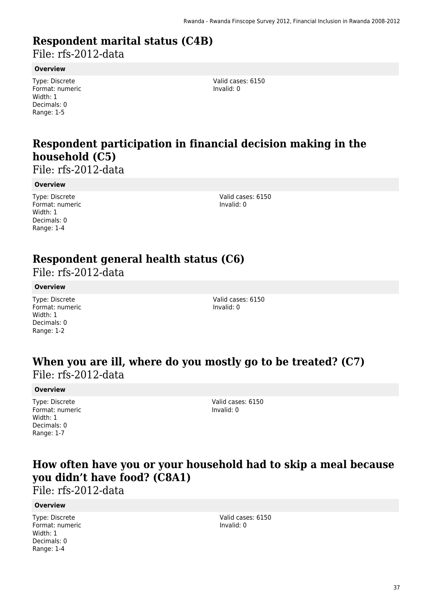## **Respondent marital status (C4B)**

File: rfs-2012-data

### **Overview**

Type: Discrete Format: numeric Width: 1 Decimals: 0 Range: 1-5

Valid cases: 6150 Invalid: 0

## **Respondent participation in financial decision making in the household (C5)**

File: rfs-2012-data

### **Overview**

Type: Discrete Format: numeric Width: 1 Decimals: 0 Range: 1-4

Valid cases: 6150 Invalid: 0

### **Respondent general health status (C6)**

File: rfs-2012-data

### **Overview**

Type: Discrete Format: numeric Width: 1 Decimals: 0 Range: 1-2

Valid cases: 6150 Invalid: 0

### **When you are ill, where do you mostly go to be treated? (C7)**  File: rfs-2012-data

#### **Overview**

Type: Discrete Format: numeric Width: 1 Decimals: 0 Range: 1-7

Valid cases: 6150 Invalid: 0

### **How often have you or your household had to skip a meal because you didn't have food? (C8A1)**

File: rfs-2012-data

#### **Overview**

Type: Discrete Format: numeric Width: 1 Decimals: 0 Range: 1-4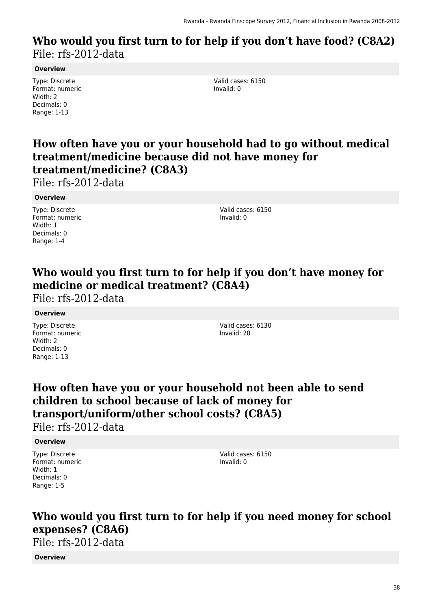### **Who would you first turn to for help if you don't have food? (C8A2)**  File: rfs-2012-data

### **Overview**

Type: Discrete Format: numeric Width: 2 Decimals: 0 Range: 1-13

Valid cases: 6150 Invalid: 0

### **How often have you or your household had to go without medical treatment/medicine because did not have money for treatment/medicine? (C8A3)**

File: rfs-2012-data

### **Overview**

Type: Discrete Format: numeric Width: 1 Decimals: 0 Range: 1-4

Valid cases: 6150 Invalid: 0

### **Who would you first turn to for help if you don't have money for medicine or medical treatment? (C8A4)**

File: rfs-2012-data

### **Overview**

Type: Discrete Format: numeric Width: 2 Decimals: 0 Range: 1-13

Valid cases: 6130 Invalid: 20

### **How often have you or your household not been able to send children to school because of lack of money for transport/uniform/other school costs? (C8A5)**

File: rfs-2012-data

### **Overview**

Type: Discrete Format: numeric Width: 1 Decimals: 0 Range: 1-5

Valid cases: 6150 Invalid: 0

## **Who would you first turn to for help if you need money for school expenses? (C8A6)**

File: rfs-2012-data

### **Overview**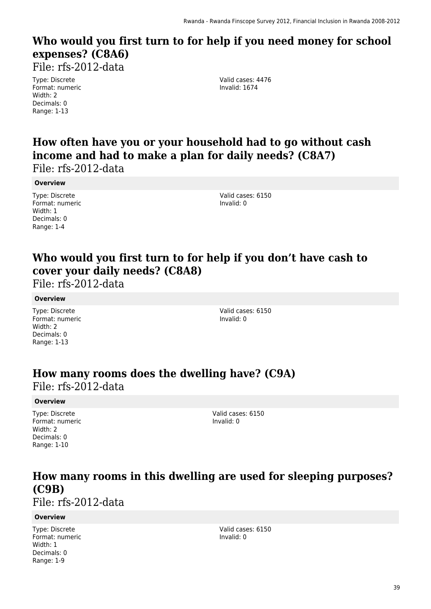## **Who would you first turn to for help if you need money for school expenses? (C8A6)**

File: rfs-2012-data

Type: Discrete Format: numeric Width: 2 Decimals: 0 Range: 1-13

Valid cases: 4476 Invalid: 1674

## **How often have you or your household had to go without cash income and had to make a plan for daily needs? (C8A7)**

File: rfs-2012-data

### **Overview**

Type: Discrete Format: numeric Width: 1 Decimals: 0 Range: 1-4

Valid cases: 6150 Invalid: 0

## **Who would you first turn to for help if you don't have cash to cover your daily needs? (C8A8)**

File: rfs-2012-data

### **Overview**

Type: Discrete Format: numeric Width: 2 Decimals: 0 Range: 1-13

Valid cases: 6150 Invalid: 0

### **How many rooms does the dwelling have? (C9A)**  File: rfs-2012-data

### **Overview**

Type: Discrete Format: numeric Width: 2 Decimals: 0 Range: 1-10

Valid cases: 6150 Invalid: 0

### **How many rooms in this dwelling are used for sleeping purposes? (C9B)**

File: rfs-2012-data

### **Overview**

Type: Discrete Format: numeric Width: 1 Decimals: 0 Range: 1-9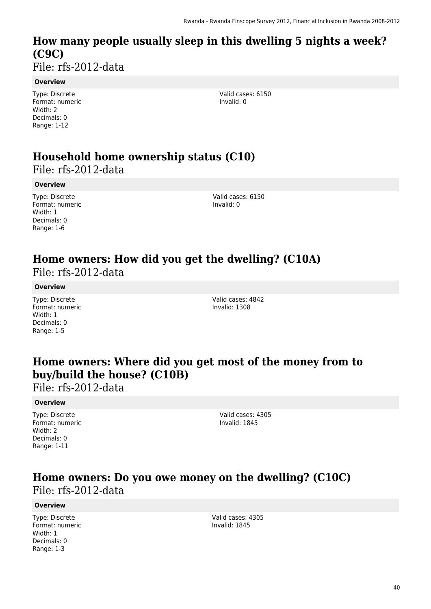## **How many people usually sleep in this dwelling 5 nights a week? (C9C)**

File: rfs-2012-data

### **Overview**

Type: Discrete Format: numeric Width: 2 Decimals: 0 Range: 1-12

Valid cases: 6150 Invalid: 0

## **Household home ownership status (C10)**

File: rfs-2012-data

### **Overview**

Type: Discrete Format: numeric Width: 1 Decimals: 0 Range: 1-6

Valid cases: 6150 Invalid: 0

# **Home owners: How did you get the dwelling? (C10A)**

File: rfs-2012-data

### **Overview**

Type: Discrete Format: numeric Width: 1 Decimals: 0 Range: 1-5

Valid cases: 4842 Invalid: 1308

### **Home owners: Where did you get most of the money from to buy/build the house? (C10B)**

File: rfs-2012-data

### **Overview**

Type: Discrete Format: numeric Width: 2 Decimals: 0 Range: 1-11

Valid cases: 4305 Invalid: 1845

### **Home owners: Do you owe money on the dwelling? (C10C)**  File: rfs-2012-data

### **Overview**

Type: Discrete Format: numeric Width: 1 Decimals: 0 Range: 1-3

Valid cases: 4305 Invalid: 1845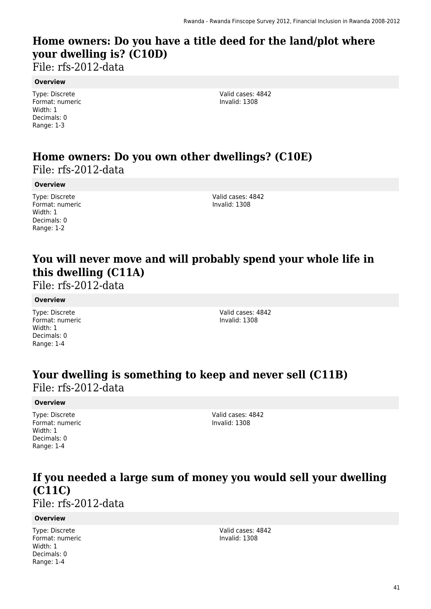## **Home owners: Do you have a title deed for the land/plot where your dwelling is? (C10D)**

File: rfs-2012-data

#### **Overview**

Type: Discrete Format: numeric Width: 1 Decimals: 0 Range: 1-3

Valid cases: 4842 Invalid: 1308

### **Home owners: Do you own other dwellings? (C10E)**  File: rfs-2012-data

### **Overview**

Type: Discrete Format: numeric Width: 1 Decimals: 0 Range: 1-2

Valid cases: 4842 Invalid: 1308

## **You will never move and will probably spend your whole life in this dwelling (C11A)**

File: rfs-2012-data

### **Overview**

Type: Discrete Format: numeric Width: 1 Decimals: 0 Range: 1-4

Valid cases: 4842 Invalid: 1308

### **Your dwelling is something to keep and never sell (C11B)**  File: rfs-2012-data

### **Overview**

Type: Discrete Format: numeric Width: 1 Decimals: 0 Range: 1-4

Valid cases: 4842 Invalid: 1308

## **If you needed a large sum of money you would sell your dwelling (C11C)**

File: rfs-2012-data

#### **Overview**

Type: Discrete Format: numeric Width: 1 Decimals: 0 Range: 1-4

Valid cases: 4842 Invalid: 1308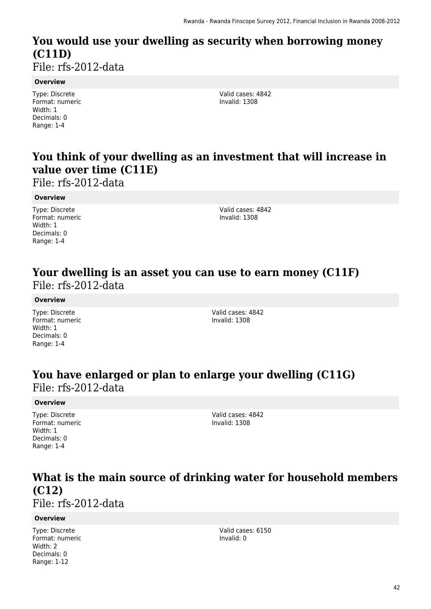## **You would use your dwelling as security when borrowing money (C11D)**

File: rfs-2012-data

#### **Overview**

Type: Discrete Format: numeric Width: 1 Decimals: 0 Range: 1-4

Valid cases: 4842 Invalid: 1308

### **You think of your dwelling as an investment that will increase in value over time (C11E)**

File: rfs-2012-data

### **Overview**

Type: Discrete Format: numeric Width: 1 Decimals: 0 Range: 1-4

Valid cases: 4842 Invalid: 1308

### **Your dwelling is an asset you can use to earn money (C11F)**  File: rfs-2012-data

### **Overview**

Type: Discrete Format: numeric Width: 1 Decimals: 0 Range: 1-4

Valid cases: 4842 Invalid: 1308

### **You have enlarged or plan to enlarge your dwelling (C11G)**  File: rfs-2012-data

#### **Overview**

Type: Discrete Format: numeric Width: 1 Decimals: 0 Range: 1-4

Valid cases: 4842 Invalid: 1308

## **What is the main source of drinking water for household members (C12)**

File: rfs-2012-data

### **Overview**

Type: Discrete Format: numeric Width: 2 Decimals: 0 Range: 1-12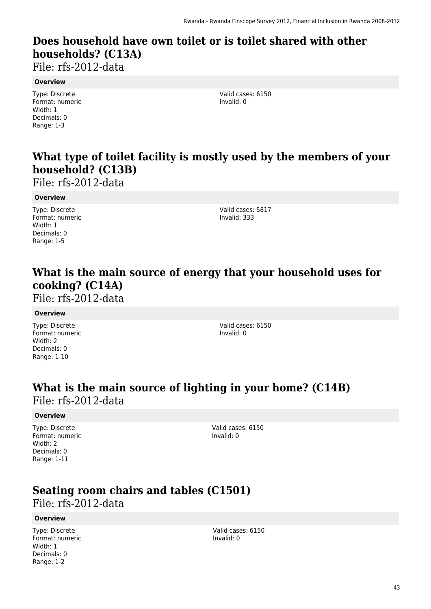## **Does household have own toilet or is toilet shared with other households? (C13A)**

File: rfs-2012-data

#### **Overview**

Type: Discrete Format: numeric Width: 1 Decimals: 0 Range: 1-3

Valid cases: 6150 Invalid: 0

## **What type of toilet facility is mostly used by the members of your household? (C13B)**

File: rfs-2012-data

#### **Overview**

Type: Discrete Format: numeric Width: 1 Decimals: 0 Range: 1-5

Valid cases: 5817 Invalid: 333

## **What is the main source of energy that your household uses for cooking? (C14A)**

File: rfs-2012-data

#### **Overview**

Type: Discrete Format: numeric Width: 2 Decimals: 0 Range: 1-10

Valid cases: 6150 Invalid: 0

### **What is the main source of lighting in your home? (C14B)**  File: rfs-2012-data

### **Overview**

Type: Discrete Format: numeric Width: 2 Decimals: 0 Range: 1-11

Valid cases: 6150 Invalid: 0

### **Seating room chairs and tables (C1501)**

File: rfs-2012-data

### **Overview**

Type: Discrete Format: numeric Width: 1 Decimals: 0 Range: 1-2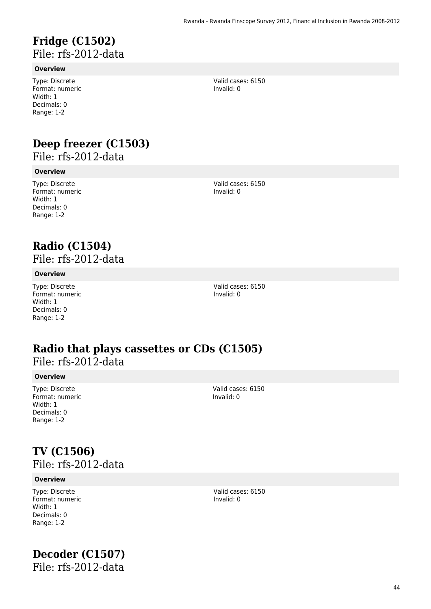### **Fridge (C1502)**  File: rfs-2012-data

### **Overview**

Type: Discrete Format: numeric Width: 1 Decimals: 0 Range: 1-2

### **Deep freezer (C1503)**

File: rfs-2012-data

#### **Overview**

Type: Discrete Format: numeric Width: 1 Decimals: 0 Range: 1-2

Valid cases: 6150 Invalid: 0

Valid cases: 6150 Invalid: 0

# **Radio (C1504)**

File: rfs-2012-data

#### **Overview**

Type: Discrete Format: numeric Width: 1 Decimals: 0 Range: 1-2

Valid cases: 6150 Invalid: 0

### **Radio that plays cassettes or CDs (C1505)**  File: rfs-2012-data

#### **Overview**

Type: Discrete Format: numeric Width: 1 Decimals: 0 Range: 1-2

Valid cases: 6150 Invalid: 0

### **TV (C1506)**  File: rfs-2012-data

#### **Overview**

Type: Discrete Format: numeric Width: 1 Decimals: 0 Range: 1-2

## **Decoder (C1507)**

File: rfs-2012-data

Valid cases: 6150 Invalid: 0

44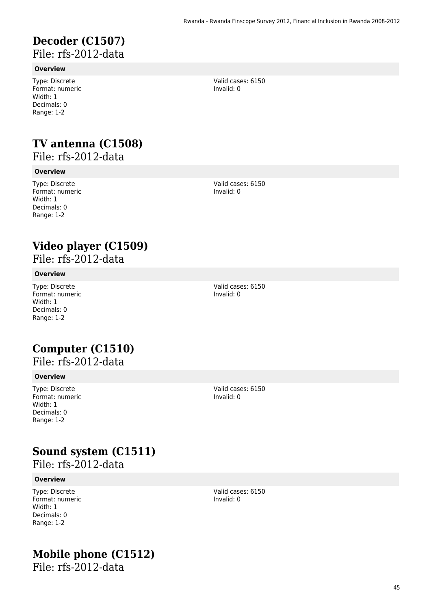### **Decoder (C1507)**  File: rfs-2012-data

### **Overview**

Type: Discrete Format: numeric Width: 1 Decimals: 0 Range: 1-2

## **TV antenna (C1508)**

File: rfs-2012-data

### **Overview**

Type: Discrete Format: numeric Width: 1 Decimals: 0 Range: 1-2

Valid cases: 6150 Invalid: 0

Valid cases: 6150 Invalid: 0

## **Video player (C1509)**

File: rfs-2012-data

### **Overview**

Type: Discrete Format: numeric Width: 1 Decimals: 0 Range: 1-2

Valid cases: 6150 Invalid: 0

# **Computer (C1510)**

## File: rfs-2012-data

#### **Overview**

Type: Discrete Format: numeric Width: 1 Decimals: 0 Range: 1-2

Valid cases: 6150 Invalid: 0

## **Sound system (C1511)**

File: rfs-2012-data

#### **Overview**

Type: Discrete Format: numeric Width: 1 Decimals: 0 Range: 1-2

## **Mobile phone (C1512)**

File: rfs-2012-data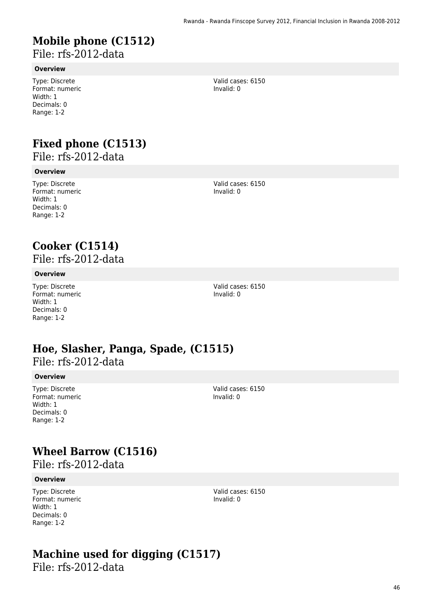## **Mobile phone (C1512)**

File: rfs-2012-data

#### **Overview**

Type: Discrete Format: numeric Width: 1 Decimals: 0 Range: 1-2

## **Fixed phone (C1513)**

File: rfs-2012-data

### **Overview**

Type: Discrete Format: numeric Width: 1 Decimals: 0 Range: 1-2

Valid cases: 6150 Invalid: 0

Valid cases: 6150

Invalid: 0

## **Cooker (C1514)**

File: rfs-2012-data

### **Overview**

Type: Discrete Format: numeric Width: 1 Decimals: 0 Range: 1-2

Valid cases: 6150 Invalid: 0

### **Hoe, Slasher, Panga, Spade, (C1515)**  File: rfs-2012-data

#### **Overview**

Type: Discrete Format: numeric Width: 1 Decimals: 0 Range: 1-2

Valid cases: 6150 Invalid: 0

## **Wheel Barrow (C1516)**

File: rfs-2012-data

#### **Overview**

Type: Discrete Format: numeric Width: 1 Decimals: 0 Range: 1-2

Valid cases: 6150 Invalid: 0

## **Machine used for digging (C1517)**

File: rfs-2012-data

46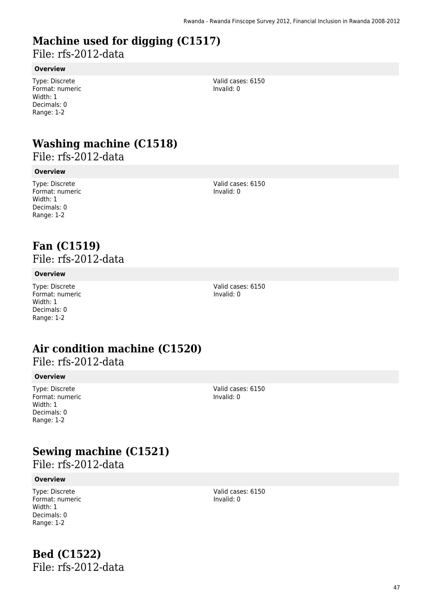# **Machine used for digging (C1517)**

File: rfs-2012-data

### **Overview**

Type: Discrete Format: numeric Width: 1 Decimals: 0 Range: 1-2

Valid cases: 6150 Invalid: 0

## **Washing machine (C1518)**

File: rfs-2012-data

### **Overview**

Type: Discrete Format: numeric Width: 1 Decimals: 0 Range: 1-2

Valid cases: 6150 Invalid: 0

### **Fan (C1519)**  File: rfs-2012-data

### **Overview**

Type: Discrete Format: numeric Width: 1 Decimals: 0 Range: 1-2

Valid cases: 6150 Invalid: 0

# **Air condition machine (C1520)**

### File: rfs-2012-data

### **Overview**

Type: Discrete Format: numeric Width: 1 Decimals: 0 Range: 1-2

Valid cases: 6150 Invalid: 0

## **Sewing machine (C1521)**

File: rfs-2012-data

### **Overview**

Type: Discrete Format: numeric Width: 1 Decimals: 0 Range: 1-2

**Bed (C1522)**  File: rfs-2012-data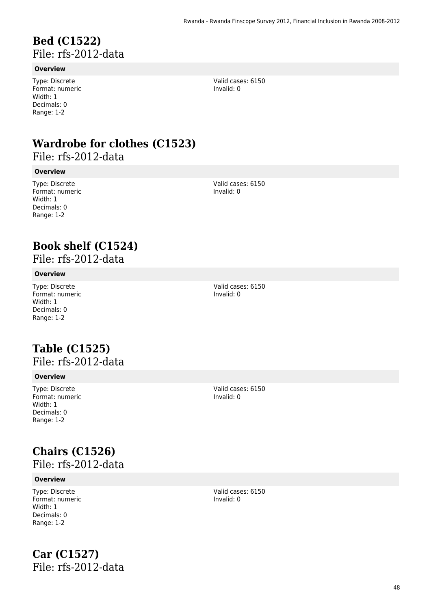### **Bed (C1522)**  File: rfs-2012-data

### **Overview**

Type: Discrete Format: numeric Width: 1 Decimals: 0 Range: 1-2

Valid cases: 6150 Invalid: 0

## **Wardrobe for clothes (C1523)**

File: rfs-2012-data

### **Overview**

Type: Discrete Format: numeric Width: 1 Decimals: 0 Range: 1-2

Valid cases: 6150 Invalid: 0

## **Book shelf (C1524)**

File: rfs-2012-data

### **Overview**

Type: Discrete Format: numeric Width: 1 Decimals: 0 Range: 1-2

Valid cases: 6150 Invalid: 0

### **Table (C1525)**  File: rfs-2012-data

#### **Overview**

Type: Discrete Format: numeric Width: 1 Decimals: 0 Range: 1-2

Valid cases: 6150 Invalid: 0

# **Chairs (C1526)**

File: rfs-2012-data

### **Overview**

Type: Discrete Format: numeric Width: 1 Decimals: 0 Range: 1-2

**Car (C1527)**  File: rfs-2012-data Valid cases: 6150 Invalid: 0

48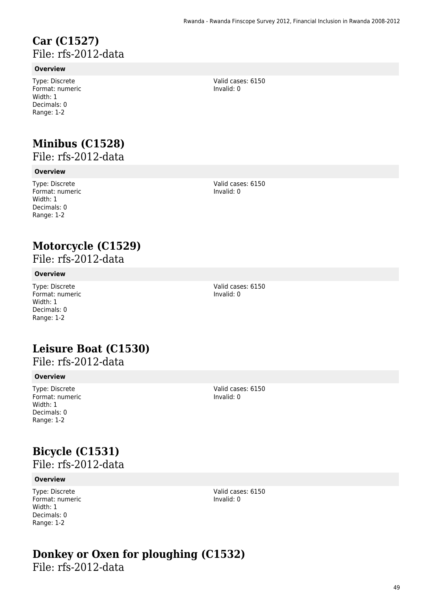### **Car (C1527)**  File: rfs-2012-data

### **Overview**

Type: Discrete Format: numeric Width: 1 Decimals: 0 Range: 1-2

## **Minibus (C1528)**

File: rfs-2012-data

### **Overview**

Type: Discrete Format: numeric Width: 1 Decimals: 0 Range: 1-2

Valid cases: 6150 Invalid: 0

Valid cases: 6150 Invalid: 0

## **Motorcycle (C1529)**

File: rfs-2012-data

### **Overview**

Type: Discrete Format: numeric Width: 1 Decimals: 0 Range: 1-2

# **Leisure Boat (C1530)**

### File: rfs-2012-data

#### **Overview**

Type: Discrete Format: numeric Width: 1 Decimals: 0 Range: 1-2

Valid cases: 6150

Invalid: 0

Valid cases: 6150 Invalid: 0

# **Bicycle (C1531)**

File: rfs-2012-data

### **Overview**

Type: Discrete Format: numeric Width: 1 Decimals: 0 Range: 1-2

Valid cases: 6150 Invalid: 0

# **Donkey or Oxen for ploughing (C1532)**

File: rfs-2012-data

49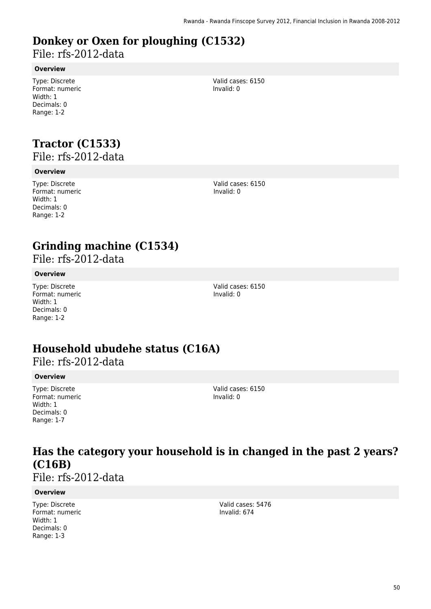# **Donkey or Oxen for ploughing (C1532)**

File: rfs-2012-data

### **Overview**

Type: Discrete Format: numeric Width: 1 Decimals: 0 Range: 1-2

Valid cases: 6150 Invalid: 0

# **Tractor (C1533)**

File: rfs-2012-data

### **Overview**

Type: Discrete Format: numeric Width: 1 Decimals: 0 Range: 1-2

Valid cases: 6150 Invalid: 0

## **Grinding machine (C1534)**

File: rfs-2012-data

### **Overview**

Type: Discrete Format: numeric Width: 1 Decimals: 0 Range: 1-2

Valid cases: 6150 Invalid: 0

## **Household ubudehe status (C16A)**

File: rfs-2012-data

### **Overview**

Type: Discrete Format: numeric Width: 1 Decimals: 0 Range: 1-7

Valid cases: 6150 Invalid: 0

## **Has the category your household is in changed in the past 2 years? (C16B)**

File: rfs-2012-data

### **Overview**

Type: Discrete Format: numeric Width: 1 Decimals: 0 Range: 1-3

Valid cases: 5476 Invalid: 674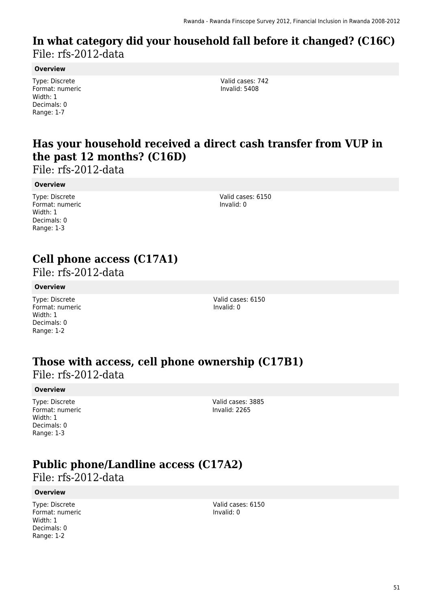### **In what category did your household fall before it changed? (C16C)**  File: rfs-2012-data

#### **Overview**

Type: Discrete Format: numeric Width: 1 Decimals: 0 Range: 1-7

Valid cases: 742 Invalid: 5408

### **Has your household received a direct cash transfer from VUP in the past 12 months? (C16D)**

File: rfs-2012-data

#### **Overview**

Type: Discrete Format: numeric Width: 1 Decimals: 0 Range: 1-3

Valid cases: 6150 Invalid: 0

## **Cell phone access (C17A1)**

File: rfs-2012-data

#### **Overview**

Type: Discrete Format: numeric Width: 1 Decimals: 0 Range: 1-2

Valid cases: 6150 Invalid: 0

# **Those with access, cell phone ownership (C17B1)**

File: rfs-2012-data

#### **Overview**

Type: Discrete Format: numeric Width: 1 Decimals: 0 Range: 1-3

Valid cases: 3885 Invalid: 2265

## **Public phone/Landline access (C17A2)**

File: rfs-2012-data

#### **Overview**

Type: Discrete Format: numeric Width: 1 Decimals: 0 Range: 1-2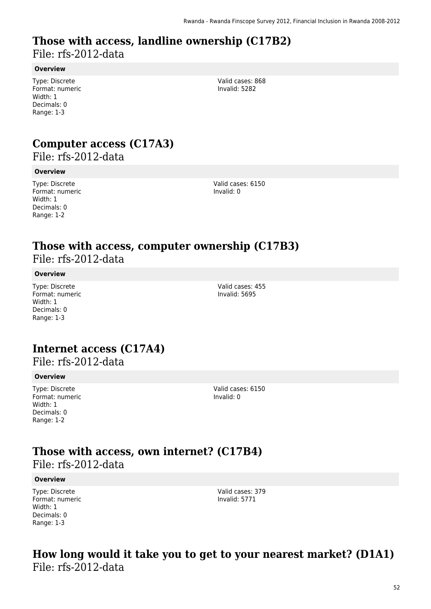### **Those with access, landline ownership (C17B2)**  File: rfs-2012-data

### **Overview**

Type: Discrete Format: numeric Width: 1 Decimals: 0 Range: 1-3

Valid cases: 868 Invalid: 5282

### **Computer access (C17A3)**

File: rfs-2012-data

### **Overview**

Type: Discrete Format: numeric Width: 1 Decimals: 0 Range: 1-2

Valid cases: 6150 Invalid: 0

### **Those with access, computer ownership (C17B3)**  File: rfs-2012-data

### **Overview**

Type: Discrete Format: numeric Width: 1 Decimals: 0 Range: 1-3

Valid cases: 455 Invalid: 5695

### **Internet access (C17A4)**

File: rfs-2012-data

#### **Overview**

Type: Discrete Format: numeric Width: 1 Decimals: 0 Range: 1-2

Valid cases: 6150 Invalid: 0

# **Those with access, own internet? (C17B4)**

File: rfs-2012-data

#### **Overview**

Type: Discrete Format: numeric Width: 1 Decimals: 0 Range: 1-3

Valid cases: 379 Invalid: 5771

### **How long would it take you to get to your nearest market? (D1A1)**  File: rfs-2012-data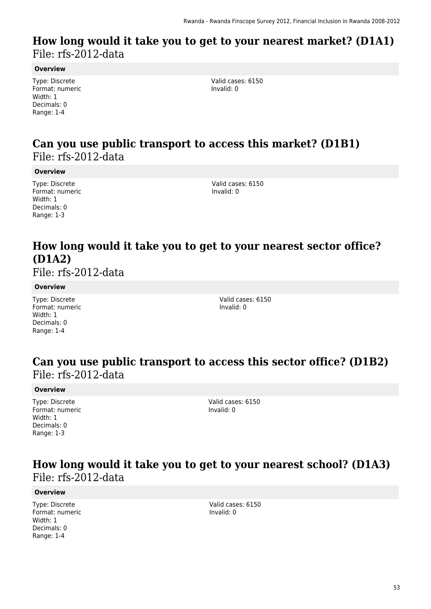### **How long would it take you to get to your nearest market? (D1A1)**  File: rfs-2012-data

#### **Overview**

Type: Discrete Format: numeric Width: 1 Decimals: 0 Range: 1-4

Valid cases: 6150 Invalid: 0

### **Can you use public transport to access this market? (D1B1)**  File: rfs-2012-data

#### **Overview**

Type: Discrete Format: numeric Width: 1 Decimals: 0 Range: 1-3

Valid cases: 6150 Invalid: 0

## **How long would it take you to get to your nearest sector office? (D1A2)**

File: rfs-2012-data

### **Overview**

Type: Discrete Format: numeric Width: 1 Decimals: 0 Range: 1-4

Valid cases: 6150 Invalid: 0

### **Can you use public transport to access this sector office? (D1B2)**  File: rfs-2012-data

#### **Overview**

Type: Discrete Format: numeric Width: 1 Decimals: 0 Range: 1-3

Valid cases: 6150 Invalid: 0

### **How long would it take you to get to your nearest school? (D1A3)**  File: rfs-2012-data

#### **Overview**

Type: Discrete Format: numeric Width: 1 Decimals: 0 Range: 1-4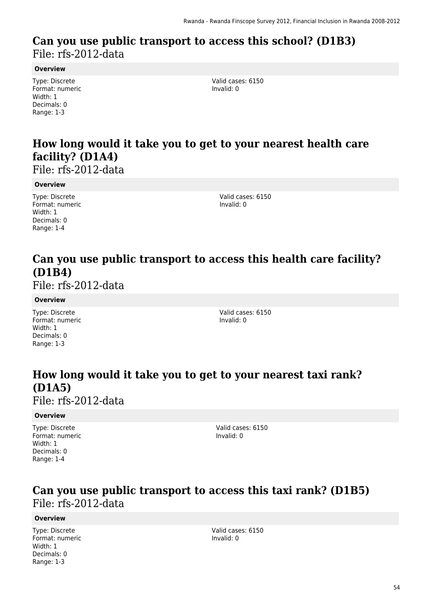### **Can you use public transport to access this school? (D1B3)**  File: rfs-2012-data

#### **Overview**

Type: Discrete Format: numeric Width: 1 Decimals: 0 Range: 1-3

Valid cases: 6150 Invalid: 0

### **How long would it take you to get to your nearest health care facility? (D1A4)**

File: rfs-2012-data

#### **Overview**

Type: Discrete Format: numeric Width: 1 Decimals: 0 Range: 1-4

Valid cases: 6150 Invalid: 0

### **Can you use public transport to access this health care facility? (D1B4)**

File: rfs-2012-data

#### **Overview**

Type: Discrete Format: numeric Width: 1 Decimals: 0 Range: 1-3

Valid cases: 6150 Invalid: 0

## **How long would it take you to get to your nearest taxi rank? (D1A5)**

File: rfs-2012-data

#### **Overview**

Type: Discrete Format: numeric Width: 1 Decimals: 0 Range: 1-4

Valid cases: 6150 Invalid: 0

### **Can you use public transport to access this taxi rank? (D1B5)**  File: rfs-2012-data

### **Overview**

Type: Discrete Format: numeric Width: 1 Decimals: 0 Range: 1-3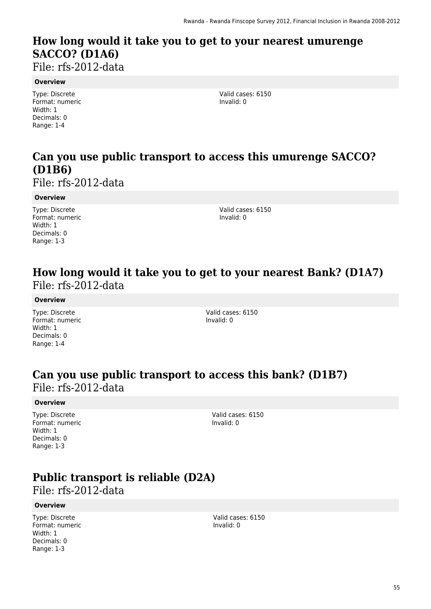## **How long would it take you to get to your nearest umurenge SACCO? (D1A6)**

File: rfs-2012-data

#### **Overview**

Type: Discrete Format: numeric Width: 1 Decimals: 0 Range: 1-4

Valid cases: 6150 Invalid: 0

### **Can you use public transport to access this umurenge SACCO? (D1B6)**

File: rfs-2012-data

#### **Overview**

Type: Discrete Format: numeric Width: 1 Decimals: 0 Range: 1-3

Valid cases: 6150 Invalid: 0

### **How long would it take you to get to your nearest Bank? (D1A7)**  File: rfs-2012-data

#### **Overview**

Type: Discrete Format: numeric Width: 1 Decimals: 0 Range: 1-4

Valid cases: 6150 Invalid: 0

### **Can you use public transport to access this bank? (D1B7)**  File: rfs-2012-data

#### **Overview**

Type: Discrete Format: numeric Width: 1 Decimals: 0 Range: 1-3

Valid cases: 6150 Invalid: 0

## **Public transport is reliable (D2A)**

File: rfs-2012-data

#### **Overview**

Type: Discrete Format: numeric Width: 1 Decimals: 0 Range: 1-3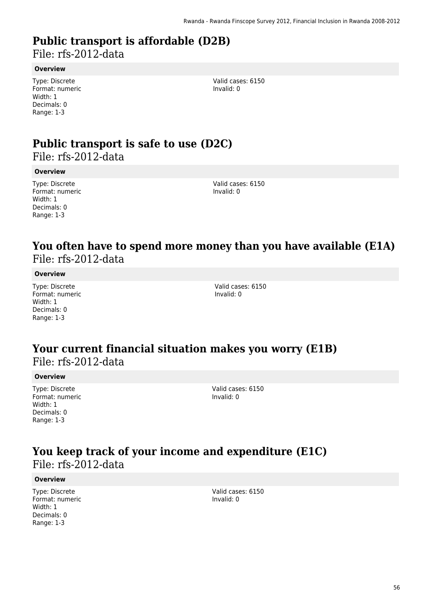## **Public transport is affordable (D2B)**

File: rfs-2012-data

#### **Overview**

Type: Discrete Format: numeric Width: 1 Decimals: 0 Range: 1-3

Valid cases: 6150 Invalid: 0

# **Public transport is safe to use (D2C)**

File: rfs-2012-data

### **Overview**

Type: Discrete Format: numeric Width: 1 Decimals: 0 Range: 1-3

Valid cases: 6150 Invalid: 0

### **You often have to spend more money than you have available (E1A)**  File: rfs-2012-data

### **Overview**

Type: Discrete Format: numeric Width: 1 Decimals: 0 Range: 1-3

Valid cases: 6150 Invalid: 0

### **Your current financial situation makes you worry (E1B)**  File: rfs-2012-data

#### **Overview**

Type: Discrete Format: numeric Width: 1 Decimals: 0 Range: 1-3

Valid cases: 6150 Invalid: 0

### **You keep track of your income and expenditure (E1C)**  File: rfs-2012-data

#### **Overview**

Type: Discrete Format: numeric Width: 1 Decimals: 0 Range: 1-3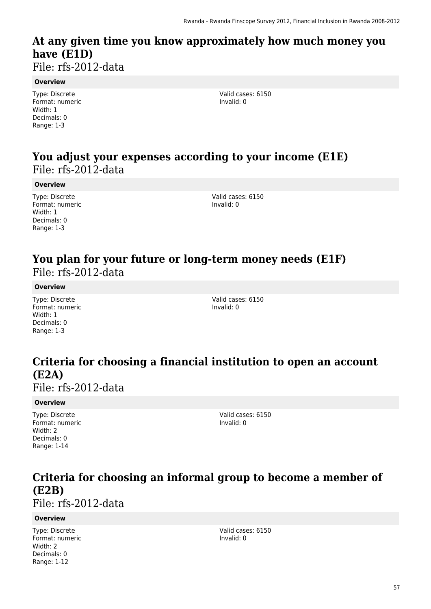## **At any given time you know approximately how much money you have (E1D)**

File: rfs-2012-data

### **Overview**

Type: Discrete Format: numeric Width: 1 Decimals: 0 Range: 1-3

Valid cases: 6150 Invalid: 0

### **You adjust your expenses according to your income (E1E)**  File: rfs-2012-data

### **Overview**

Type: Discrete Format: numeric Width: 1 Decimals: 0 Range: 1-3

Valid cases: 6150 Invalid: 0

### **You plan for your future or long-term money needs (E1F)**  File: rfs-2012-data

### **Overview**

Type: Discrete Format: numeric Width: 1 Decimals: 0 Range: 1-3

Valid cases: 6150 Invalid: 0

## **Criteria for choosing a financial institution to open an account (E2A)**

File: rfs-2012-data

### **Overview**

Type: Discrete Format: numeric Width: 2 Decimals: 0 Range: 1-14

Valid cases: 6150 Invalid: 0

## **Criteria for choosing an informal group to become a member of (E2B)**

File: rfs-2012-data

### **Overview**

Type: Discrete Format: numeric Width: 2 Decimals: 0 Range: 1-12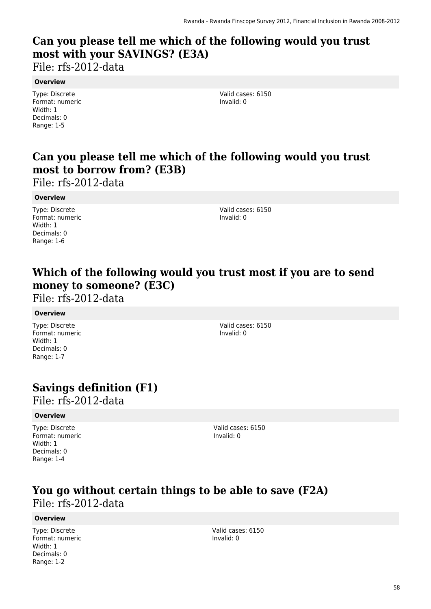## **Can you please tell me which of the following would you trust most with your SAVINGS? (E3A)**

File: rfs-2012-data

#### **Overview**

Type: Discrete Format: numeric Width: 1 Decimals: 0 Range: 1-5

Valid cases: 6150 Invalid: 0

## **Can you please tell me which of the following would you trust most to borrow from? (E3B)**

File: rfs-2012-data

### **Overview**

Type: Discrete Format: numeric Width: 1 Decimals: 0 Range: 1-6

Valid cases: 6150 Invalid: 0

### **Which of the following would you trust most if you are to send money to someone? (E3C)**

File: rfs-2012-data

### **Overview**

Type: Discrete Format: numeric Width: 1 Decimals: 0 Range: 1-7

Valid cases: 6150 Invalid: 0

## **Savings definition (F1)**

File: rfs-2012-data

### **Overview**

Type: Discrete Format: numeric Width: 1 Decimals: 0 Range: 1-4

Valid cases: 6150 Invalid: 0

### **You go without certain things to be able to save (F2A)**  File: rfs-2012-data

### **Overview**

Type: Discrete Format: numeric Width: 1 Decimals: 0 Range: 1-2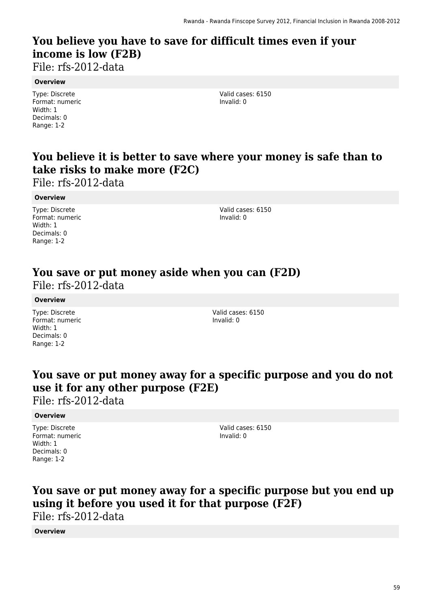## **You believe you have to save for difficult times even if your income is low (F2B)**

File: rfs-2012-data

#### **Overview**

Type: Discrete Format: numeric Width: 1 Decimals: 0 Range: 1-2

Valid cases: 6150 Invalid: 0

## **You believe it is better to save where your money is safe than to take risks to make more (F2C)**

File: rfs-2012-data

### **Overview**

Type: Discrete Format: numeric Width: 1 Decimals: 0 Range: 1-2

Valid cases: 6150 Invalid: 0

### **You save or put money aside when you can (F2D)**  File: rfs-2012-data

#### **Overview**

Type: Discrete Format: numeric Width: 1 Decimals: 0 Range: 1-2

Valid cases: 6150 Invalid: 0

### **You save or put money away for a specific purpose and you do not use it for any other purpose (F2E)**

File: rfs-2012-data

### **Overview**

Type: Discrete Format: numeric Width: 1 Decimals: 0 Range: 1-2

Valid cases: 6150 Invalid: 0

### **You save or put money away for a specific purpose but you end up using it before you used it for that purpose (F2F)**  File: rfs-2012-data

### **Overview**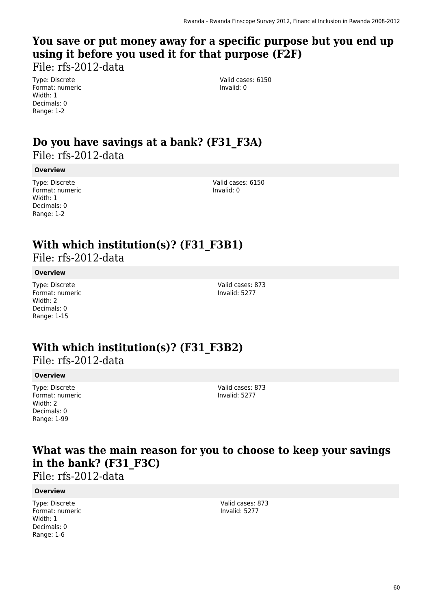## **You save or put money away for a specific purpose but you end up using it before you used it for that purpose (F2F)**

File: rfs-2012-data

Type: Discrete Format: numeric Width: 1 Decimals: 0 Range: 1-2

Valid cases: 6150 Invalid: 0

### **Do you have savings at a bank? (F31\_F3A)**  File: rfs-2012-data

### **Overview**

Type: Discrete Format: numeric Width: 1 Decimals: 0 Range: 1-2

Valid cases: 6150 Invalid: 0

## **With which institution(s)? (F31\_F3B1)**

File: rfs-2012-data

### **Overview**

Type: Discrete Format: numeric Width: 2 Decimals: 0 Range: 1-15

Valid cases: 873 Invalid: 5277

## **With which institution(s)? (F31\_F3B2)**

File: rfs-2012-data

### **Overview**

Type: Discrete Format: numeric Width: 2 Decimals: 0 Range: 1-99

Valid cases: 873 Invalid: 5277

### **What was the main reason for you to choose to keep your savings in the bank? (F31\_F3C)**

File: rfs-2012-data

### **Overview**

Type: Discrete Format: numeric Width: 1 Decimals: 0 Range: 1-6

Valid cases: 873 Invalid: 5277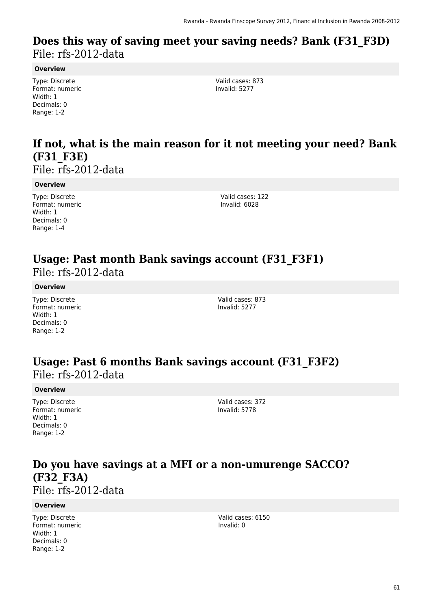### **Does this way of saving meet your saving needs? Bank (F31\_F3D)**  File: rfs-2012-data

#### **Overview**

Type: Discrete Format: numeric Width: 1 Decimals: 0 Range: 1-2

Valid cases: 873 Invalid: 5277

### **If not, what is the main reason for it not meeting your need? Bank (F31\_F3E)**

File: rfs-2012-data

#### **Overview**

Type: Discrete Format: numeric Width: 1 Decimals: 0 Range: 1-4

Valid cases: 122 Invalid: 6028

### **Usage: Past month Bank savings account (F31\_F3F1)**  File: rfs-2012-data

**Overview**

Type: Discrete Format: numeric Width: 1 Decimals: 0 Range: 1-2

Valid cases: 873 Invalid: 5277

### **Usage: Past 6 months Bank savings account (F31\_F3F2)**  File: rfs-2012-data

#### **Overview**

Type: Discrete Format: numeric Width: 1 Decimals: 0 Range: 1-2

Valid cases: 372 Invalid: 5778

### **Do you have savings at a MFI or a non-umurenge SACCO? (F32\_F3A)**  File: rfs-2012-data

#### **Overview**

Type: Discrete Format: numeric Width: 1 Decimals: 0 Range: 1-2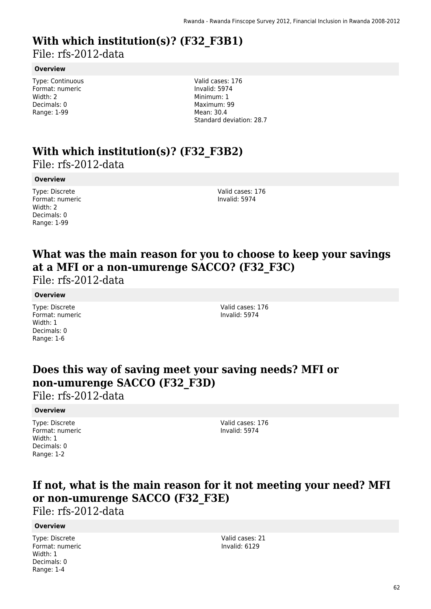# **With which institution(s)? (F32\_F3B1)**

File: rfs-2012-data

### **Overview**

Type: Continuous Format: numeric Width: 2 Decimals: 0 Range: 1-99

Valid cases: 176 Invalid: 5974 Minimum: 1 Maximum: 99 Mean: 30.4 Standard deviation: 28.7

### **With which institution(s)? (F32\_F3B2)**  File: rfs-2012-data

#### **Overview**

Type: Discrete Format: numeric Width: 2 Decimals: 0 Range: 1-99

Valid cases: 176 Invalid: 5974

## **What was the main reason for you to choose to keep your savings at a MFI or a non-umurenge SACCO? (F32\_F3C)**

File: rfs-2012-data

### **Overview**

Type: Discrete Format: numeric Width: 1 Decimals: 0 Range: 1-6

Valid cases: 176 Invalid: 5974

## **Does this way of saving meet your saving needs? MFI or non-umurenge SACCO (F32\_F3D)**

File: rfs-2012-data

### **Overview**

Type: Discrete Format: numeric Width: 1 Decimals: 0 Range: 1-2

Valid cases: 176 Invalid: 5974

## **If not, what is the main reason for it not meeting your need? MFI or non-umurenge SACCO (F32\_F3E)**

File: rfs-2012-data

### **Overview**

Type: Discrete Format: numeric Width: 1 Decimals: 0 Range: 1-4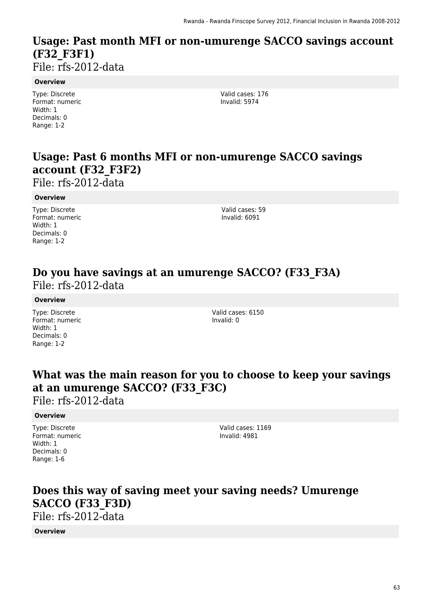### **Usage: Past month MFI or non-umurenge SACCO savings account (F32\_F3F1)**  File: rfs-2012-data

**Overview**

Type: Discrete Format: numeric Width: 1 Decimals: 0 Range: 1-2

Valid cases: 176 Invalid: 5974

## **Usage: Past 6 months MFI or non-umurenge SACCO savings account (F32\_F3F2)**

File: rfs-2012-data

#### **Overview**

Type: Discrete Format: numeric Width: 1 Decimals: 0 Range: 1-2

Valid cases: 59 Invalid: 6091

### **Do you have savings at an umurenge SACCO? (F33\_F3A)**  File: rfs-2012-data

#### **Overview**

Type: Discrete Format: numeric Width: 1 Decimals: 0 Range: 1-2

Valid cases: 6150 Invalid: 0

### **What was the main reason for you to choose to keep your savings at an umurenge SACCO? (F33\_F3C)**

File: rfs-2012-data

### **Overview**

Type: Discrete Format: numeric Width: 1 Decimals: 0 Range: 1-6

Valid cases: 1169 Invalid: 4981

## **Does this way of saving meet your saving needs? Umurenge SACCO (F33\_F3D)**

File: rfs-2012-data

**Overview**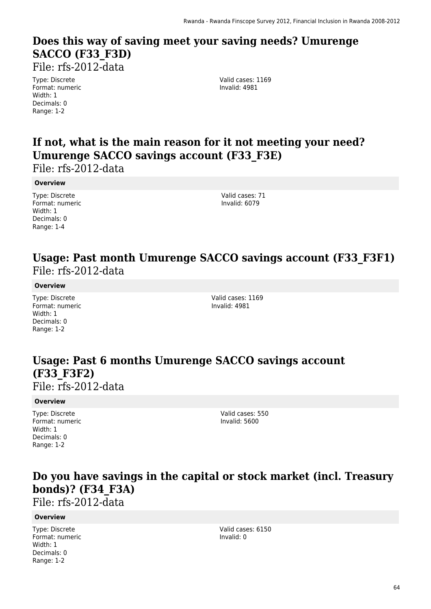# **Does this way of saving meet your saving needs? Umurenge SACCO (F33\_F3D)**

File: rfs-2012-data

Type: Discrete Format: numeric Width: 1 Decimals: 0 Range: 1-2

Valid cases: 1169 Invalid: 4981

## **If not, what is the main reason for it not meeting your need? Umurenge SACCO savings account (F33\_F3E)**

File: rfs-2012-data

### **Overview**

Type: Discrete Format: numeric Width: 1 Decimals: 0 Range: 1-4

Valid cases: 71 Invalid: 6079

### **Usage: Past month Umurenge SACCO savings account (F33\_F3F1)**  File: rfs-2012-data

### **Overview**

Type: Discrete Format: numeric Width: 1 Decimals: 0 Range: 1-2

Valid cases: 1169 Invalid: 4981

## **Usage: Past 6 months Umurenge SACCO savings account (F33\_F3F2)**

File: rfs-2012-data

### **Overview**

Type: Discrete Format: numeric Width: 1 Decimals: 0 Range: 1-2

Valid cases: 550 Invalid: 5600

### **Do you have savings in the capital or stock market (incl. Treasury bonds)? (F34\_F3A)**

File: rfs-2012-data

### **Overview**

Type: Discrete Format: numeric Width: 1 Decimals: 0 Range: 1-2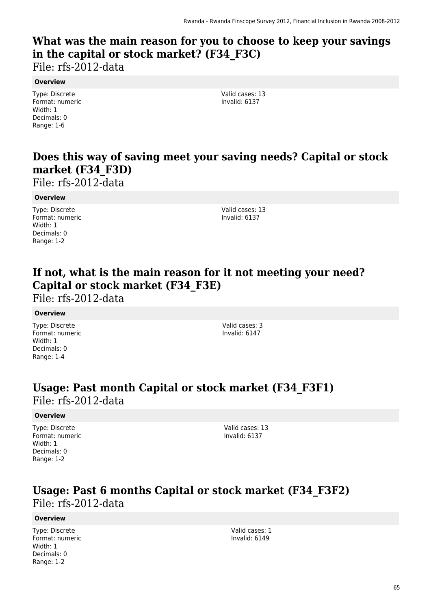## **What was the main reason for you to choose to keep your savings in the capital or stock market? (F34\_F3C)**

File: rfs-2012-data

### **Overview**

Type: Discrete Format: numeric Width: 1 Decimals: 0 Range: 1-6

Valid cases: 13 Invalid: 6137

## **Does this way of saving meet your saving needs? Capital or stock market (F34\_F3D)**

File: rfs-2012-data

### **Overview**

Type: Discrete Format: numeric Width: 1 Decimals: 0 Range: 1-2

Valid cases: 13 Invalid: 6137

## **If not, what is the main reason for it not meeting your need? Capital or stock market (F34\_F3E)**

File: rfs-2012-data

### **Overview**

Type: Discrete Format: numeric Width: 1 Decimals: 0 Range: 1-4

Valid cases: 3 Invalid: 6147

### **Usage: Past month Capital or stock market (F34\_F3F1)**  File: rfs-2012-data

### **Overview**

Type: Discrete Format: numeric Width: 1 Decimals: 0 Range: 1-2

Valid cases: 13 Invalid: 6137

### **Usage: Past 6 months Capital or stock market (F34\_F3F2)**  File: rfs-2012-data

### **Overview**

Type: Discrete Format: numeric Width: 1 Decimals: 0 Range: 1-2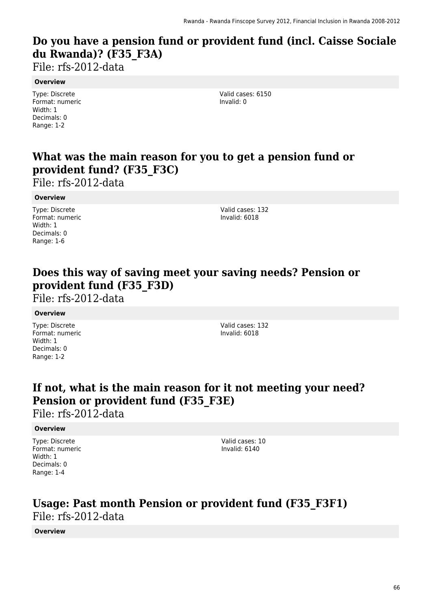## **Do you have a pension fund or provident fund (incl. Caisse Sociale du Rwanda)? (F35\_F3A)**

File: rfs-2012-data

### **Overview**

Type: Discrete Format: numeric Width: 1 Decimals: 0 Range: 1-2

Valid cases: 6150 Invalid: 0

## **What was the main reason for you to get a pension fund or provident fund? (F35\_F3C)**

File: rfs-2012-data

### **Overview**

Type: Discrete Format: numeric Width: 1 Decimals: 0 Range: 1-6

Valid cases: 132 Invalid: 6018

### **Does this way of saving meet your saving needs? Pension or provident fund (F35\_F3D)**

File: rfs-2012-data

### **Overview**

Type: Discrete Format: numeric Width: 1 Decimals: 0 Range: 1-2

Valid cases: 132 Invalid: 6018

### **If not, what is the main reason for it not meeting your need? Pension or provident fund (F35\_F3E)**

File: rfs-2012-data

### **Overview**

Type: Discrete Format: numeric Width: 1 Decimals: 0 Range: 1-4

Valid cases: 10 Invalid: 6140

### **Usage: Past month Pension or provident fund (F35\_F3F1)**  File: rfs-2012-data

### **Overview**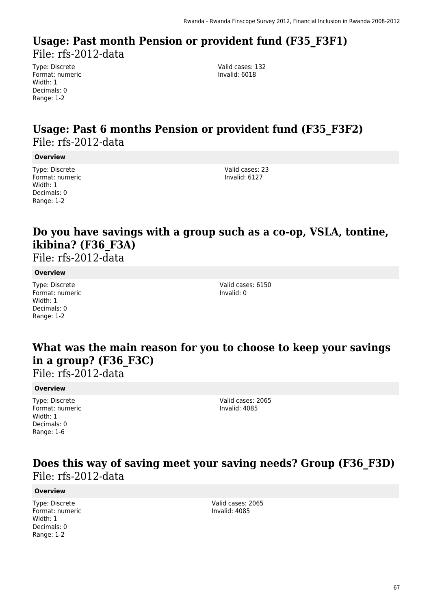### **Usage: Past month Pension or provident fund (F35\_F3F1)**  File: rfs-2012-data

Type: Discrete Format: numeric Width: 1 Decimals: 0 Range: 1-2

Valid cases: 132 Invalid: 6018

### **Usage: Past 6 months Pension or provident fund (F35\_F3F2)**  File: rfs-2012-data

#### **Overview**

Type: Discrete Format: numeric Width: 1 Decimals: 0 Range: 1-2

Valid cases: 23 Invalid: 6127

### **Do you have savings with a group such as a co-op, VSLA, tontine, ikibina? (F36\_F3A)**

File: rfs-2012-data

#### **Overview**

Type: Discrete Format: numeric Width: 1 Decimals: 0 Range: 1-2

Valid cases: 6150 Invalid: 0

### **What was the main reason for you to choose to keep your savings in a group? (F36\_F3C)**

File: rfs-2012-data

#### **Overview**

Type: Discrete Format: numeric Width: 1 Decimals: 0 Range: 1-6

Valid cases: 2065 Invalid: 4085

### **Does this way of saving meet your saving needs? Group (F36\_F3D)**  File: rfs-2012-data

#### **Overview**

Type: Discrete Format: numeric Width: 1 Decimals: 0 Range: 1-2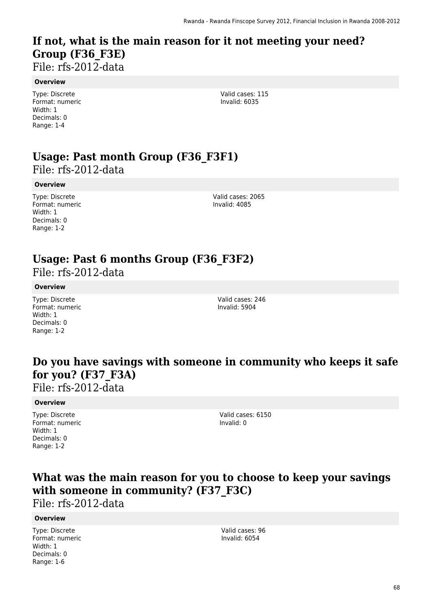## **If not, what is the main reason for it not meeting your need? Group (F36\_F3E)**

File: rfs-2012-data

#### **Overview**

Type: Discrete Format: numeric Width: 1 Decimals: 0 Range: 1-4

Valid cases: 115 Invalid: 6035

# **Usage: Past month Group (F36\_F3F1)**

File: rfs-2012-data

#### **Overview**

Type: Discrete Format: numeric Width: 1 Decimals: 0 Range: 1-2

Valid cases: 2065 Invalid: 4085

### **Usage: Past 6 months Group (F36\_F3F2)**

File: rfs-2012-data

### **Overview**

Type: Discrete Format: numeric Width: 1 Decimals: 0 Range: 1-2

Valid cases: 246 Invalid: 5904

### **Do you have savings with someone in community who keeps it safe for you? (F37\_F3A)**  File: rfs-2012-data

#### **Overview**

Type: Discrete Format: numeric Width: 1 Decimals: 0 Range: 1-2

Valid cases: 6150 Invalid: 0

### **What was the main reason for you to choose to keep your savings with someone in community? (F37\_F3C)**

File: rfs-2012-data

### **Overview**

Type: Discrete Format: numeric Width: 1 Decimals: 0 Range: 1-6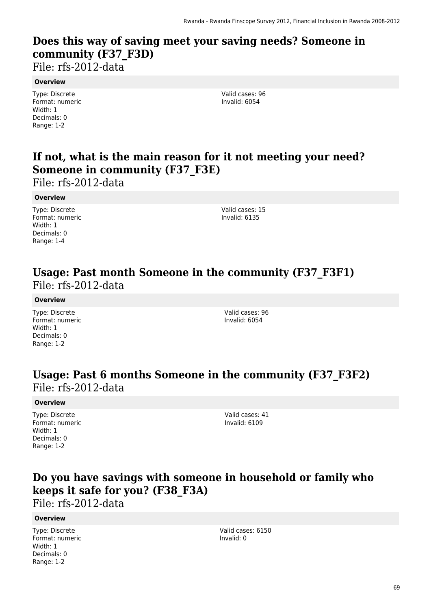## **Does this way of saving meet your saving needs? Someone in community (F37\_F3D)**

File: rfs-2012-data

### **Overview**

Type: Discrete Format: numeric Width: 1 Decimals: 0 Range: 1-2

Valid cases: 96 Invalid: 6054

## **If not, what is the main reason for it not meeting your need? Someone in community (F37\_F3E)**

File: rfs-2012-data

### **Overview**

Type: Discrete Format: numeric Width: 1 Decimals: 0 Range: 1-4

Valid cases: 15 Invalid: 6135

### **Usage: Past month Someone in the community (F37\_F3F1)**  File: rfs-2012-data

### **Overview**

Type: Discrete Format: numeric Width: 1 Decimals: 0 Range: 1-2

Valid cases: 96 Invalid: 6054

### **Usage: Past 6 months Someone in the community (F37\_F3F2)**  File: rfs-2012-data

### **Overview**

Type: Discrete Format: numeric Width: 1 Decimals: 0 Range: 1-2

Valid cases: 41 Invalid: 6109

### **Do you have savings with someone in household or family who keeps it safe for you? (F38\_F3A)**

File: rfs-2012-data

### **Overview**

Type: Discrete Format: numeric Width: 1 Decimals: 0 Range: 1-2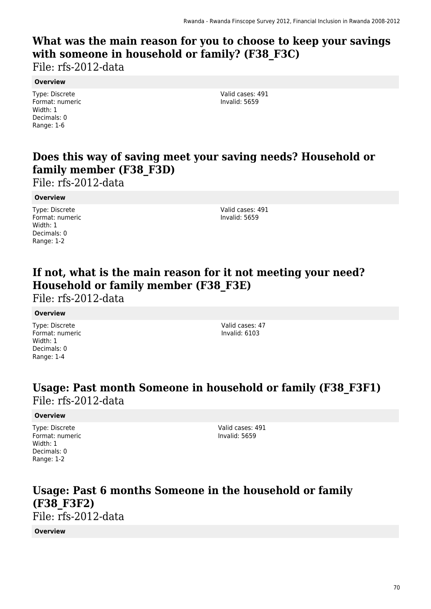## **What was the main reason for you to choose to keep your savings with someone in household or family? (F38\_F3C)**

File: rfs-2012-data

### **Overview**

Type: Discrete Format: numeric Width: 1 Decimals: 0 Range: 1-6

Valid cases: 491 Invalid: 5659

## **Does this way of saving meet your saving needs? Household or family member (F38\_F3D)**

File: rfs-2012-data

### **Overview**

Type: Discrete Format: numeric Width: 1 Decimals: 0 Range: 1-2

Valid cases: 491 Invalid: 5659

### **If not, what is the main reason for it not meeting your need? Household or family member (F38\_F3E)**

File: rfs-2012-data

### **Overview**

Type: Discrete Format: numeric Width: 1 Decimals: 0 Range: 1-4

Valid cases: 47 Invalid: 6103

### **Usage: Past month Someone in household or family (F38\_F3F1)**  File: rfs-2012-data

### **Overview**

Type: Discrete Format: numeric Width: 1 Decimals: 0 Range: 1-2

Valid cases: 491 Invalid: 5659

### **Usage: Past 6 months Someone in the household or family (F38\_F3F2)**  File: rfs-2012-data

**Overview**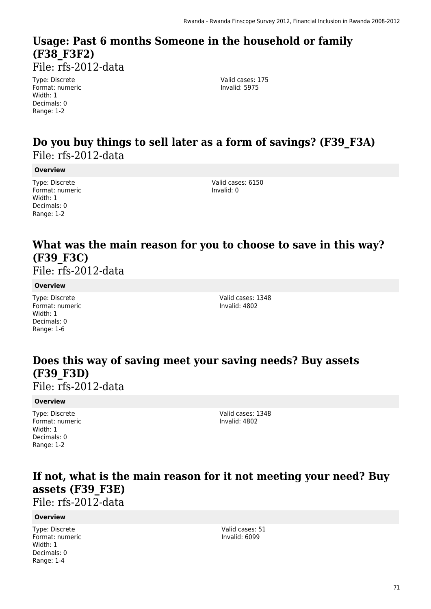### **Usage: Past 6 months Someone in the household or family (F38\_F3F2)**  File: rfs-2012-data

Type: Discrete Format: numeric Width: 1 Decimals: 0

Valid cases: 175 Invalid: 5975

### **Do you buy things to sell later as a form of savings? (F39\_F3A)**  File: rfs-2012-data

#### **Overview**

Range: 1-2

Type: Discrete Format: numeric Width: 1 Decimals: 0 Range: 1-2

Valid cases: 6150 Invalid: 0

### **What was the main reason for you to choose to save in this way? (F39\_F3C)**

File: rfs-2012-data

### **Overview**

Type: Discrete Format: numeric Width: 1 Decimals: 0 Range: 1-6

Valid cases: 1348 Invalid: 4802

### **Does this way of saving meet your saving needs? Buy assets (F39\_F3D)**

File: rfs-2012-data

### **Overview**

Type: Discrete Format: numeric Width: 1 Decimals: 0 Range: 1-2

Valid cases: 1348 Invalid: 4802

### **If not, what is the main reason for it not meeting your need? Buy assets (F39\_F3E)**

File: rfs-2012-data

#### **Overview**

Type: Discrete Format: numeric Width: 1 Decimals: 0 Range: 1-4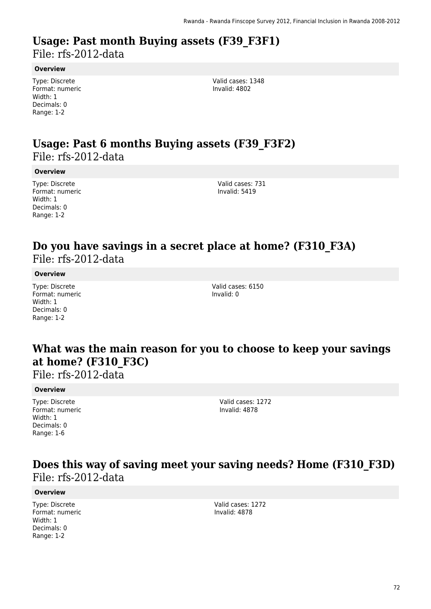# **Usage: Past month Buying assets (F39\_F3F1)**

File: rfs-2012-data

### **Overview**

Type: Discrete Format: numeric Width: 1 Decimals: 0 Range: 1-2

Valid cases: 1348 Invalid: 4802

### **Usage: Past 6 months Buying assets (F39\_F3F2)**  File: rfs-2012-data

### **Overview**

Type: Discrete Format: numeric Width: 1 Decimals: 0 Range: 1-2

Valid cases: 731 Invalid: 5419

### **Do you have savings in a secret place at home? (F310\_F3A)**  File: rfs-2012-data

### **Overview**

Type: Discrete Format: numeric Width: 1 Decimals: 0 Range: 1-2

Valid cases: 6150 Invalid: 0

### **What was the main reason for you to choose to keep your savings at home? (F310\_F3C)**

File: rfs-2012-data

#### **Overview**

Type: Discrete Format: numeric Width: 1 Decimals: 0 Range: 1-6

Valid cases: 1272 Invalid: 4878

### **Does this way of saving meet your saving needs? Home (F310\_F3D)**  File: rfs-2012-data

#### **Overview**

Type: Discrete Format: numeric Width: 1 Decimals: 0 Range: 1-2

Valid cases: 1272 Invalid: 4878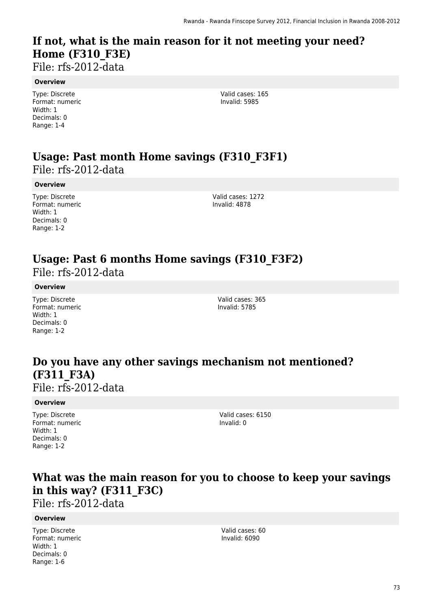# **If not, what is the main reason for it not meeting your need? Home (F310\_F3E)**

File: rfs-2012-data

#### **Overview**

Type: Discrete Format: numeric Width: 1 Decimals: 0 Range: 1-4

Valid cases: 165 Invalid: 5985

### **Usage: Past month Home savings (F310\_F3F1)**  File: rfs-2012-data

#### **Overview**

Type: Discrete Format: numeric Width: 1 Decimals: 0 Range: 1-2

Valid cases: 1272 Invalid: 4878

# **Usage: Past 6 months Home savings (F310\_F3F2)**

File: rfs-2012-data

#### **Overview**

Type: Discrete Format: numeric Width: 1 Decimals: 0 Range: 1-2

Valid cases: 365 Invalid: 5785

### **Do you have any other savings mechanism not mentioned? (F311\_F3A)**  File: rfs-2012-data

#### **Overview**

Type: Discrete Format: numeric Width: 1 Decimals: 0 Range: 1-2

Valid cases: 6150 Invalid: 0

### **What was the main reason for you to choose to keep your savings in this way? (F311\_F3C)**

File: rfs-2012-data

#### **Overview**

Type: Discrete Format: numeric Width: 1 Decimals: 0 Range: 1-6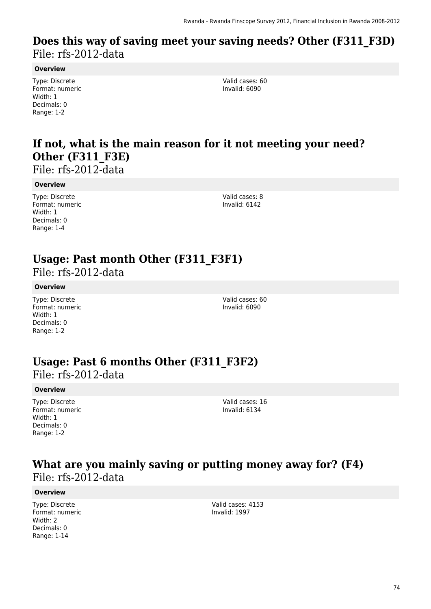### **Does this way of saving meet your saving needs? Other (F311\_F3D)**  File: rfs-2012-data

#### **Overview**

Type: Discrete Format: numeric Width: 1 Decimals: 0 Range: 1-2

Valid cases: 60 Invalid: 6090

# **If not, what is the main reason for it not meeting your need? Other (F311\_F3E)**

File: rfs-2012-data

#### **Overview**

Type: Discrete Format: numeric Width: 1 Decimals: 0 Range: 1-4

Valid cases: 8 Invalid: 6142

### **Usage: Past month Other (F311\_F3F1)**

File: rfs-2012-data

#### **Overview**

Type: Discrete Format: numeric Width: 1 Decimals: 0 Range: 1-2

Valid cases: 60 Invalid: 6090

### **Usage: Past 6 months Other (F311\_F3F2)**

File: rfs-2012-data

#### **Overview**

Type: Discrete Format: numeric Width: 1 Decimals: 0 Range: 1-2

Valid cases: 16 Invalid: 6134

### **What are you mainly saving or putting money away for? (F4)**  File: rfs-2012-data

#### **Overview**

Type: Discrete Format: numeric Width: 2 Decimals: 0 Range: 1-14

Valid cases: 4153 Invalid: 1997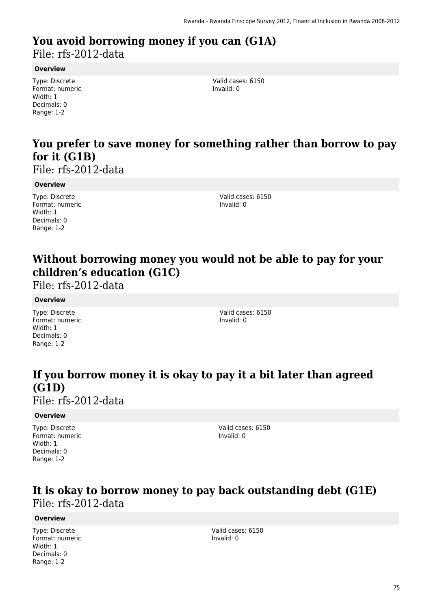# **You avoid borrowing money if you can (G1A)**

File: rfs-2012-data

#### **Overview**

Type: Discrete Format: numeric Width: 1 Decimals: 0 Range: 1-2

Valid cases: 6150 Invalid: 0

# **You prefer to save money for something rather than borrow to pay for it (G1B)**

File: rfs-2012-data

#### **Overview**

Type: Discrete Format: numeric Width: 1 Decimals: 0 Range: 1-2

Valid cases: 6150 Invalid: 0

# **Without borrowing money you would not be able to pay for your children's education (G1C)**

File: rfs-2012-data

#### **Overview**

Type: Discrete Format: numeric Width: 1 Decimals: 0 Range: 1-2

Valid cases: 6150 Invalid: 0

# **If you borrow money it is okay to pay it a bit later than agreed (G1D)**

File: rfs-2012-data

#### **Overview**

Type: Discrete Format: numeric Width: 1 Decimals: 0 Range: 1-2

Valid cases: 6150 Invalid: 0

### **It is okay to borrow money to pay back outstanding debt (G1E)**  File: rfs-2012-data

#### **Overview**

Type: Discrete Format: numeric Width: 1 Decimals: 0 Range: 1-2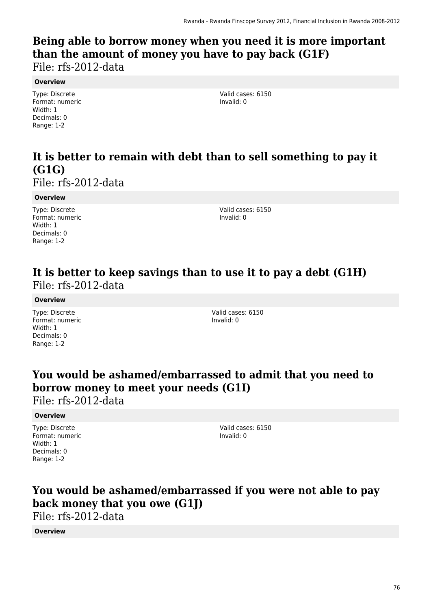# **Being able to borrow money when you need it is more important than the amount of money you have to pay back (G1F)**

File: rfs-2012-data

#### **Overview**

Type: Discrete Format: numeric Width: 1 Decimals: 0 Range: 1-2

Valid cases: 6150 Invalid: 0

# **It is better to remain with debt than to sell something to pay it (G1G)**

File: rfs-2012-data

#### **Overview**

Type: Discrete Format: numeric Width: 1 Decimals: 0 Range: 1-2

Valid cases: 6150 Invalid: 0

### **It is better to keep savings than to use it to pay a debt (G1H)**  File: rfs-2012-data

#### **Overview**

Type: Discrete Format: numeric Width: 1 Decimals: 0 Range: 1-2

Valid cases: 6150 Invalid: 0

### **You would be ashamed/embarrassed to admit that you need to borrow money to meet your needs (G1I)**

File: rfs-2012-data

#### **Overview**

Type: Discrete Format: numeric Width: 1 Decimals: 0 Range: 1-2

Valid cases: 6150 Invalid: 0

# **You would be ashamed/embarrassed if you were not able to pay back money that you owe (G1J)**

File: rfs-2012-data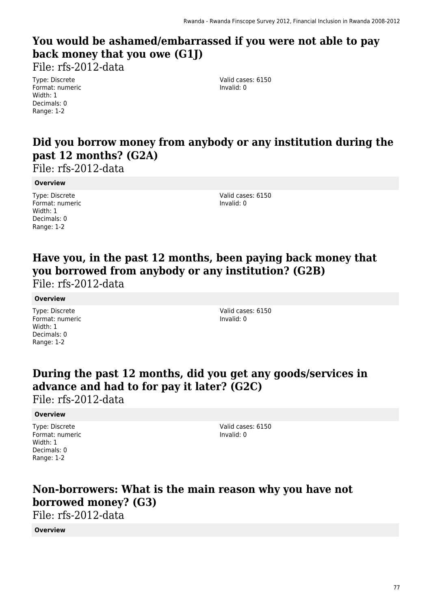# **You would be ashamed/embarrassed if you were not able to pay back money that you owe (G1J)**

File: rfs-2012-data

Type: Discrete Format: numeric Width: 1 Decimals: 0 Range: 1-2

Valid cases: 6150 Invalid: 0

### **Did you borrow money from anybody or any institution during the past 12 months? (G2A)**

File: rfs-2012-data

#### **Overview**

Type: Discrete Format: numeric Width: 1 Decimals: 0 Range: 1-2

Valid cases: 6150 Invalid: 0

# **Have you, in the past 12 months, been paying back money that you borrowed from anybody or any institution? (G2B)**

File: rfs-2012-data

#### **Overview**

Type: Discrete Format: numeric Width: 1 Decimals: 0 Range: 1-2

Valid cases: 6150 Invalid: 0

# **During the past 12 months, did you get any goods/services in advance and had to for pay it later? (G2C)**

File: rfs-2012-data

#### **Overview**

Type: Discrete Format: numeric Width: 1 Decimals: 0 Range: 1-2

Valid cases: 6150 Invalid: 0

## **Non-borrowers: What is the main reason why you have not borrowed money? (G3)**

File: rfs-2012-data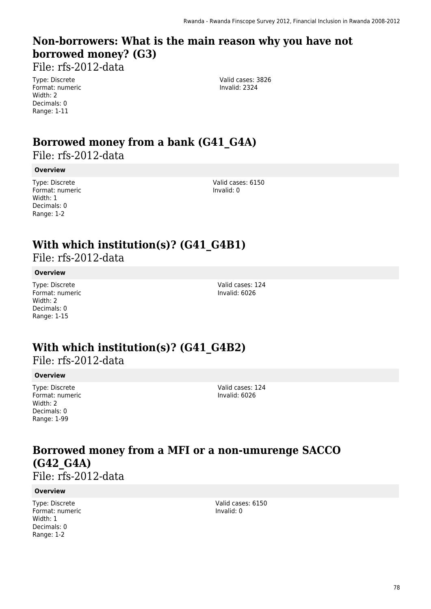# **Non-borrowers: What is the main reason why you have not borrowed money? (G3)**

File: rfs-2012-data

Type: Discrete Format: numeric Width: 2 Decimals: 0 Range: 1-11

Valid cases: 3826 Invalid: 2324

# **Borrowed money from a bank (G41\_G4A)**

File: rfs-2012-data

#### **Overview**

Type: Discrete Format: numeric Width: 1 Decimals: 0 Range: 1-2

Valid cases: 6150 Invalid: 0

# **With which institution(s)? (G41\_G4B1)**

File: rfs-2012-data

#### **Overview**

Type: Discrete Format: numeric Width: 2 Decimals: 0 Range: 1-15

Valid cases: 124 Invalid: 6026

### **With which institution(s)? (G41\_G4B2)**

File: rfs-2012-data

#### **Overview**

Type: Discrete Format: numeric Width: 2 Decimals: 0 Range: 1-99

Valid cases: 124 Invalid: 6026

# **Borrowed money from a MFI or a non-umurenge SACCO (G42\_G4A)**

File: rfs-2012-data

#### **Overview**

Type: Discrete Format: numeric Width: 1 Decimals: 0 Range: 1-2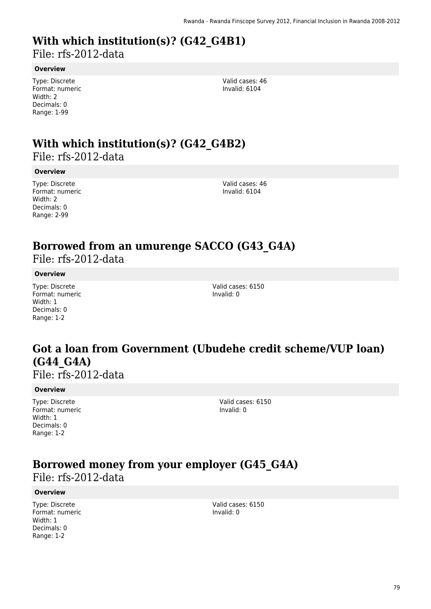# **With which institution(s)? (G42\_G4B1)**

File: rfs-2012-data

#### **Overview**

Type: Discrete Format: numeric Width: 2 Decimals: 0 Range: 1-99

Valid cases: 46 Invalid: 6104

# **With which institution(s)? (G42\_G4B2)**

File: rfs-2012-data

#### **Overview**

Type: Discrete Format: numeric Width: 2 Decimals: 0 Range: 2-99

Valid cases: 46 Invalid: 6104

# **Borrowed from an umurenge SACCO (G43\_G4A)**

File: rfs-2012-data

#### **Overview**

Type: Discrete Format: numeric Width: 1 Decimals: 0 Range: 1-2

Valid cases: 6150 Invalid: 0

### **Got a loan from Government (Ubudehe credit scheme/VUP loan) (G44\_G4A)**

File: rfs-2012-data

#### **Overview**

Type: Discrete Format: numeric Width: 1 Decimals: 0 Range: 1-2

Valid cases: 6150 Invalid: 0

# **Borrowed money from your employer (G45\_G4A)**

File: rfs-2012-data

#### **Overview**

Type: Discrete Format: numeric Width: 1 Decimals: 0 Range: 1-2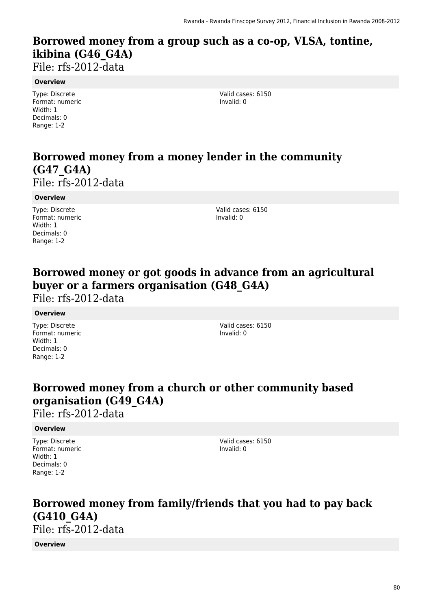# **Borrowed money from a group such as a co-op, VLSA, tontine, ikibina (G46\_G4A)**

File: rfs-2012-data

#### **Overview**

Type: Discrete Format: numeric Width: 1 Decimals: 0 Range: 1-2

Valid cases: 6150 Invalid: 0

# **Borrowed money from a money lender in the community (G47\_G4A)**

File: rfs-2012-data

#### **Overview**

Type: Discrete Format: numeric Width: 1 Decimals: 0 Range: 1-2

Valid cases: 6150 Invalid: 0

### **Borrowed money or got goods in advance from an agricultural buyer or a farmers organisation (G48\_G4A)**

File: rfs-2012-data

#### **Overview**

Type: Discrete Format: numeric Width: 1 Decimals: 0 Range: 1-2

Valid cases: 6150 Invalid: 0

# **Borrowed money from a church or other community based organisation (G49\_G4A)**

File: rfs-2012-data

#### **Overview**

Type: Discrete Format: numeric Width: 1 Decimals: 0 Range: 1-2

Valid cases: 6150 Invalid: 0

# **Borrowed money from family/friends that you had to pay back (G410\_G4A)**

File: rfs-2012-data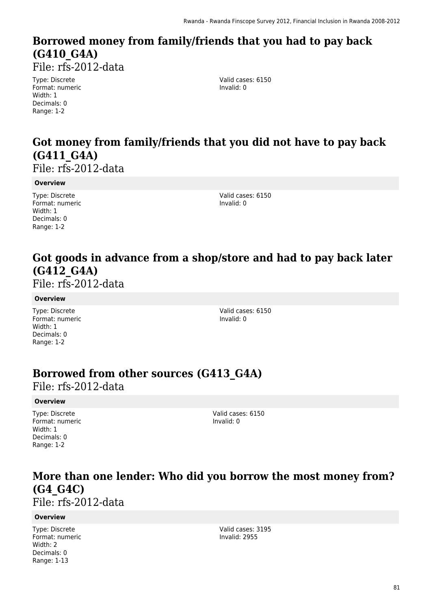# **Borrowed money from family/friends that you had to pay back (G410\_G4A)**

File: rfs-2012-data

Type: Discrete Format: numeric Width: 1 Decimals: 0 Range: 1-2

Valid cases: 6150 Invalid: 0

# **Got money from family/friends that you did not have to pay back (G411\_G4A)**

File: rfs-2012-data

#### **Overview**

Type: Discrete Format: numeric Width: 1 Decimals: 0 Range: 1-2

Valid cases: 6150 Invalid: 0

# **Got goods in advance from a shop/store and had to pay back later (G412\_G4A)**

File: rfs-2012-data

#### **Overview**

Type: Discrete Format: numeric Width: 1 Decimals: 0 Range: 1-2

Valid cases: 6150 Invalid: 0

### **Borrowed from other sources (G413\_G4A)**

File: rfs-2012-data

#### **Overview**

Type: Discrete Format: numeric Width: 1 Decimals: 0 Range: 1-2

Valid cases: 6150 Invalid: 0

# **More than one lender: Who did you borrow the most money from? (G4\_G4C)**

File: rfs-2012-data

#### **Overview**

Type: Discrete Format: numeric Width: 2 Decimals: 0 Range: 1-13

Valid cases: 3195 Invalid: 2955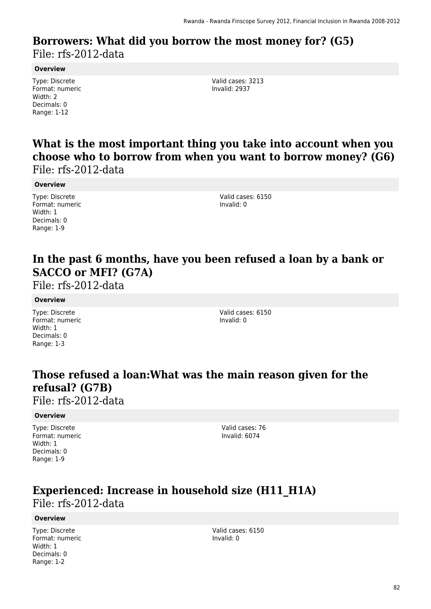### **Borrowers: What did you borrow the most money for? (G5)**  File: rfs-2012-data

#### **Overview**

Type: Discrete Format: numeric Width: 2 Decimals: 0 Range: 1-12

Valid cases: 3213 Invalid: 2937

**What is the most important thing you take into account when you choose who to borrow from when you want to borrow money? (G6)**  File: rfs-2012-data

**Overview**

Type: Discrete Format: numeric Width: 1 Decimals: 0 Range: 1-9

Valid cases: 6150 Invalid: 0

### **In the past 6 months, have you been refused a loan by a bank or SACCO or MFI? (G7A)**

File: rfs-2012-data

#### **Overview**

Type: Discrete Format: numeric Width: 1 Decimals: 0 Range: 1-3

Valid cases: 6150 Invalid: 0

## **Those refused a loan:What was the main reason given for the refusal? (G7B)**

File: rfs-2012-data

#### **Overview**

Type: Discrete Format: numeric Width: 1 Decimals: 0 Range: 1-9

Valid cases: 76 Invalid: 6074

### **Experienced: Increase in household size (H11\_H1A)**  File: rfs-2012-data

#### **Overview**

Type: Discrete Format: numeric Width: 1 Decimals: 0 Range: 1-2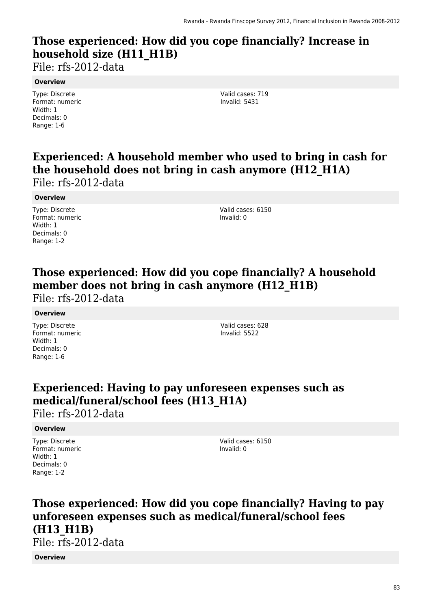# **Those experienced: How did you cope financially? Increase in household size (H11\_H1B)**

File: rfs-2012-data

#### **Overview**

Type: Discrete Format: numeric Width: 1 Decimals: 0 Range: 1-6

Valid cases: 719 Invalid: 5431

# **Experienced: A household member who used to bring in cash for the household does not bring in cash anymore (H12\_H1A)**

File: rfs-2012-data

#### **Overview**

Type: Discrete Format: numeric Width: 1 Decimals: 0 Range: 1-2

Valid cases: 6150 Invalid: 0

# **Those experienced: How did you cope financially? A household** member does not bring in cash anymore (H12 H1B)

File: rfs-2012-data

#### **Overview**

Type: Discrete Format: numeric Width: 1 Decimals: 0 Range: 1-6

Valid cases: 628 Invalid: 5522

## **Experienced: Having to pay unforeseen expenses such as medical/funeral/school fees (H13\_H1A)**

File: rfs-2012-data

#### **Overview**

Type: Discrete Format: numeric Width: 1 Decimals: 0 Range: 1-2

Valid cases: 6150 Invalid: 0

# **Those experienced: How did you cope financially? Having to pay unforeseen expenses such as medical/funeral/school fees (H13\_H1B)**

File: rfs-2012-data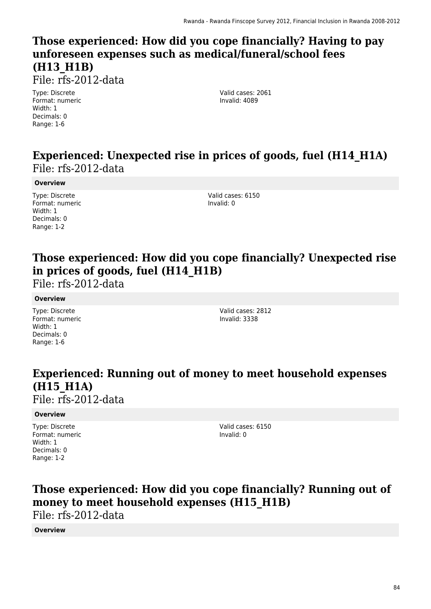# **Those experienced: How did you cope financially? Having to pay unforeseen expenses such as medical/funeral/school fees (H13\_H1B)**

File: rfs-2012-data

Type: Discrete Format: numeric Width: 1 Decimals: 0 Range: 1-6

Valid cases: 2061 Invalid: 4089

### **Experienced: Unexpected rise in prices of goods, fuel (H14\_H1A)**  File: rfs-2012-data

#### **Overview**

Type: Discrete Format: numeric Width: 1 Decimals: 0 Range: 1-2

Valid cases: 6150 Invalid: 0

# **Those experienced: How did you cope financially? Unexpected rise in prices of goods, fuel (H14\_H1B)**

File: rfs-2012-data

#### **Overview**

Type: Discrete Format: numeric Width: 1 Decimals: 0 Range: 1-6

Valid cases: 2812 Invalid: 3338

# **Experienced: Running out of money to meet household expenses (H15\_H1A)**

File: rfs-2012-data

#### **Overview**

Type: Discrete Format: numeric Width: 1 Decimals: 0 Range: 1-2

Valid cases: 6150 Invalid: 0

# **Those experienced: How did you cope financially? Running out of money to meet household expenses (H15\_H1B)**

File: rfs-2012-data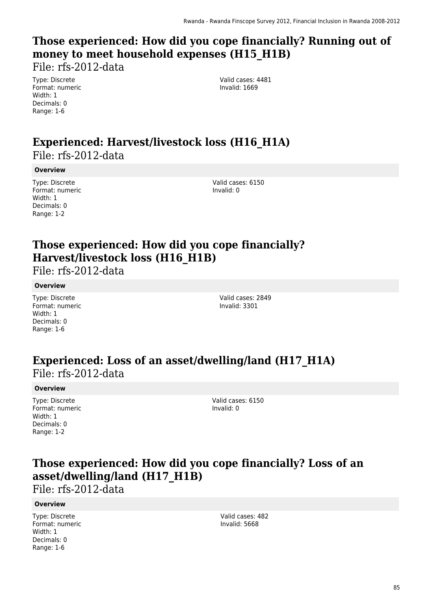# **Those experienced: How did you cope financially? Running out of money to meet household expenses (H15\_H1B)**

File: rfs-2012-data

Type: Discrete Format: numeric Width: 1 Decimals: 0 Range: 1-6

Valid cases: 4481 Invalid: 1669

### **Experienced: Harvest/livestock loss (H16\_H1A)**  File: rfs-2012-data

#### **Overview**

Type: Discrete Format: numeric Width: 1 Decimals: 0 Range: 1-2

Valid cases: 6150 Invalid: 0

# **Those experienced: How did you cope financially? Harvest/livestock loss (H16\_H1B)**

File: rfs-2012-data

#### **Overview**

Type: Discrete Format: numeric Width: 1 Decimals: 0 Range: 1-6

Valid cases: 2849 Invalid: 3301

### **Experienced: Loss of an asset/dwelling/land (H17\_H1A)**  File: rfs-2012-data

#### **Overview**

Type: Discrete Format: numeric Width: 1 Decimals: 0 Range: 1-2

Valid cases: 6150 Invalid: 0

# **Those experienced: How did you cope financially? Loss of an asset/dwelling/land (H17\_H1B)**

File: rfs-2012-data

#### **Overview**

Type: Discrete Format: numeric Width: 1 Decimals: 0 Range: 1-6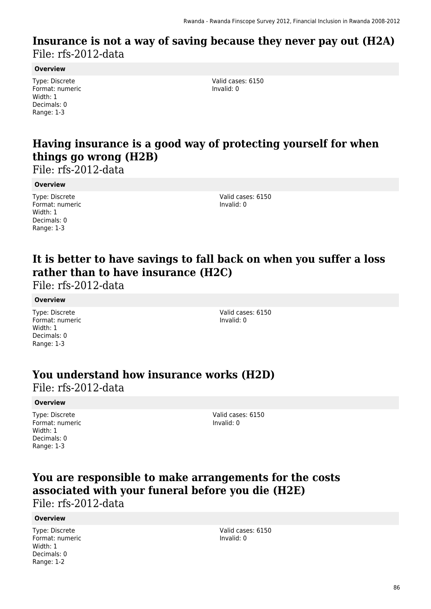### **Insurance is not a way of saving because they never pay out (H2A)**  File: rfs-2012-data

#### **Overview**

Type: Discrete Format: numeric Width: 1 Decimals: 0 Range: 1-3

Valid cases: 6150 Invalid: 0

### **Having insurance is a good way of protecting yourself for when things go wrong (H2B)**

File: rfs-2012-data

#### **Overview**

Type: Discrete Format: numeric Width: 1 Decimals: 0 Range: 1-3

Valid cases: 6150 Invalid: 0

## **It is better to have savings to fall back on when you suffer a loss rather than to have insurance (H2C)**

File: rfs-2012-data

#### **Overview**

Type: Discrete Format: numeric Width: 1 Decimals: 0 Range: 1-3

Valid cases: 6150 Invalid: 0

### **You understand how insurance works (H2D)**

File: rfs-2012-data

#### **Overview**

Type: Discrete Format: numeric Width: 1 Decimals: 0 Range: 1-3

Valid cases: 6150 Invalid: 0

### **You are responsible to make arrangements for the costs associated with your funeral before you die (H2E)**

File: rfs-2012-data

#### **Overview**

Type: Discrete Format: numeric Width: 1 Decimals: 0 Range: 1-2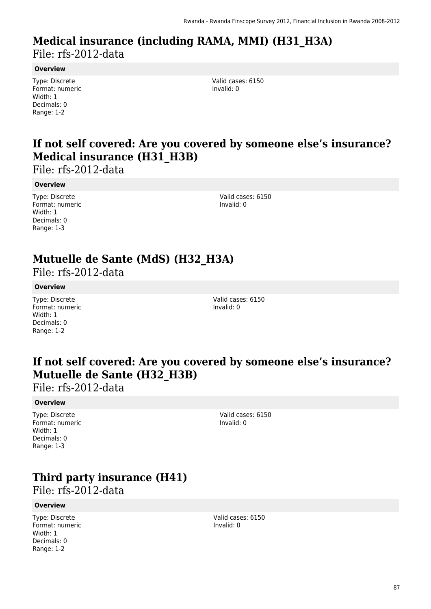### **Medical insurance (including RAMA, MMI) (H31\_H3A)**  File: rfs-2012-data

#### **Overview**

Type: Discrete Format: numeric Width: 1 Decimals: 0 Range: 1-2

Valid cases: 6150 Invalid: 0

### **If not self covered: Are you covered by someone else's insurance? Medical insurance (H31\_H3B)**

File: rfs-2012-data

#### **Overview**

Type: Discrete Format: numeric Width: 1 Decimals: 0 Range: 1-3

Valid cases: 6150 Invalid: 0

# **Mutuelle de Sante (MdS) (H32\_H3A)**

File: rfs-2012-data

#### **Overview**

Type: Discrete Format: numeric Width: 1 Decimals: 0 Range: 1-2

Valid cases: 6150 Invalid: 0

### **If not self covered: Are you covered by someone else's insurance? Mutuelle de Sante (H32\_H3B)**

File: rfs-2012-data

#### **Overview**

Type: Discrete Format: numeric Width: 1 Decimals: 0 Range: 1-3

Valid cases: 6150 Invalid: 0

# **Third party insurance (H41)**

File: rfs-2012-data

#### **Overview**

Type: Discrete Format: numeric Width: 1 Decimals: 0 Range: 1-2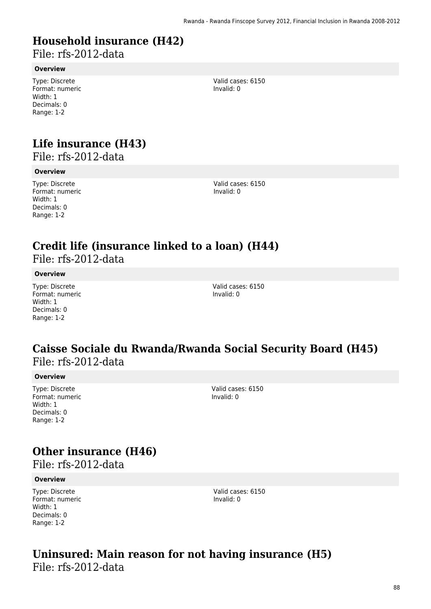# **Household insurance (H42)**

File: rfs-2012-data

#### **Overview**

Type: Discrete Format: numeric Width: 1 Decimals: 0 Range: 1-2

# **Life insurance (H43)**

File: rfs-2012-data

#### **Overview**

Type: Discrete Format: numeric Width: 1 Decimals: 0 Range: 1-2

Valid cases: 6150 Invalid: 0

Valid cases: 6150

Invalid: 0

# **Credit life (insurance linked to a loan) (H44)**

File: rfs-2012-data

#### **Overview**

Type: Discrete Format: numeric Width: 1 Decimals: 0 Range: 1-2

Valid cases: 6150 Invalid: 0

### **Caisse Sociale du Rwanda/Rwanda Social Security Board (H45)**  File: rfs-2012-data

#### **Overview**

Type: Discrete Format: numeric Width: 1 Decimals: 0 Range: 1-2

Valid cases: 6150 Invalid: 0

### **Other insurance (H46)**

File: rfs-2012-data

#### **Overview**

Type: Discrete Format: numeric Width: 1 Decimals: 0 Range: 1-2

Valid cases: 6150 Invalid: 0

### **Uninsured: Main reason for not having insurance (H5)**  File: rfs-2012-data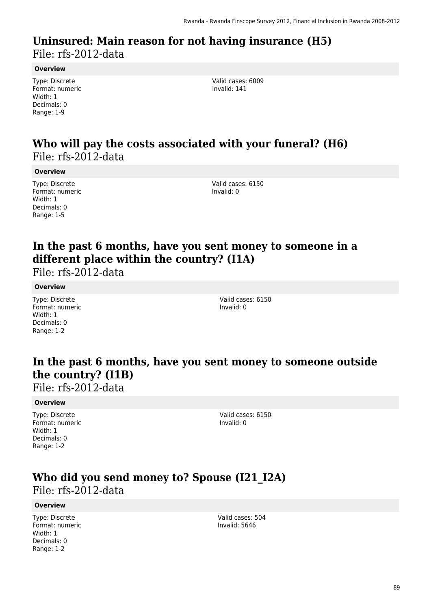### **Uninsured: Main reason for not having insurance (H5)**  File: rfs-2012-data

**Overview**

Type: Discrete Format: numeric Width: 1 Decimals: 0 Range: 1-9

Valid cases: 6009 Invalid: 141

### **Who will pay the costs associated with your funeral? (H6)**  File: rfs-2012-data

**Overview**

Type: Discrete Format: numeric Width: 1 Decimals: 0 Range: 1-5

Valid cases: 6150 Invalid: 0

### **In the past 6 months, have you sent money to someone in a different place within the country? (I1A)**

File: rfs-2012-data

#### **Overview**

Type: Discrete Format: numeric Width: 1 Decimals: 0 Range: 1-2

Valid cases: 6150 Invalid: 0

### **In the past 6 months, have you sent money to someone outside the country? (I1B)**

File: rfs-2012-data

#### **Overview**

Type: Discrete Format: numeric Width: 1 Decimals: 0 Range: 1-2

Valid cases: 6150 Invalid: 0

### **Who did you send money to? Spouse (I21\_I2A)**  File: rfs-2012-data

#### **Overview**

Type: Discrete Format: numeric Width: 1 Decimals: 0 Range: 1-2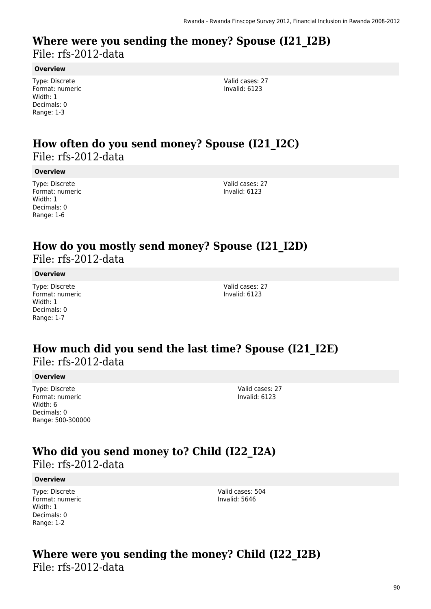### **Where were you sending the money? Spouse (I21\_I2B)**  File: rfs-2012-data

#### **Overview**

Type: Discrete Format: numeric Width: 1 Decimals: 0 Range: 1-3

Valid cases: 27 Invalid: 6123

### **How often do you send money? Spouse (I21\_I2C)**  File: rfs-2012-data

#### **Overview**

Type: Discrete Format: numeric Width: 1 Decimals: 0 Range: 1-6

Valid cases: 27 Invalid: 6123

### **How do you mostly send money? Spouse (I21\_I2D)**  File: rfs-2012-data

**Overview**

Type: Discrete Format: numeric Width: 1 Decimals: 0 Range: 1-7

Valid cases: 27 Invalid: 6123

### **How much did you send the last time? Spouse (I21\_I2E)**  File: rfs-2012-data

#### **Overview**

Type: Discrete Format: numeric Width: 6 Decimals: 0 Range: 500-300000 Valid cases: 27 Invalid: 6123

### **Who did you send money to? Child (I22\_I2A)**

File: rfs-2012-data

#### **Overview**

Type: Discrete Format: numeric Width: 1 Decimals: 0 Range: 1-2

Valid cases: 504 Invalid: 5646

### **Where were you sending the money? Child (I22\_I2B)**  File: rfs-2012-data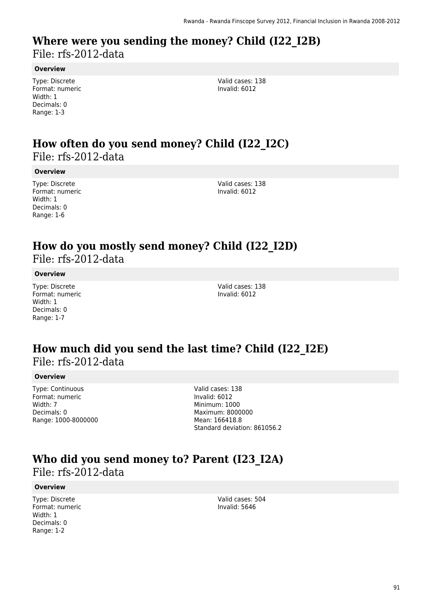### **Where were you sending the money? Child (I22\_I2B)**  File: rfs-2012-data

#### **Overview**

Type: Discrete Format: numeric Width: 1 Decimals: 0 Range: 1-3

Valid cases: 138 Invalid: 6012

### **How often do you send money? Child (I22\_I2C)**  File: rfs-2012-data

#### **Overview**

Type: Discrete Format: numeric Width: 1 Decimals: 0 Range: 1-6

Valid cases: 138 Invalid: 6012

### **How do you mostly send money? Child (I22\_I2D)**  File: rfs-2012-data

#### **Overview**

Type: Discrete Format: numeric Width: 1 Decimals: 0 Range: 1-7

Valid cases: 138 Invalid: 6012

### **How much did you send the last time? Child (I22\_I2E)**  File: rfs-2012-data

#### **Overview**

Type: Continuous Format: numeric Width: 7 Decimals: 0 Range: 1000-8000000

Valid cases: 138 Invalid: 6012 Minimum: 1000 Maximum: 8000000 Mean: 166418.8 Standard deviation: 861056.2

### **Who did you send money to? Parent (I23\_I2A)**  File: rfs-2012-data

#### **Overview**

Type: Discrete Format: numeric Width: 1 Decimals: 0 Range: 1-2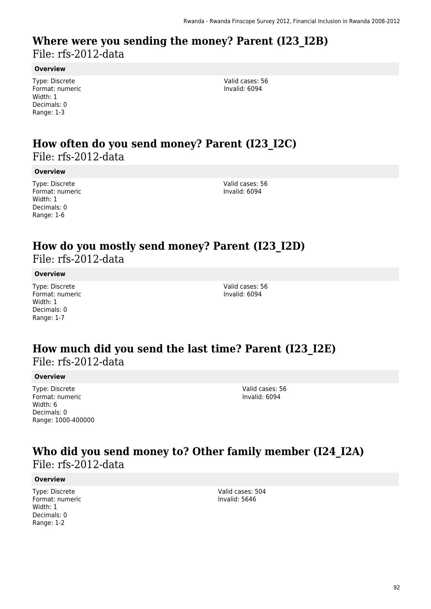### **Where were you sending the money? Parent (I23\_I2B)**  File: rfs-2012-data

#### **Overview**

Type: Discrete Format: numeric Width: 1 Decimals: 0 Range: 1-3

Valid cases: 56 Invalid: 6094

### **How often do you send money? Parent (I23\_I2C)**  File: rfs-2012-data

#### **Overview**

Type: Discrete Format: numeric Width: 1 Decimals: 0 Range: 1-6

Valid cases: 56 Invalid: 6094

### **How do you mostly send money? Parent (I23\_I2D)**  File: rfs-2012-data

#### **Overview**

Type: Discrete Format: numeric Width: 1 Decimals: 0 Range: 1-7

Valid cases: 56 Invalid: 6094

### **How much did you send the last time? Parent (I23\_I2E)**  File: rfs-2012-data

#### **Overview**

Type: Discrete Format: numeric Width: 6 Decimals: 0 Range: 1000-400000

Valid cases: 56 Invalid: 6094

### **Who did you send money to? Other family member (I24\_I2A)**  File: rfs-2012-data

#### **Overview**

Type: Discrete Format: numeric Width: 1 Decimals: 0 Range: 1-2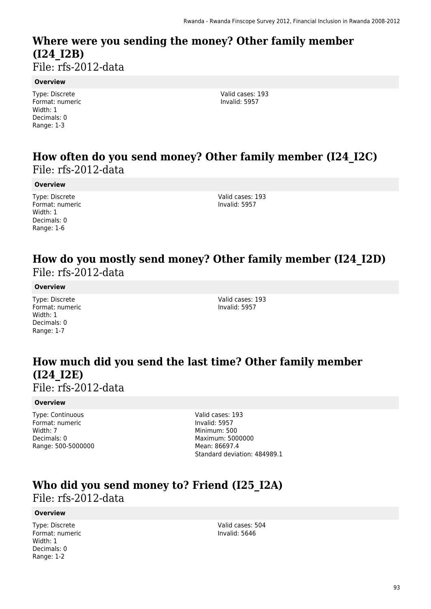### **Where were you sending the money? Other family member (I24\_I2B)**  File: rfs-2012-data

**Overview**

Type: Discrete Format: numeric Width: 1 Decimals: 0 Range: 1-3

Valid cases: 193 Invalid: 5957

### **How often do you send money? Other family member (I24\_I2C)**  File: rfs-2012-data

#### **Overview**

Type: Discrete Format: numeric Width: 1 Decimals: 0 Range: 1-6

Valid cases: 193 Invalid: 5957

### **How do you mostly send money? Other family member (I24\_I2D)**  File: rfs-2012-data

#### **Overview**

Type: Discrete Format: numeric Width: 1 Decimals: 0 Range: 1-7

Valid cases: 193 Invalid: 5957

# **How much did you send the last time? Other family member (I24\_I2E)**

File: rfs-2012-data

#### **Overview**

Type: Continuous Format: numeric Width: 7 Decimals: 0 Range: 500-5000000 Valid cases: 193 Invalid: 5957 Minimum: 500 Maximum: 5000000 Mean: 86697.4 Standard deviation: 484989.1

### **Who did you send money to? Friend (I25\_I2A)**  File: rfs-2012-data

#### **Overview**

Type: Discrete Format: numeric Width: 1 Decimals: 0 Range: 1-2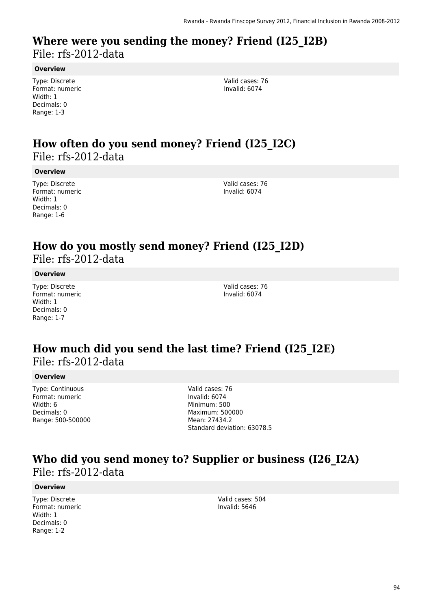### **Where were you sending the money? Friend (I25\_I2B)**  File: rfs-2012-data

#### **Overview**

Type: Discrete Format: numeric Width: 1 Decimals: 0 Range: 1-3

Valid cases: 76 Invalid: 6074

### **How often do you send money? Friend (I25\_I2C)**  File: rfs-2012-data

#### **Overview**

Type: Discrete Format: numeric Width: 1 Decimals: 0 Range: 1-6

Valid cases: 76 Invalid: 6074

### **How do you mostly send money? Friend (I25\_I2D)**  File: rfs-2012-data

#### **Overview**

Type: Discrete Format: numeric Width: 1 Decimals: 0 Range: 1-7

Valid cases: 76 Invalid: 6074

### **How much did you send the last time? Friend (I25\_I2E)**  File: rfs-2012-data

#### **Overview**

Type: Continuous Format: numeric Width: 6 Decimals: 0 Range: 500-500000 Valid cases: 76 Invalid: 6074 Minimum: 500 Maximum: 500000 Mean: 27434.2 Standard deviation: 63078.5

### **Who did you send money to? Supplier or business (I26\_I2A)**  File: rfs-2012-data

#### **Overview**

Type: Discrete Format: numeric Width: 1 Decimals: 0 Range: 1-2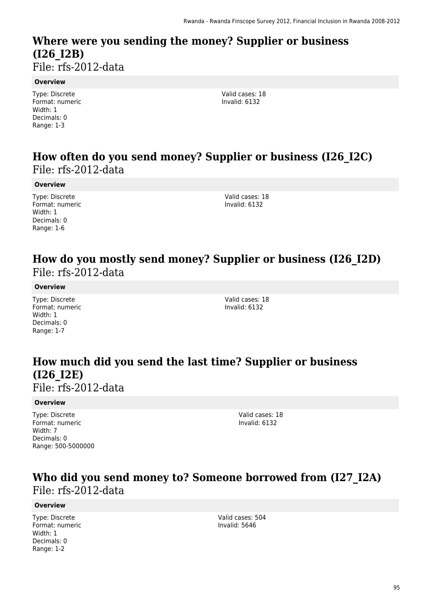# **Where were you sending the money? Supplier or business (I26\_I2B)**

File: rfs-2012-data

#### **Overview**

Type: Discrete Format: numeric Width: 1 Decimals: 0 Range: 1-3

Valid cases: 18 Invalid: 6132

### **How often do you send money? Supplier or business (I26\_I2C)**  File: rfs-2012-data

#### **Overview**

Type: Discrete Format: numeric Width: 1 Decimals: 0 Range: 1-6

Valid cases: 18 Invalid: 6132

### **How do you mostly send money? Supplier or business (I26\_I2D)**  File: rfs-2012-data

#### **Overview**

Type: Discrete Format: numeric Width: 1 Decimals: 0 Range: 1-7

Valid cases: 18 Invalid: 6132

# **How much did you send the last time? Supplier or business (I26\_I2E)**

File: rfs-2012-data

#### **Overview**

Type: Discrete Format: numeric Width: 7 Decimals: 0 Range: 500-5000000 Valid cases: 18 Invalid: 6132

### **Who did you send money to? Someone borrowed from (I27\_I2A)**  File: rfs-2012-data

#### **Overview**

Type: Discrete Format: numeric Width: 1 Decimals: 0 Range: 1-2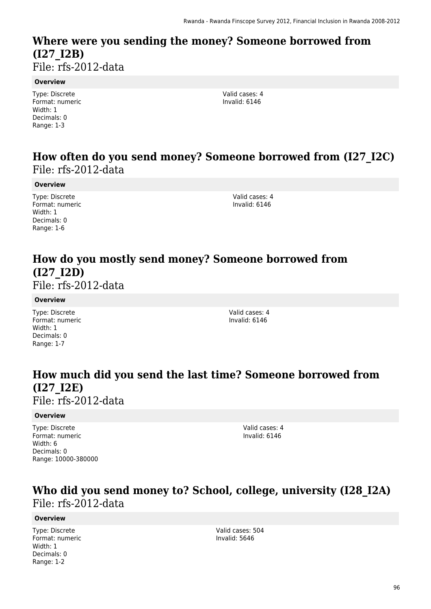### **Where were you sending the money? Someone borrowed from (I27\_I2B)**  File: rfs-2012-data

#### **Overview**

Type: Discrete Format: numeric Width: 1 Decimals: 0 Range: 1-3

Valid cases: 4 Invalid: 6146

### **How often do you send money? Someone borrowed from (I27\_I2C)**  File: rfs-2012-data

#### **Overview**

Type: Discrete Format: numeric Width: 1 Decimals: 0 Range: 1-6

Valid cases: 4 Invalid: 6146

# **How do you mostly send money? Someone borrowed from (I27\_I2D)**

File: rfs-2012-data

#### **Overview**

Type: Discrete Format: numeric Width: 1 Decimals: 0 Range: 1-7

Valid cases: 4 Invalid: 6146

# **How much did you send the last time? Someone borrowed from (I27\_I2E)**

File: rfs-2012-data

#### **Overview**

Type: Discrete Format: numeric Width: 6 Decimals: 0 Range: 10000-380000 Valid cases: 4 Invalid: 6146

### **Who did you send money to? School, college, university (I28\_I2A)**  File: rfs-2012-data

#### **Overview**

Type: Discrete Format: numeric Width: 1 Decimals: 0 Range: 1-2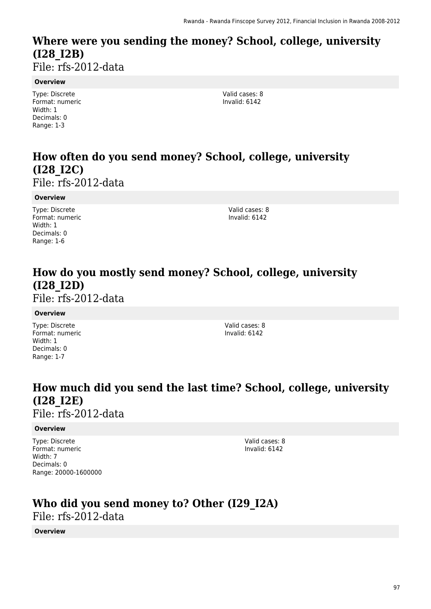# **Where were you sending the money? School, college, university (I28\_I2B)**

File: rfs-2012-data

#### **Overview**

Type: Discrete Format: numeric Width: 1 Decimals: 0 Range: 1-3

Valid cases: 8 Invalid: 6142

# **How often do you send money? School, college, university (I28\_I2C)**

File: rfs-2012-data

#### **Overview**

Type: Discrete Format: numeric Width: 1 Decimals: 0 Range: 1-6

Valid cases: 8 Invalid: 6142

# **How do you mostly send money? School, college, university (I28\_I2D)**

File: rfs-2012-data

#### **Overview**

Type: Discrete Format: numeric Width: 1 Decimals: 0 Range: 1-7

Valid cases: 8 Invalid: 6142

# **How much did you send the last time? School, college, university (I28\_I2E)**

File: rfs-2012-data

#### **Overview**

Type: Discrete Format: numeric Width: 7 Decimals: 0 Range: 20000-1600000 Valid cases: 8 Invalid: 6142

# **Who did you send money to? Other (I29\_I2A)**

File: rfs-2012-data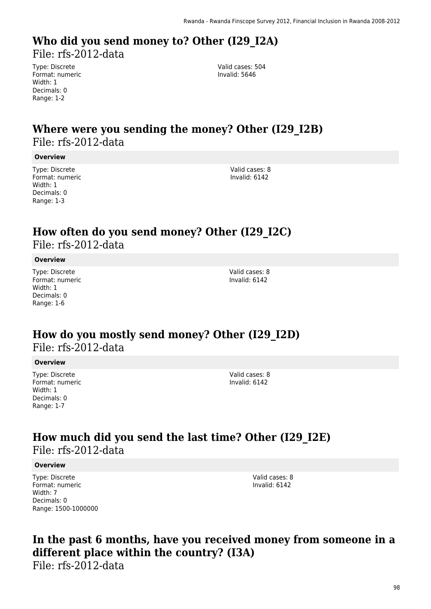# **Who did you send money to? Other (I29\_I2A)**

File: rfs-2012-data

Type: Discrete Format: numeric Width: 1 Decimals: 0 Range: 1-2

Valid cases: 504 Invalid: 5646

# **Where were you sending the money? Other (I29\_I2B)**  File: rfs-2012-data

#### **Overview**

Type: Discrete Format: numeric Width: 1 Decimals: 0 Range: 1-3

Valid cases: 8 Invalid: 6142

### **How often do you send money? Other (I29\_I2C)**  File: rfs-2012-data

#### **Overview**

Type: Discrete Format: numeric Width: 1 Decimals: 0 Range: 1-6

Valid cases: 8 Invalid: 6142

### **How do you mostly send money? Other (I29\_I2D)**  File: rfs-2012-data

#### **Overview**

Type: Discrete Format: numeric Width: 1 Decimals: 0 Range: 1-7

Valid cases: 8 Invalid: 6142

### **How much did you send the last time? Other (I29\_I2E)**  File: rfs-2012-data

#### **Overview**

Type: Discrete Format: numeric Width: 7 Decimals: 0 Range: 1500-1000000 Valid cases: 8 Invalid: 6142

# **In the past 6 months, have you received money from someone in a different place within the country? (I3A)**

File: rfs-2012-data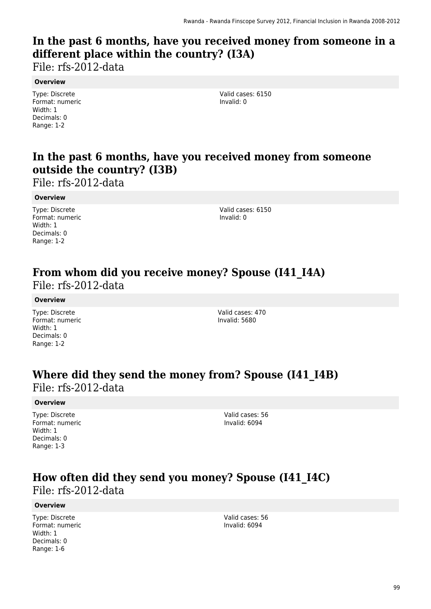# **In the past 6 months, have you received money from someone in a different place within the country? (I3A)**

File: rfs-2012-data

#### **Overview**

Type: Discrete Format: numeric Width: 1 Decimals: 0 Range: 1-2

Valid cases: 6150 Invalid: 0

## **In the past 6 months, have you received money from someone outside the country? (I3B)**

File: rfs-2012-data

#### **Overview**

Type: Discrete Format: numeric Width: 1 Decimals: 0 Range: 1-2

Valid cases: 6150 Invalid: 0

### **From whom did you receive money? Spouse (I41\_I4A)**  File: rfs-2012-data

#### **Overview**

Type: Discrete Format: numeric Width: 1 Decimals: 0 Range: 1-2

Valid cases: 470 Invalid: 5680

### **Where did they send the money from? Spouse (I41\_I4B)**  File: rfs-2012-data

#### **Overview**

Type: Discrete Format: numeric Width: 1 Decimals: 0 Range: 1-3

Valid cases: 56 Invalid: 6094

### **How often did they send you money? Spouse (I41\_I4C)**  File: rfs-2012-data

#### **Overview**

Type: Discrete Format: numeric Width: 1 Decimals: 0 Range: 1-6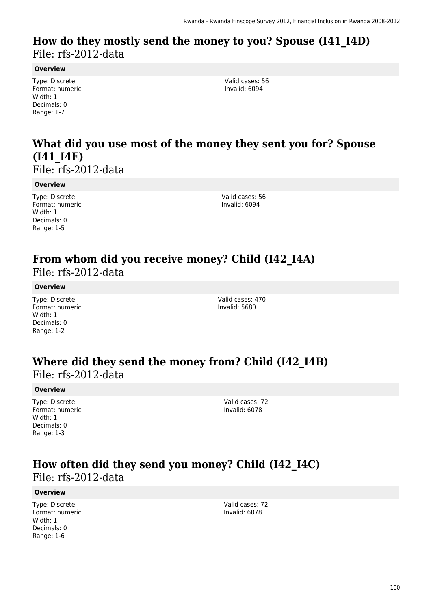### **How do they mostly send the money to you? Spouse (I41\_I4D)**  File: rfs-2012-data

#### **Overview**

Type: Discrete Format: numeric Width: 1 Decimals: 0 Range: 1-7

Valid cases: 56 Invalid: 6094

# **What did you use most of the money they sent you for? Spouse (I41\_I4E)**

File: rfs-2012-data

#### **Overview**

Type: Discrete Format: numeric Width: 1 Decimals: 0 Range: 1-5

Valid cases: 56 Invalid: 6094

# **From whom did you receive money? Child (I42\_I4A)**

File: rfs-2012-data

#### **Overview**

Type: Discrete Format: numeric Width: 1 Decimals: 0 Range: 1-2

Valid cases: 470 Invalid: 5680

### **Where did they send the money from? Child (I42\_I4B)**  File: rfs-2012-data

#### **Overview**

Type: Discrete Format: numeric Width: 1 Decimals: 0 Range: 1-3

Valid cases: 72 Invalid: 6078

# **How often did they send you money? Child (I42\_I4C)**

File: rfs-2012-data

#### **Overview**

Type: Discrete Format: numeric Width: 1 Decimals: 0 Range: 1-6

Valid cases: 72 Invalid: 6078

100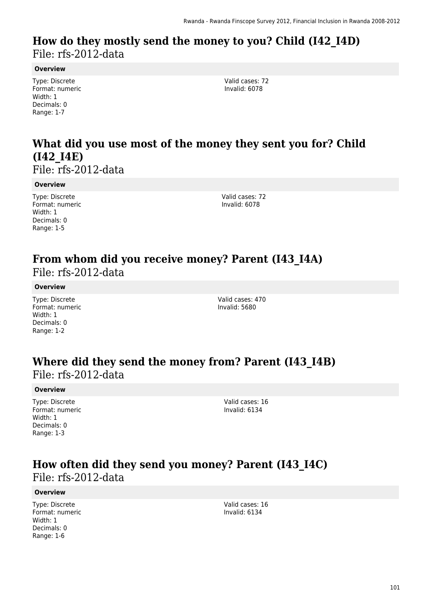### **How do they mostly send the money to you? Child (I42\_I4D)**  File: rfs-2012-data

#### **Overview**

Type: Discrete Format: numeric Width: 1 Decimals: 0 Range: 1-7

Valid cases: 72 Invalid: 6078

# **What did you use most of the money they sent you for? Child (I42\_I4E)**

File: rfs-2012-data

#### **Overview**

Type: Discrete Format: numeric Width: 1 Decimals: 0 Range: 1-5

Valid cases: 72 Invalid: 6078

# **From whom did you receive money? Parent (I43\_I4A)**

File: rfs-2012-data

#### **Overview**

Type: Discrete Format: numeric Width: 1 Decimals: 0 Range: 1-2

Valid cases: 470 Invalid: 5680

### **Where did they send the money from? Parent (I43\_I4B)**  File: rfs-2012-data

#### **Overview**

Type: Discrete Format: numeric Width: 1 Decimals: 0 Range: 1-3

Valid cases: 16 Invalid: 6134

# **How often did they send you money? Parent (I43\_I4C)**

File: rfs-2012-data

#### **Overview**

Type: Discrete Format: numeric Width: 1 Decimals: 0 Range: 1-6

Valid cases: 16 Invalid: 6134

101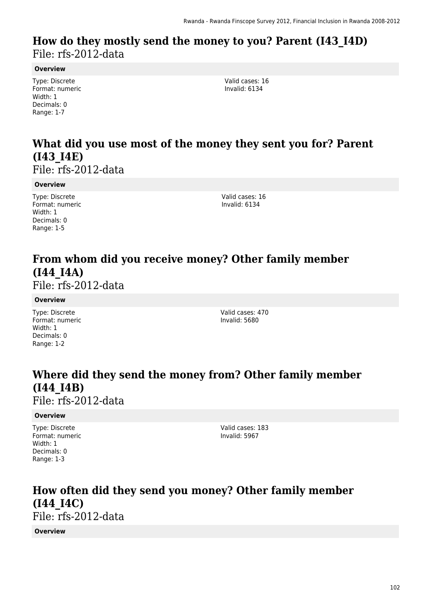### **How do they mostly send the money to you? Parent (I43\_I4D)**  File: rfs-2012-data

#### **Overview**

Type: Discrete Format: numeric Width: 1 Decimals: 0 Range: 1-7

Valid cases: 16 Invalid: 6134

# **What did you use most of the money they sent you for? Parent (I43\_I4E)**

File: rfs-2012-data

#### **Overview**

Type: Discrete Format: numeric Width: 1 Decimals: 0 Range: 1-5

Valid cases: 16 Invalid: 6134

# **From whom did you receive money? Other family member (I44\_I4A)**

File: rfs-2012-data

#### **Overview**

Type: Discrete Format: numeric Width: 1 Decimals: 0 Range: 1-2

Valid cases: 470 Invalid: 5680

## **Where did they send the money from? Other family member (I44\_I4B)**

File: rfs-2012-data

#### **Overview**

Type: Discrete Format: numeric Width: 1 Decimals: 0 Range: 1-3

Valid cases: 183 Invalid: 5967

### **How often did they send you money? Other family member (I44\_I4C)**  File: rfs-2012-data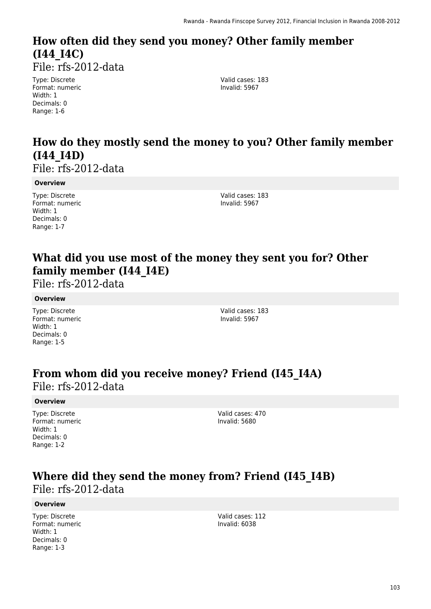# **How often did they send you money? Other family member (I44\_I4C)**

File: rfs-2012-data

Type: Discrete Format: numeric Width: 1 Decimals: 0 Range: 1-6

Valid cases: 183 Invalid: 5967

# **How do they mostly send the money to you? Other family member (I44\_I4D)**

File: rfs-2012-data

#### **Overview**

Type: Discrete Format: numeric Width: 1 Decimals: 0 Range: 1-7

Valid cases: 183 Invalid: 5967

### **What did you use most of the money they sent you for? Other family member (I44\_I4E)**

File: rfs-2012-data

#### **Overview**

Type: Discrete Format: numeric Width: 1 Decimals: 0 Range: 1-5

Valid cases: 183 Invalid: 5967

### **From whom did you receive money? Friend (I45\_I4A)**  File: rfs-2012-data

#### **Overview**

Type: Discrete Format: numeric Width: 1 Decimals: 0 Range: 1-2

Valid cases: 470 Invalid: 5680

### **Where did they send the money from? Friend (I45\_I4B)**  File: rfs-2012-data

#### **Overview**

Type: Discrete Format: numeric Width: 1 Decimals: 0 Range: 1-3

Valid cases: 112 Invalid: 6038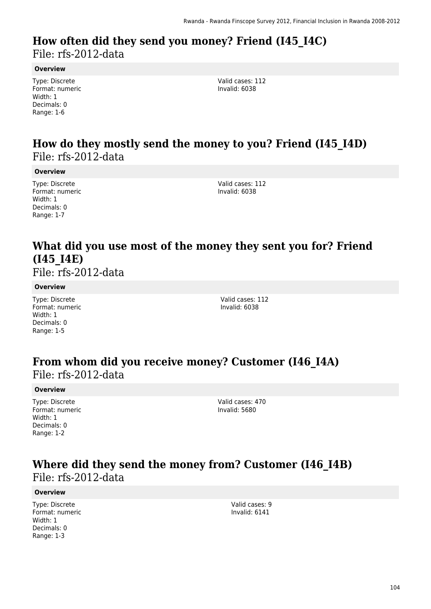### **How often did they send you money? Friend (I45\_I4C)**  File: rfs-2012-data

#### **Overview**

Type: Discrete Format: numeric Width: 1 Decimals: 0 Range: 1-6

Valid cases: 112 Invalid: 6038

### **How do they mostly send the money to you? Friend (I45\_I4D)**  File: rfs-2012-data

**Overview**

Type: Discrete Format: numeric Width: 1 Decimals: 0 Range: 1-7

Valid cases: 112 Invalid: 6038

### **What did you use most of the money they sent you for? Friend (I45\_I4E)**

File: rfs-2012-data

#### **Overview**

Type: Discrete Format: numeric Width: 1 Decimals: 0 Range: 1-5

Valid cases: 112 Invalid: 6038

# **From whom did you receive money? Customer (I46\_I4A)**

File: rfs-2012-data

#### **Overview**

Type: Discrete Format: numeric Width: 1 Decimals: 0 Range: 1-2

Valid cases: 470 Invalid: 5680

### **Where did they send the money from? Customer (I46\_I4B)**  File: rfs-2012-data

#### **Overview**

Type: Discrete Format: numeric Width: 1 Decimals: 0 Range: 1-3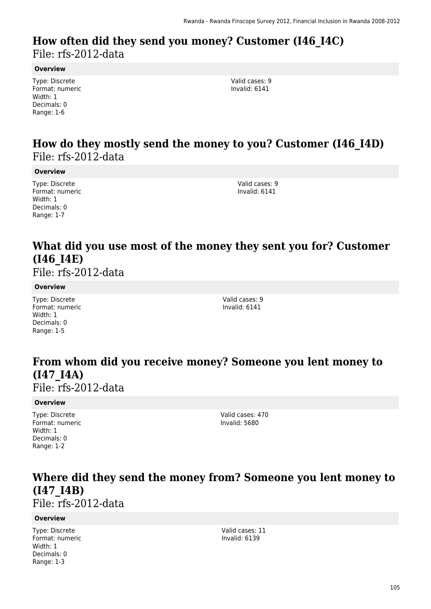### **How often did they send you money? Customer (I46\_I4C)**  File: rfs-2012-data

#### **Overview**

Type: Discrete Format: numeric Width: 1 Decimals: 0 Range: 1-6

Valid cases: 9 Invalid: 6141

### **How do they mostly send the money to you? Customer (I46\_I4D)**  File: rfs-2012-data

#### **Overview**

Type: Discrete Format: numeric Width: 1 Decimals: 0 Range: 1-7

Valid cases: 9 Invalid: 6141

### **What did you use most of the money they sent you for? Customer (I46\_I4E)**

File: rfs-2012-data

#### **Overview**

Type: Discrete Format: numeric Width: 1 Decimals: 0 Range: 1-5

Valid cases: 9 Invalid: 6141

# **From whom did you receive money? Someone you lent money to (I47\_I4A)**

File: rfs-2012-data

#### **Overview**

Type: Discrete Format: numeric Width: 1 Decimals: 0 Range: 1-2

Valid cases: 470 Invalid: 5680

### **Where did they send the money from? Someone you lent money to (I47\_I4B)**

File: rfs-2012-data

#### **Overview**

Type: Discrete Format: numeric Width: 1 Decimals: 0 Range: 1-3

Valid cases: 11 Invalid: 6139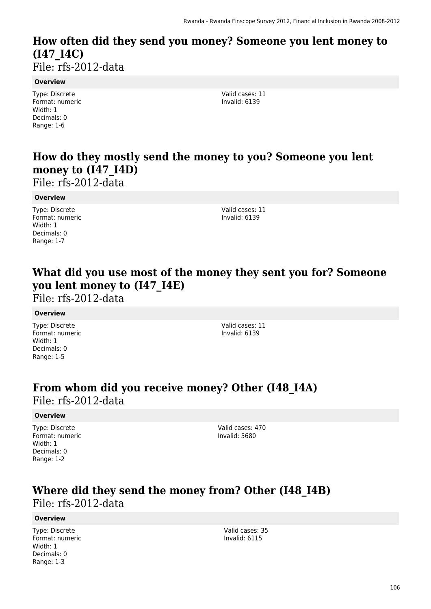# **How often did they send you money? Someone you lent money to (I47\_I4C)**

File: rfs-2012-data

#### **Overview**

Type: Discrete Format: numeric Width: 1 Decimals: 0 Range: 1-6

Valid cases: 11 Invalid: 6139

# **How do they mostly send the money to you? Someone you lent money to (I47\_I4D)**

File: rfs-2012-data

#### **Overview**

Type: Discrete Format: numeric Width: 1 Decimals: 0 Range: 1-7

Valid cases: 11 Invalid: 6139

### **What did you use most of the money they sent you for? Someone you lent money to (I47\_I4E)**

File: rfs-2012-data

#### **Overview**

Type: Discrete Format: numeric Width: 1 Decimals: 0 Range: 1-5

Valid cases: 11 Invalid: 6139

### **From whom did you receive money? Other (I48\_I4A)**  File: rfs-2012-data

#### **Overview**

Type: Discrete Format: numeric Width: 1 Decimals: 0 Range: 1-2

Valid cases: 470 Invalid: 5680

# **Where did they send the money from? Other (I48\_I4B)**

File: rfs-2012-data

#### **Overview**

Type: Discrete Format: numeric Width: 1 Decimals: 0 Range: 1-3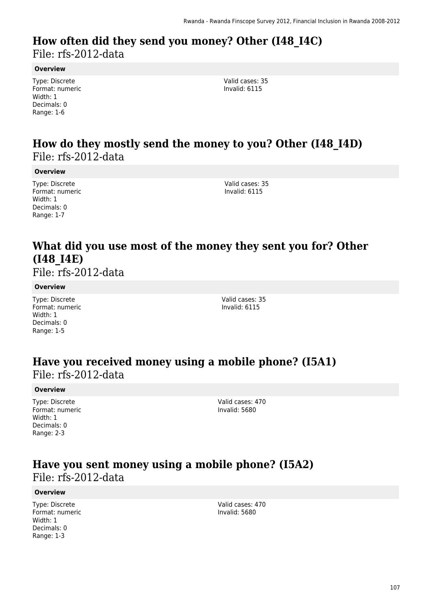### **How often did they send you money? Other (I48\_I4C)**  File: rfs-2012-data

#### **Overview**

Type: Discrete Format: numeric Width: 1 Decimals: 0 Range: 1-6

Valid cases: 35 Invalid: 6115

### **How do they mostly send the money to you? Other (I48\_I4D)**  File: rfs-2012-data

#### **Overview**

Type: Discrete Format: numeric Width: 1 Decimals: 0 Range: 1-7

Valid cases: 35 Invalid: 6115

### **What did you use most of the money they sent you for? Other (I48\_I4E)**

File: rfs-2012-data

#### **Overview**

Type: Discrete Format: numeric Width: 1 Decimals: 0 Range: 1-5

Valid cases: 35 Invalid: 6115

### **Have you received money using a mobile phone? (I5A1)**  File: rfs-2012-data

#### **Overview**

Type: Discrete Format: numeric Width: 1 Decimals: 0 Range: 2-3

Valid cases: 470 Invalid: 5680

### **Have you sent money using a mobile phone? (I5A2)**  File: rfs-2012-data

#### **Overview**

Type: Discrete Format: numeric Width: 1 Decimals: 0 Range: 1-3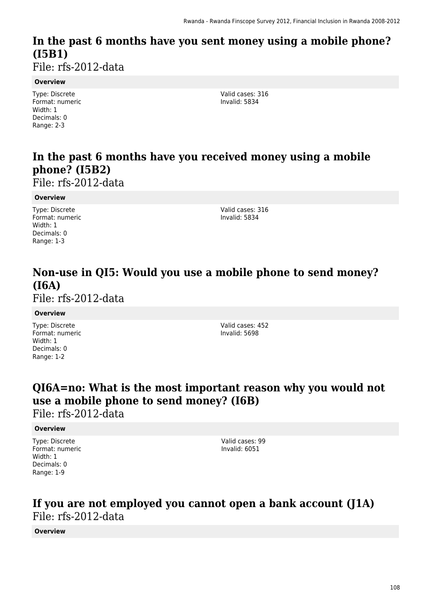# **In the past 6 months have you sent money using a mobile phone? (I5B1)**

File: rfs-2012-data

#### **Overview**

Type: Discrete Format: numeric Width: 1 Decimals: 0 Range: 2-3

Valid cases: 316 Invalid: 5834

# **In the past 6 months have you received money using a mobile phone? (I5B2)**

File: rfs-2012-data

#### **Overview**

Type: Discrete Format: numeric Width: 1 Decimals: 0 Range: 1-3

Valid cases: 316 Invalid: 5834

# **Non-use in QI5: Would you use a mobile phone to send money? (I6A)**

File: rfs-2012-data

#### **Overview**

Type: Discrete Format: numeric Width: 1 Decimals: 0 Range: 1-2

Valid cases: 452 Invalid: 5698

# **QI6A=no: What is the most important reason why you would not use a mobile phone to send money? (I6B)**

File: rfs-2012-data

#### **Overview**

Type: Discrete Format: numeric Width: 1 Decimals: 0 Range: 1-9

Valid cases: 99 Invalid: 6051

### **If you are not employed you cannot open a bank account (J1A)**  File: rfs-2012-data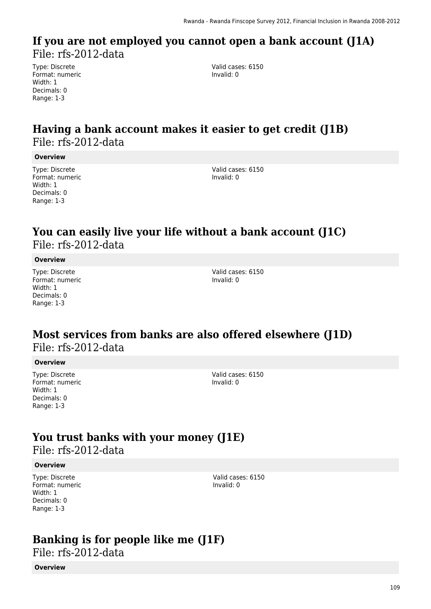### **If you are not employed you cannot open a bank account (J1A)**  File: rfs-2012-data

Type: Discrete Format: numeric Width: 1 Decimals: 0 Range: 1-3

Valid cases: 6150 Invalid: 0

## **Having a bank account makes it easier to get credit (J1B)**  File: rfs-2012-data

#### **Overview**

Type: Discrete Format: numeric Width: 1 Decimals: 0 Range: 1-3

Valid cases: 6150 Invalid: 0

## **You can easily live your life without a bank account (J1C)**  File: rfs-2012-data

#### **Overview**

Type: Discrete Format: numeric Width: 1 Decimals: 0 Range: 1-3

Valid cases: 6150 Invalid: 0

### **Most services from banks are also offered elsewhere (J1D)**  File: rfs-2012-data

#### **Overview**

Type: Discrete Format: numeric Width: 1 Decimals: 0 Range: 1-3

Valid cases: 6150 Invalid: 0

## **You trust banks with your money (J1E)**

File: rfs-2012-data

#### **Overview**

Type: Discrete Format: numeric Width: 1 Decimals: 0 Range: 1-3

Valid cases: 6150 Invalid: 0

### **Banking is for people like me (J1F)**

File: rfs-2012-data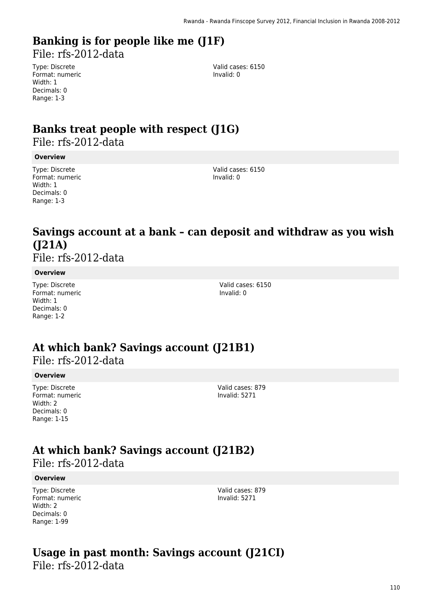# **Banking is for people like me (J1F)**

File: rfs-2012-data

Type: Discrete Format: numeric Width: 1 Decimals: 0 Range: 1-3

Valid cases: 6150 Invalid: 0

# **Banks treat people with respect (J1G)**

File: rfs-2012-data

#### **Overview**

Type: Discrete Format: numeric Width: 1 Decimals: 0 Range: 1-3

Valid cases: 6150 Invalid: 0

## **Savings account at a bank – can deposit and withdraw as you wish (J21A)**

File: rfs-2012-data

#### **Overview**

Type: Discrete Format: numeric Width: 1 Decimals: 0 Range: 1-2

Valid cases: 6150 Invalid: 0

## **At which bank? Savings account (J21B1)**

File: rfs-2012-data

#### **Overview**

Type: Discrete Format: numeric Width: 2 Decimals: 0 Range: 1-15

Valid cases: 879 Invalid: 5271

## **At which bank? Savings account (J21B2)**  File: rfs-2012-data

#### **Overview**

Type: Discrete Format: numeric Width: 2 Decimals: 0 Range: 1-99

Valid cases: 879 Invalid: 5271

### **Usage in past month: Savings account (J21CI)**  File: rfs-2012-data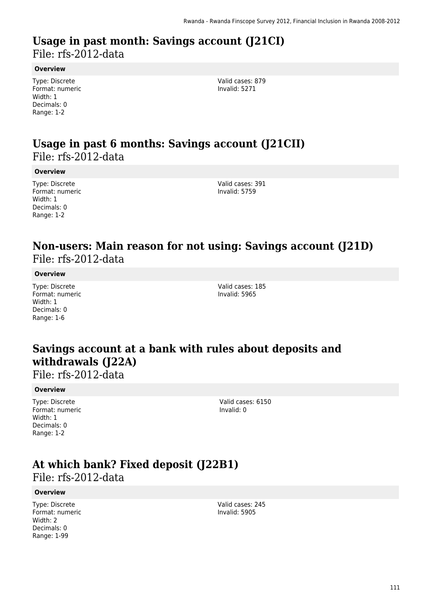### **Usage in past month: Savings account (J21CI)**  File: rfs-2012-data

#### **Overview**

Type: Discrete Format: numeric Width: 1 Decimals: 0 Range: 1-2

Valid cases: 879 Invalid: 5271

### **Usage in past 6 months: Savings account (J21CII)**  File: rfs-2012-data

#### **Overview**

Type: Discrete Format: numeric Width: 1 Decimals: 0 Range: 1-2

Valid cases: 391 Invalid: 5759

### **Non-users: Main reason for not using: Savings account (J21D)**  File: rfs-2012-data

#### **Overview**

Type: Discrete Format: numeric Width: 1 Decimals: 0 Range: 1-6

Valid cases: 185 Invalid: 5965

## **Savings account at a bank with rules about deposits and withdrawals (J22A)**

File: rfs-2012-data

#### **Overview**

Type: Discrete Format: numeric Width: 1 Decimals: 0 Range: 1-2

Valid cases: 6150 Invalid: 0

## **At which bank? Fixed deposit (J22B1)**

File: rfs-2012-data

#### **Overview**

Type: Discrete Format: numeric Width: 2 Decimals: 0 Range: 1-99

Valid cases: 245 Invalid: 5905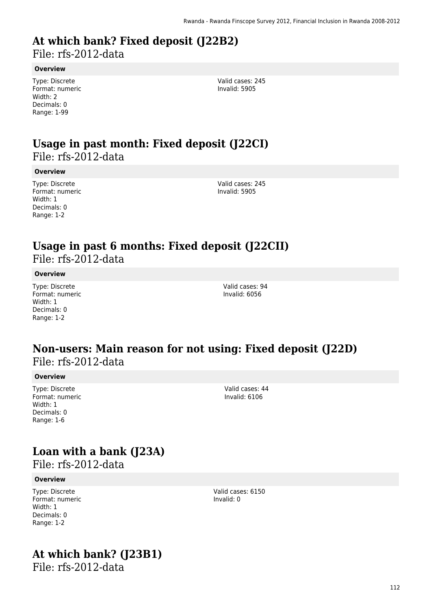# **At which bank? Fixed deposit (J22B2)**

File: rfs-2012-data

#### **Overview**

Type: Discrete Format: numeric Width: 2 Decimals: 0 Range: 1-99

Valid cases: 245 Invalid: 5905

### **Usage in past month: Fixed deposit (J22CI)**  File: rfs-2012-data

#### **Overview**

Type: Discrete Format: numeric Width: 1 Decimals: 0 Range: 1-2

Valid cases: 245 Invalid: 5905

### **Usage in past 6 months: Fixed deposit (J22CII)**  File: rfs-2012-data

#### **Overview**

Type: Discrete Format: numeric Width: 1 Decimals: 0 Range: 1-2

Valid cases: 94 Invalid: 6056

### **Non-users: Main reason for not using: Fixed deposit (J22D)**  File: rfs-2012-data

#### **Overview**

Type: Discrete Format: numeric Width: 1 Decimals: 0 Range: 1-6

## **Loan with a bank (J23A)**

File: rfs-2012-data

#### **Overview**

Type: Discrete Format: numeric Width: 1 Decimals: 0 Range: 1-2

# **At which bank? (J23B1)**

File: rfs-2012-data

Valid cases: 44 Invalid: 6106

Valid cases: 6150

Invalid: 0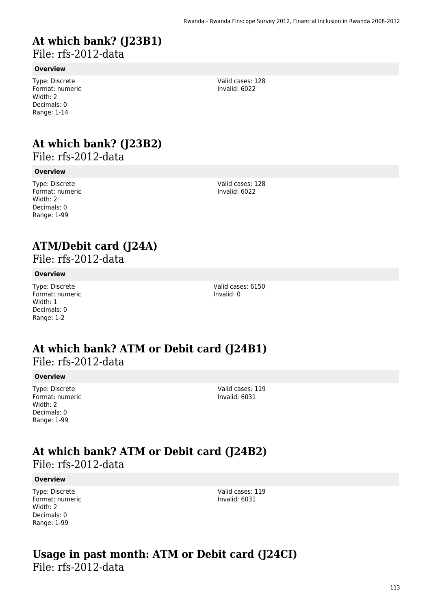## **At which bank? (J23B1)**

File: rfs-2012-data

#### **Overview**

Type: Discrete Format: numeric Width: 2 Decimals: 0 Range: 1-14

## **At which bank? (J23B2)**

File: rfs-2012-data

#### **Overview**

Type: Discrete Format: numeric Width: 2 Decimals: 0 Range: 1-99

Valid cases: 128 Invalid: 6022

Valid cases: 128 Invalid: 6022

## **ATM/Debit card (J24A)**

File: rfs-2012-data

#### **Overview**

Type: Discrete Format: numeric Width: 1 Decimals: 0 Range: 1-2

Valid cases: 6150 Invalid: 0

### **At which bank? ATM or Debit card (J24B1)**  File: rfs-2012-data

#### **Overview**

Type: Discrete Format: numeric Width: 2 Decimals: 0 Range: 1-99

Valid cases: 119 Invalid: 6031

### **At which bank? ATM or Debit card (J24B2)**  File: rfs-2012-data

#### **Overview**

Type: Discrete Format: numeric Width: 2 Decimals: 0 Range: 1-99

Valid cases: 119 Invalid: 6031

### **Usage in past month: ATM or Debit card (J24CI)**  File: rfs-2012-data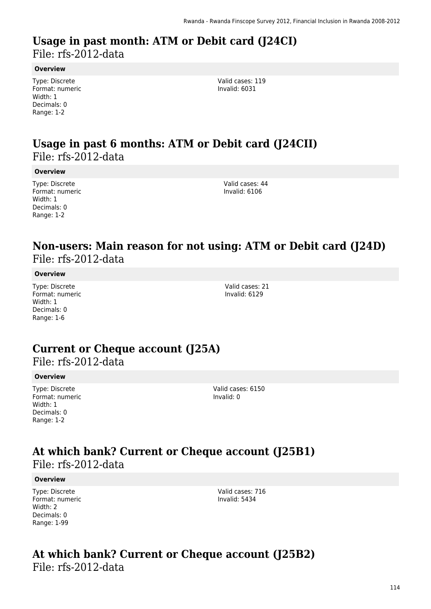### **Usage in past month: ATM or Debit card (J24CI)**  File: rfs-2012-data

**Overview**

Type: Discrete Format: numeric Width: 1 Decimals: 0 Range: 1-2

Valid cases: 119 Invalid: 6031

## **Usage in past 6 months: ATM or Debit card (J24CII)**  File: rfs-2012-data

#### **Overview**

Type: Discrete Format: numeric Width: 1 Decimals: 0 Range: 1-2

Valid cases: 44 Invalid: 6106

### **Non-users: Main reason for not using: ATM or Debit card (J24D)**  File: rfs-2012-data

#### **Overview**

Type: Discrete Format: numeric Width: 1 Decimals: 0 Range: 1-6

Valid cases: 21 Invalid: 6129

## **Current or Cheque account (J25A)**

File: rfs-2012-data

#### **Overview**

Type: Discrete Format: numeric Width: 1 Decimals: 0 Range: 1-2

Valid cases: 6150 Invalid: 0

### **At which bank? Current or Cheque account (J25B1)**  File: rfs-2012-data

#### **Overview**

Type: Discrete Format: numeric Width: 2 Decimals: 0 Range: 1-99

Valid cases: 716 Invalid: 5434

### **At which bank? Current or Cheque account (J25B2)**  File: rfs-2012-data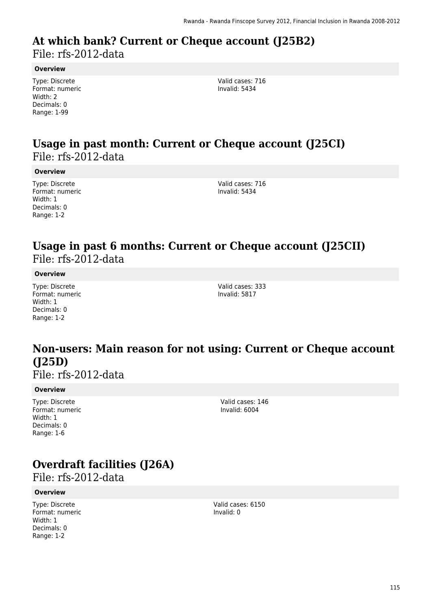### **At which bank? Current or Cheque account (J25B2)**  File: rfs-2012-data

#### **Overview**

Type: Discrete Format: numeric Width: 2 Decimals: 0 Range: 1-99

Valid cases: 716 Invalid: 5434

### **Usage in past month: Current or Cheque account (J25CI)**  File: rfs-2012-data

#### **Overview**

Type: Discrete Format: numeric Width: 1 Decimals: 0 Range: 1-2

Valid cases: 716 Invalid: 5434

### **Usage in past 6 months: Current or Cheque account (J25CII)**  File: rfs-2012-data

#### **Overview**

Type: Discrete Format: numeric Width: 1 Decimals: 0 Range: 1-2

Valid cases: 333 Invalid: 5817

## **Non-users: Main reason for not using: Current or Cheque account (J25D)**

File: rfs-2012-data

#### **Overview**

Type: Discrete Format: numeric Width: 1 Decimals: 0 Range: 1-6

Valid cases: 146 Invalid: 6004

## **Overdraft facilities (J26A)**

File: rfs-2012-data

#### **Overview**

Type: Discrete Format: numeric Width: 1 Decimals: 0 Range: 1-2

Valid cases: 6150 Invalid: 0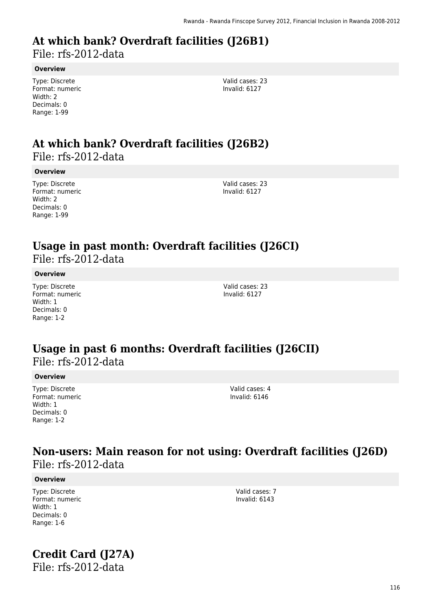## **At which bank? Overdraft facilities (J26B1)**

File: rfs-2012-data

#### **Overview**

Type: Discrete Format: numeric Width: 2 Decimals: 0 Range: 1-99

Valid cases: 23 Invalid: 6127

### **At which bank? Overdraft facilities (J26B2)**  File: rfs-2012-data

#### **Overview**

Type: Discrete Format: numeric Width: 2 Decimals: 0 Range: 1-99

Valid cases: 23 Invalid: 6127

### **Usage in past month: Overdraft facilities (J26CI)**  File: rfs-2012-data

#### **Overview**

Type: Discrete Format: numeric Width: 1 Decimals: 0 Range: 1-2

Valid cases: 23 Invalid: 6127

### **Usage in past 6 months: Overdraft facilities (J26CII)**  File: rfs-2012-data

#### **Overview**

Type: Discrete Format: numeric Width: 1 Decimals: 0 Range: 1-2

Valid cases: 4 Invalid: 6146

> Valid cases: 7 Invalid: 6143

### **Non-users: Main reason for not using: Overdraft facilities (J26D)**  File: rfs-2012-data

#### **Overview**

Type: Discrete Format: numeric Width: 1 Decimals: 0 Range: 1-6

# **Credit Card (J27A)**

File: rfs-2012-data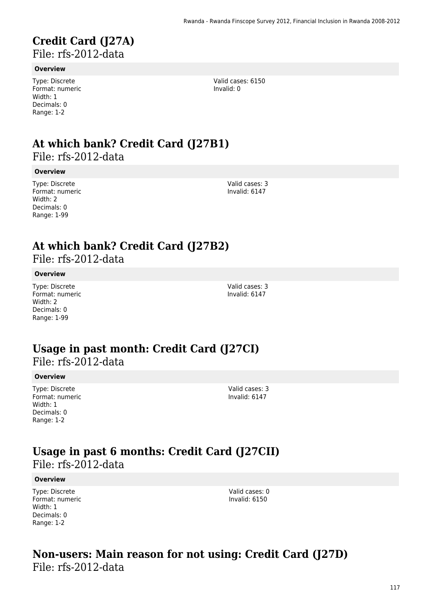### **Credit Card (J27A)**  File: rfs-2012-data

#### **Overview**

Type: Discrete Format: numeric Width: 1 Decimals: 0 Range: 1-2

# **At which bank? Credit Card (J27B1)**

File: rfs-2012-data

#### **Overview**

Type: Discrete Format: numeric Width: 2 Decimals: 0 Range: 1-99

Valid cases: 3 Invalid: 6147

Valid cases: 3 Invalid: 6147

Valid cases: 6150

Invalid: 0

## **At which bank? Credit Card (J27B2)**

File: rfs-2012-data

#### **Overview**

Type: Discrete Format: numeric Width: 2 Decimals: 0 Range: 1-99

### **Usage in past month: Credit Card (J27CI)**  File: rfs-2012-data

#### **Overview**

Type: Discrete Format: numeric Width: 1 Decimals: 0 Range: 1-2

Valid cases: 3 Invalid: 6147

### **Usage in past 6 months: Credit Card (J27CII)**  File: rfs-2012-data

#### **Overview**

Type: Discrete Format: numeric Width: 1 Decimals: 0 Range: 1-2

Valid cases: 0 Invalid: 6150

### **Non-users: Main reason for not using: Credit Card (J27D)**  File: rfs-2012-data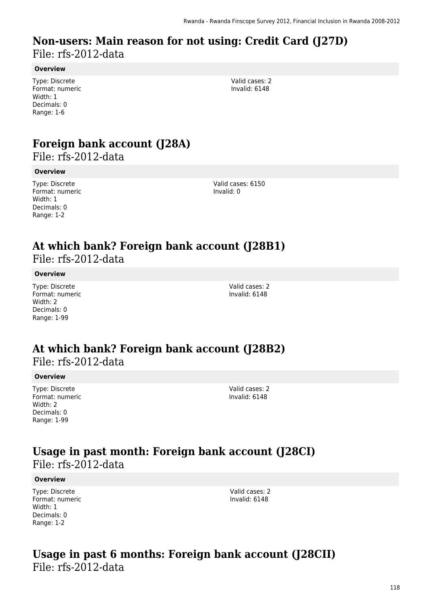### **Non-users: Main reason for not using: Credit Card (J27D)**  File: rfs-2012-data

#### **Overview**

Type: Discrete Format: numeric Width: 1 Decimals: 0 Range: 1-6

Valid cases: 2 Invalid: 6148

## **Foreign bank account (J28A)**

File: rfs-2012-data

#### **Overview**

Type: Discrete Format: numeric Width: 1 Decimals: 0 Range: 1-2

Valid cases: 6150 Invalid: 0

### **At which bank? Foreign bank account (J28B1)**  File: rfs-2012-data

**Overview**

Type: Discrete

Format: numeric Width: 2 Decimals: 0 Range: 1-99

Valid cases: 2 Invalid: 6148

### **At which bank? Foreign bank account (J28B2)**  File: rfs-2012-data

#### **Overview**

Type: Discrete Format: numeric Width: 2 Decimals: 0 Range: 1-99

Valid cases: 2 Invalid: 6148

### **Usage in past month: Foreign bank account (J28CI)**  File: rfs-2012-data

#### **Overview**

Type: Discrete Format: numeric Width: 1 Decimals: 0 Range: 1-2

Valid cases: 2 Invalid: 6148

### **Usage in past 6 months: Foreign bank account (J28CII)**  File: rfs-2012-data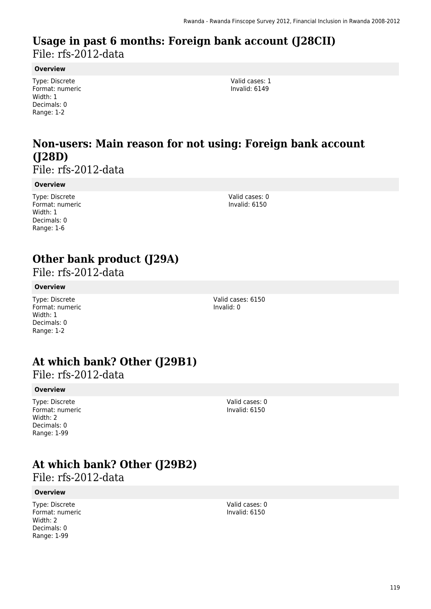### **Usage in past 6 months: Foreign bank account (J28CII)**  File: rfs-2012-data

#### **Overview**

Type: Discrete Format: numeric Width: 1 Decimals: 0 Range: 1-2

Valid cases: 1 Invalid: 6149

## **Non-users: Main reason for not using: Foreign bank account (J28D)**

File: rfs-2012-data

#### **Overview**

Type: Discrete Format: numeric Width: 1 Decimals: 0 Range: 1-6

Valid cases: 0 Invalid: 6150

## **Other bank product (J29A)**

File: rfs-2012-data

#### **Overview**

Type: Discrete Format: numeric Width: 1 Decimals: 0 Range: 1-2

Valid cases: 6150 Invalid: 0

## **At which bank? Other (J29B1)**

File: rfs-2012-data

#### **Overview**

Type: Discrete Format: numeric Width: 2 Decimals: 0 Range: 1-99

Invalid: 6150

Valid cases: 0

## **At which bank? Other (J29B2)**

File: rfs-2012-data

#### **Overview**

Type: Discrete Format: numeric Width: 2 Decimals: 0 Range: 1-99

Valid cases: 0 Invalid: 6150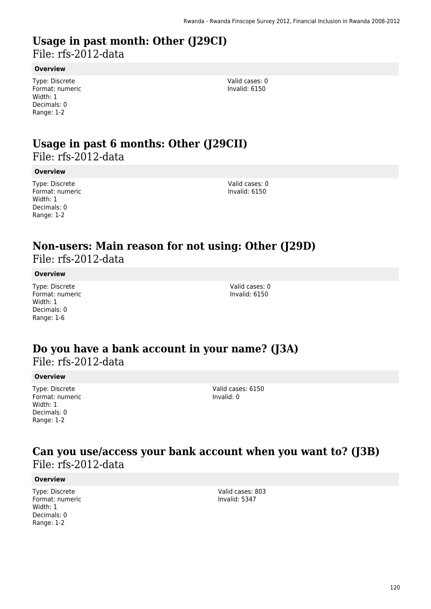# **Usage in past month: Other (J29CI)**

File: rfs-2012-data

#### **Overview**

Type: Discrete Format: numeric Width: 1 Decimals: 0 Range: 1-2

Valid cases: 0 Invalid: 6150

### **Usage in past 6 months: Other (J29CII)**  File: rfs-2012-data

**Overview**

Type: Discrete Format: numeric Width: 1 Decimals: 0 Range: 1-2

Valid cases: 0 Invalid: 6150

### **Non-users: Main reason for not using: Other (J29D)**  File: rfs-2012-data

**Overview**

Type: Discrete Format: numeric Width: 1 Decimals: 0 Range: 1-6

Valid cases: 0 Invalid: 6150

### **Do you have a bank account in your name? (J3A)**  File: rfs-2012-data

#### **Overview**

Type: Discrete Format: numeric Width: 1 Decimals: 0 Range: 1-2

Valid cases: 6150 Invalid: 0

### **Can you use/access your bank account when you want to? (J3B)**  File: rfs-2012-data

#### **Overview**

Type: Discrete Format: numeric Width: 1 Decimals: 0 Range: 1-2

Valid cases: 803 Invalid: 5347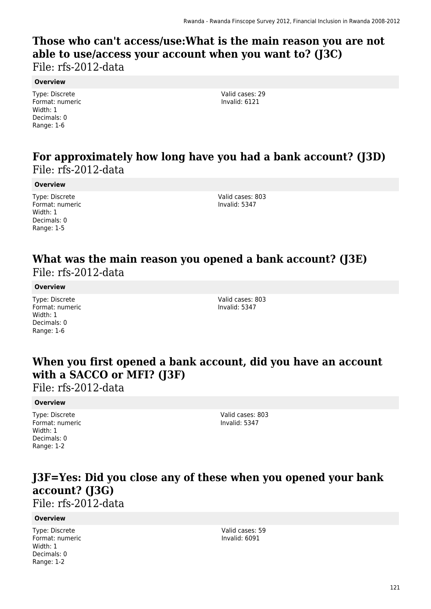### **Those who can't access/use:What is the main reason you are not able to use/access your account when you want to? (J3C)**  File: rfs-2012-data

#### **Overview**

Type: Discrete Format: numeric Width: 1 Decimals: 0 Range: 1-6

Valid cases: 29 Invalid: 6121

## **For approximately how long have you had a bank account? (J3D)**  File: rfs-2012-data

#### **Overview**

Type: Discrete Format: numeric Width: 1 Decimals: 0 Range: 1-5

Valid cases: 803 Invalid: 5347

### **What was the main reason you opened a bank account? (J3E)**  File: rfs-2012-data

#### **Overview**

Type: Discrete Format: numeric Width: 1 Decimals: 0 Range: 1-6

Valid cases: 803 Invalid: 5347

## **When you first opened a bank account, did you have an account with a SACCO or MFI? (J3F)**

File: rfs-2012-data

#### **Overview**

Type: Discrete Format: numeric Width: 1 Decimals: 0 Range: 1-2

Valid cases: 803 Invalid: 5347

## **J3F=Yes: Did you close any of these when you opened your bank account? (J3G)**

File: rfs-2012-data

#### **Overview**

Type: Discrete Format: numeric Width: 1 Decimals: 0 Range: 1-2

Valid cases: 59 Invalid: 6091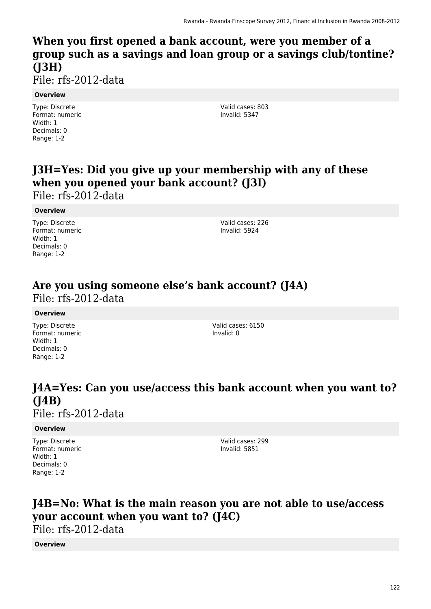## **When you first opened a bank account, were you member of a group such as a savings and loan group or a savings club/tontine? (J3H)**

File: rfs-2012-data

#### **Overview**

Type: Discrete Format: numeric Width: 1 Decimals: 0 Range: 1-2

Valid cases: 803 Invalid: 5347

## **J3H=Yes: Did you give up your membership with any of these when you opened your bank account? (J3I)**

File: rfs-2012-data

#### **Overview**

Type: Discrete Format: numeric Width: 1 Decimals: 0 Range: 1-2

Valid cases: 226 Invalid: 5924

### **Are you using someone else's bank account? (J4A)**  File: rfs-2012-data

#### **Overview**

Type: Discrete Format: numeric Width: 1 Decimals: 0 Range: 1-2

Valid cases: 6150 Invalid: 0

### **J4A=Yes: Can you use/access this bank account when you want to? (J4B)**  File: rfs-2012-data

#### **Overview**

Type: Discrete Format: numeric Width: 1 Decimals: 0 Range: 1-2

Valid cases: 299 Invalid: 5851

## **J4B=No: What is the main reason you are not able to use/access your account when you want to? (J4C)**

File: rfs-2012-data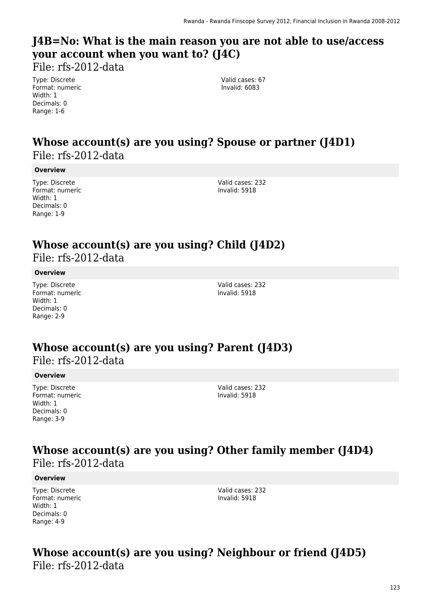## **J4B=No: What is the main reason you are not able to use/access your account when you want to? (J4C)**

File: rfs-2012-data

Type: Discrete Format: numeric Width: 1 Decimals: 0 Range: 1-6

Valid cases: 67 Invalid: 6083

### **Whose account(s) are you using? Spouse or partner (J4D1)**  File: rfs-2012-data

#### **Overview**

Type: Discrete Format: numeric Width: 1 Decimals: 0 Range: 1-9

Valid cases: 232 Invalid: 5918

# **Whose account(s) are you using? Child (J4D2)**

File: rfs-2012-data

#### **Overview**

Type: Discrete Format: numeric Width: 1 Decimals: 0 Range: 2-9

Valid cases: 232 Invalid: 5918

### **Whose account(s) are you using? Parent (J4D3)**  File: rfs-2012-data

#### **Overview**

Type: Discrete Format: numeric Width: 1 Decimals: 0 Range: 3-9

Valid cases: 232 Invalid: 5918

### **Whose account(s) are you using? Other family member (J4D4)**  File: rfs-2012-data

#### **Overview**

Type: Discrete Format: numeric Width: 1 Decimals: 0 Range: 4-9

Valid cases: 232 Invalid: 5918

### **Whose account(s) are you using? Neighbour or friend (J4D5)**  File: rfs-2012-data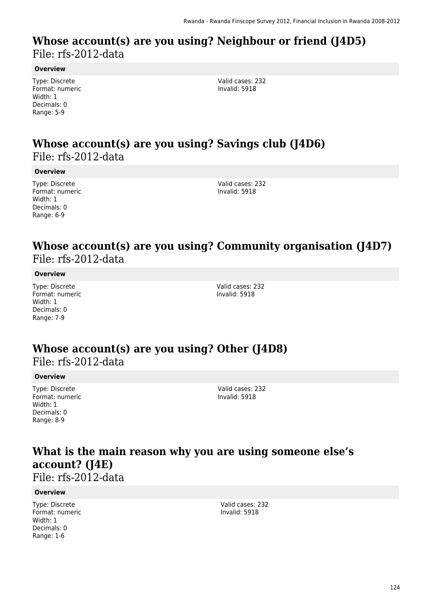### **Whose account(s) are you using? Neighbour or friend (J4D5)**  File: rfs-2012-data

#### **Overview**

Type: Discrete Format: numeric Width: 1 Decimals: 0 Range: 5-9

Valid cases: 232 Invalid: 5918

### **Whose account(s) are you using? Savings club (J4D6)**  File: rfs-2012-data

#### **Overview**

Type: Discrete Format: numeric Width: 1 Decimals: 0 Range: 6-9

Valid cases: 232 Invalid: 5918

### **Whose account(s) are you using? Community organisation (J4D7)**  File: rfs-2012-data

#### **Overview**

Type: Discrete Format: numeric Width: 1 Decimals: 0 Range: 7-9

Valid cases: 232 Invalid: 5918

### **Whose account(s) are you using? Other (J4D8)**  File: rfs-2012-data

#### **Overview**

Type: Discrete Format: numeric Width: 1 Decimals: 0 Range: 8-9

Valid cases: 232 Invalid: 5918

## **What is the main reason why you are using someone else's account? (J4E)**

File: rfs-2012-data

#### **Overview**

Type: Discrete Format: numeric Width: 1 Decimals: 0 Range: 1-6

Valid cases: 232 Invalid: 5918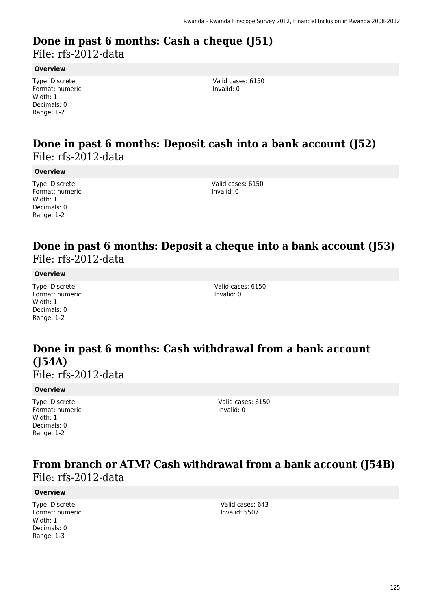# **Done in past 6 months: Cash a cheque (J51)**

File: rfs-2012-data

#### **Overview**

Type: Discrete Format: numeric Width: 1 Decimals: 0 Range: 1-2

Valid cases: 6150 Invalid: 0

### **Done in past 6 months: Deposit cash into a bank account (J52)**  File: rfs-2012-data

#### **Overview**

Type: Discrete Format: numeric Width: 1 Decimals: 0 Range: 1-2

Valid cases: 6150 Invalid: 0

### **Done in past 6 months: Deposit a cheque into a bank account (J53)**  File: rfs-2012-data

#### **Overview**

Type: Discrete Format: numeric Width: 1 Decimals: 0 Range: 1-2

Valid cases: 6150 Invalid: 0

## **Done in past 6 months: Cash withdrawal from a bank account (J54A)**

File: rfs-2012-data

#### **Overview**

Type: Discrete Format: numeric Width: 1 Decimals: 0 Range: 1-2

Valid cases: 6150 Invalid: 0

## **From branch or ATM? Cash withdrawal from a bank account (J54B)**  File: rfs-2012-data

#### **Overview**

Type: Discrete Format: numeric Width: 1 Decimals: 0 Range: 1-3

Valid cases: 643 Invalid: 5507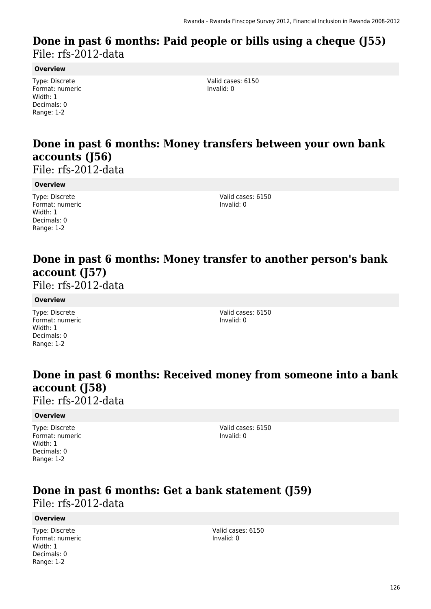### **Done in past 6 months: Paid people or bills using a cheque (J55)**  File: rfs-2012-data

#### **Overview**

Type: Discrete Format: numeric Width: 1 Decimals: 0 Range: 1-2

Valid cases: 6150 Invalid: 0

## **Done in past 6 months: Money transfers between your own bank accounts (J56)**

File: rfs-2012-data

#### **Overview**

Type: Discrete Format: numeric Width: 1 Decimals: 0 Range: 1-2

Valid cases: 6150 Invalid: 0

## **Done in past 6 months: Money transfer to another person's bank account (J57)**

File: rfs-2012-data

#### **Overview**

Type: Discrete Format: numeric Width: 1 Decimals: 0 Range: 1-2

Valid cases: 6150 Invalid: 0

## **Done in past 6 months: Received money from someone into a bank account (J58)**

File: rfs-2012-data

#### **Overview**

Type: Discrete Format: numeric Width: 1 Decimals: 0 Range: 1-2

Valid cases: 6150 Invalid: 0

# **Done in past 6 months: Get a bank statement (J59)**

File: rfs-2012-data

#### **Overview**

Type: Discrete Format: numeric Width: 1 Decimals: 0 Range: 1-2

Valid cases: 6150 Invalid: 0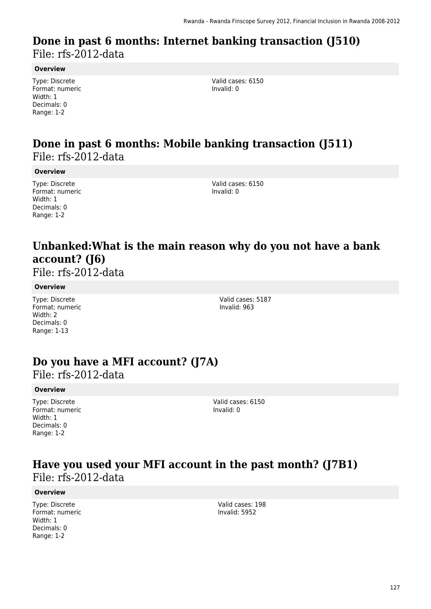### **Done in past 6 months: Internet banking transaction (J510)**  File: rfs-2012-data

**Overview**

Type: Discrete Format: numeric Width: 1 Decimals: 0 Range: 1-2

Valid cases: 6150 Invalid: 0

### **Done in past 6 months: Mobile banking transaction (J511)**  File: rfs-2012-data

**Overview**

Type: Discrete Format: numeric Width: 1 Decimals: 0 Range: 1-2

Valid cases: 6150 Invalid: 0

## **Unbanked:What is the main reason why do you not have a bank account? (J6)**

File: rfs-2012-data

#### **Overview**

Type: Discrete Format: numeric Width: 2 Decimals: 0 Range: 1-13

Valid cases: 5187 Invalid: 963

## **Do you have a MFI account? (J7A)**

File: rfs-2012-data

#### **Overview**

Type: Discrete Format: numeric Width: 1 Decimals: 0 Range: 1-2

Valid cases: 6150 Invalid: 0

### **Have you used your MFI account in the past month? (J7B1)**  File: rfs-2012-data

#### **Overview**

Type: Discrete Format: numeric Width: 1 Decimals: 0 Range: 1-2

Valid cases: 198 Invalid: 5952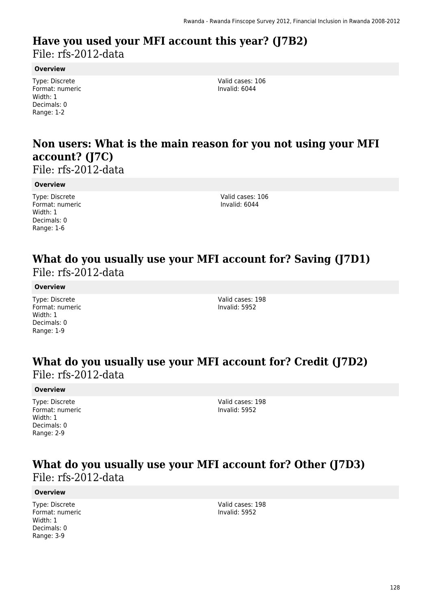### **Have you used your MFI account this year? (J7B2)**  File: rfs-2012-data

**Overview**

Type: Discrete Format: numeric Width: 1 Decimals: 0 Range: 1-2

Valid cases: 106 Invalid: 6044

## **Non users: What is the main reason for you not using your MFI account? (J7C)**

File: rfs-2012-data

#### **Overview**

Type: Discrete Format: numeric Width: 1 Decimals: 0 Range: 1-6

Valid cases: 106 Invalid: 6044

### **What do you usually use your MFI account for? Saving (J7D1)**  File: rfs-2012-data

#### **Overview**

Type: Discrete Format: numeric Width: 1 Decimals: 0 Range: 1-9

Valid cases: 198 Invalid: 5952

### **What do you usually use your MFI account for? Credit (J7D2)**  File: rfs-2012-data

#### **Overview**

Type: Discrete Format: numeric Width: 1 Decimals: 0 Range: 2-9

Valid cases: 198 Invalid: 5952

### **What do you usually use your MFI account for? Other (J7D3)**  File: rfs-2012-data

#### **Overview**

Type: Discrete Format: numeric Width: 1 Decimals: 0 Range: 3-9

Valid cases: 198 Invalid: 5952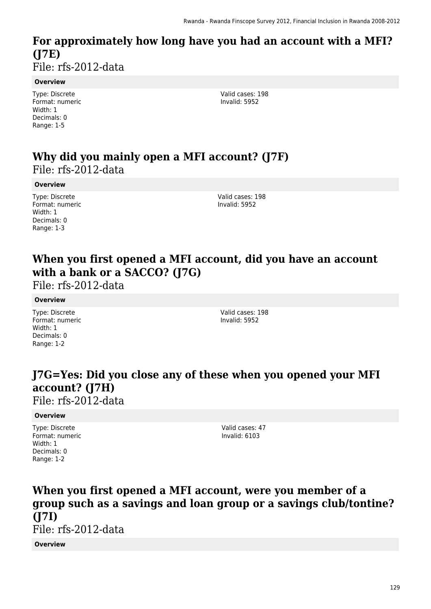### **For approximately how long have you had an account with a MFI? (J7E)**  File: rfs-2012-data

#### **Overview**

Type: Discrete Format: numeric Width: 1 Decimals: 0 Range: 1-5

Valid cases: 198 Invalid: 5952

## **Why did you mainly open a MFI account? (J7F)**  File: rfs-2012-data

#### **Overview**

Type: Discrete Format: numeric Width: 1 Decimals: 0 Range: 1-3

Valid cases: 198 Invalid: 5952

## **When you first opened a MFI account, did you have an account with a bank or a SACCO? (J7G)**

File: rfs-2012-data

#### **Overview**

Type: Discrete Format: numeric Width: 1 Decimals: 0 Range: 1-2

Valid cases: 198 Invalid: 5952

## **J7G=Yes: Did you close any of these when you opened your MFI account? (J7H)**

File: rfs-2012-data

#### **Overview**

Type: Discrete Format: numeric Width: 1 Decimals: 0 Range: 1-2

Valid cases: 47 Invalid: 6103

## **When you first opened a MFI account, were you member of a group such as a savings and loan group or a savings club/tontine? (J7I)**

File: rfs-2012-data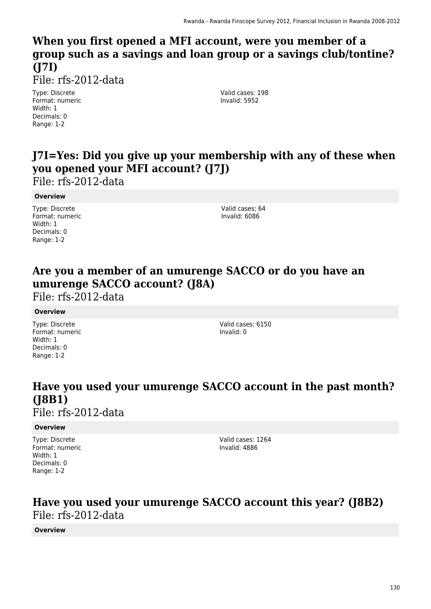## **When you first opened a MFI account, were you member of a group such as a savings and loan group or a savings club/tontine? (J7I)**

File: rfs-2012-data

Type: Discrete Format: numeric Width: 1 Decimals: 0 Range: 1-2

Valid cases: 198 Invalid: 5952

## **J7I=Yes: Did you give up your membership with any of these when you opened your MFI account? (J7J)**

File: rfs-2012-data

#### **Overview**

Type: Discrete Format: numeric Width: 1 Decimals: 0 Range: 1-2

Valid cases: 64 Invalid: 6086

## **Are you a member of an umurenge SACCO or do you have an umurenge SACCO account? (J8A)**

File: rfs-2012-data

#### **Overview**

Type: Discrete Format: numeric Width: 1 Decimals: 0 Range: 1-2

Valid cases: 6150 Invalid: 0

## **Have you used your umurenge SACCO account in the past month? (J8B1)**

File: rfs-2012-data

#### **Overview**

Type: Discrete Format: numeric Width: 1 Decimals: 0 Range: 1-2

Valid cases: 1264 Invalid: 4886

### **Have you used your umurenge SACCO account this year? (J8B2)**  File: rfs-2012-data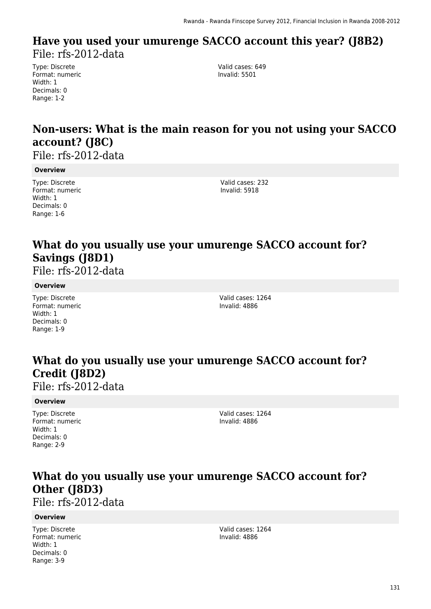### **Have you used your umurenge SACCO account this year? (J8B2)**  File: rfs-2012-data

Type: Discrete Format: numeric Width: 1 Decimals: 0 Range: 1-2

Valid cases: 649 Invalid: 5501

## **Non-users: What is the main reason for you not using your SACCO account? (J8C)**

File: rfs-2012-data

#### **Overview**

Type: Discrete Format: numeric Width: 1 Decimals: 0 Range: 1-6

Valid cases: 232 Invalid: 5918

## **What do you usually use your umurenge SACCO account for? Savings (J8D1)**

File: rfs-2012-data

#### **Overview**

Type: Discrete Format: numeric Width: 1 Decimals: 0 Range: 1-9

Valid cases: 1264 Invalid: 4886

## **What do you usually use your umurenge SACCO account for? Credit (J8D2)**

File: rfs-2012-data

#### **Overview**

Type: Discrete Format: numeric Width: 1 Decimals: 0 Range: 2-9

Valid cases: 1264 Invalid: 4886

## **What do you usually use your umurenge SACCO account for? Other (J8D3)**

File: rfs-2012-data

#### **Overview**

Type: Discrete Format: numeric Width: 1 Decimals: 0 Range: 3-9

Valid cases: 1264 Invalid: 4886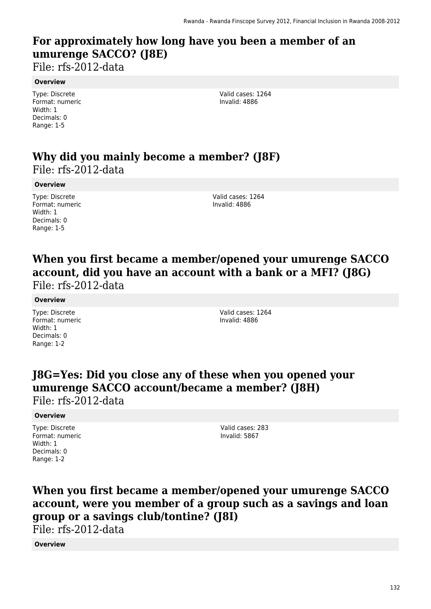## **For approximately how long have you been a member of an umurenge SACCO? (J8E)**

File: rfs-2012-data

#### **Overview**

Type: Discrete Format: numeric Width: 1 Decimals: 0 Range: 1-5

Valid cases: 1264 Invalid: 4886

### **Why did you mainly become a member? (J8F)**  File: rfs-2012-data

#### **Overview**

Type: Discrete Format: numeric Width: 1 Decimals: 0 Range: 1-5

Valid cases: 1264 Invalid: 4886

### **When you first became a member/opened your umurenge SACCO account, did you have an account with a bank or a MFI? (J8G)**  File: rfs-2012-data

#### **Overview**

Type: Discrete Format: numeric Width: 1 Decimals: 0 Range: 1-2

Valid cases: 1264 Invalid: 4886

## **J8G=Yes: Did you close any of these when you opened your umurenge SACCO account/became a member? (J8H)**

File: rfs-2012-data

#### **Overview**

Type: Discrete Format: numeric Width: 1 Decimals: 0 Range: 1-2

Valid cases: 283 Invalid: 5867

## **When you first became a member/opened your umurenge SACCO account, were you member of a group such as a savings and loan group or a savings club/tontine? (J8I)**

File: rfs-2012-data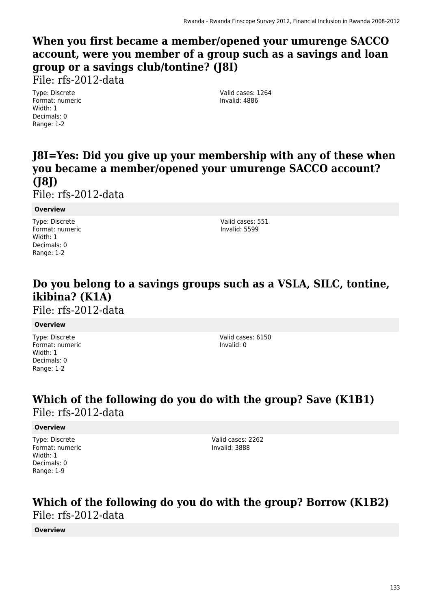## **When you first became a member/opened your umurenge SACCO account, were you member of a group such as a savings and loan group or a savings club/tontine? (J8I)**

File: rfs-2012-data

Type: Discrete Format: numeric Width: 1 Decimals: 0 Range: 1-2

Valid cases: 1264 Invalid: 4886

## **J8I=Yes: Did you give up your membership with any of these when you became a member/opened your umurenge SACCO account? (J8J)**

File: rfs-2012-data

#### **Overview**

Type: Discrete Format: numeric Width: 1 Decimals: 0 Range: 1-2

Valid cases: 551 Invalid: 5599

## **Do you belong to a savings groups such as a VSLA, SILC, tontine, ikibina? (K1A)**

File: rfs-2012-data

#### **Overview**

Type: Discrete Format: numeric Width: 1 Decimals: 0 Range: 1-2

Valid cases: 6150 Invalid: 0

### **Which of the following do you do with the group? Save (K1B1)**  File: rfs-2012-data

#### **Overview**

Type: Discrete Format: numeric Width: 1 Decimals: 0 Range: 1-9

Valid cases: 2262 Invalid: 3888

### **Which of the following do you do with the group? Borrow (K1B2)**  File: rfs-2012-data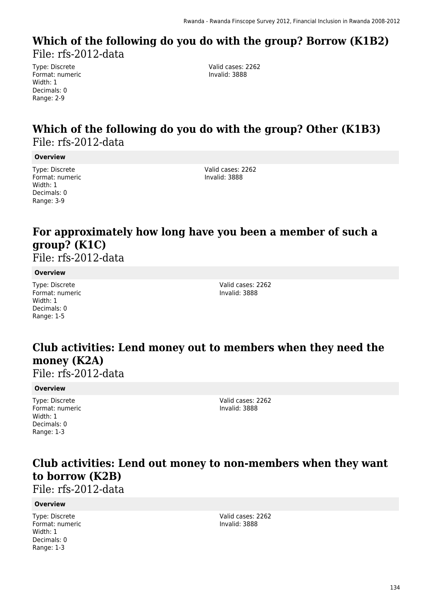### **Which of the following do you do with the group? Borrow (K1B2)**  File: rfs-2012-data

Type: Discrete Format: numeric Width: 1 Decimals: 0 Range: 2-9

Valid cases: 2262 Invalid: 3888

## **Which of the following do you do with the group? Other (K1B3)**  File: rfs-2012-data

#### **Overview**

Type: Discrete Format: numeric Width: 1 Decimals: 0 Range: 3-9

Valid cases: 2262 Invalid: 3888

## **For approximately how long have you been a member of such a group? (K1C)**

File: rfs-2012-data

#### **Overview**

Type: Discrete Format: numeric Width: 1 Decimals: 0 Range: 1-5

Valid cases: 2262 Invalid: 3888

### **Club activities: Lend money out to members when they need the money (K2A)**

File: rfs-2012-data

#### **Overview**

Type: Discrete Format: numeric Width: 1 Decimals: 0 Range: 1-3

Valid cases: 2262 Invalid: 3888

## **Club activities: Lend out money to non-members when they want to borrow (K2B)**

File: rfs-2012-data

#### **Overview**

Type: Discrete Format: numeric Width: 1 Decimals: 0 Range: 1-3

Valid cases: 2262 Invalid: 3888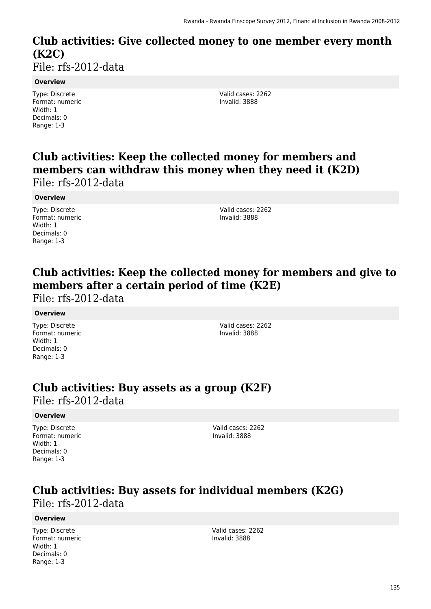# **Club activities: Give collected money to one member every month (K2C)**

File: rfs-2012-data

#### **Overview**

Type: Discrete Format: numeric Width: 1 Decimals: 0 Range: 1-3

Valid cases: 2262 Invalid: 3888

### **Club activities: Keep the collected money for members and members can withdraw this money when they need it (K2D)**  File: rfs-2012-data

#### **Overview**

Type: Discrete Format: numeric Width: 1 Decimals: 0 Range: 1-3

Valid cases: 2262 Invalid: 3888

## **Club activities: Keep the collected money for members and give to members after a certain period of time (K2E)**

File: rfs-2012-data

#### **Overview**

Type: Discrete Format: numeric Width: 1 Decimals: 0 Range: 1-3

Valid cases: 2262 Invalid: 3888

# **Club activities: Buy assets as a group (K2F)**

File: rfs-2012-data

#### **Overview**

Type: Discrete Format: numeric Width: 1 Decimals: 0 Range: 1-3

Valid cases: 2262 Invalid: 3888

### **Club activities: Buy assets for individual members (K2G)**  File: rfs-2012-data

#### **Overview**

Type: Discrete Format: numeric Width: 1 Decimals: 0 Range: 1-3

Valid cases: 2262 Invalid: 3888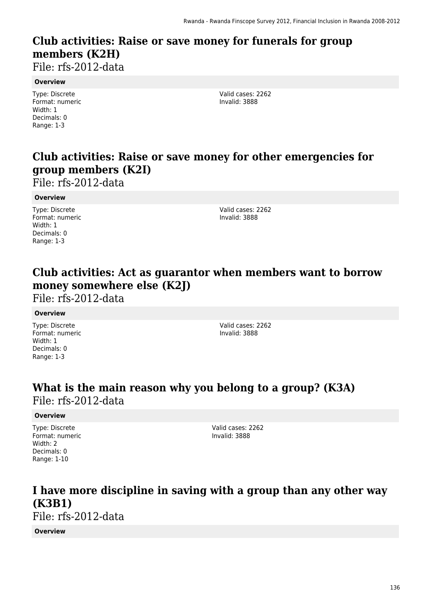## **Club activities: Raise or save money for funerals for group members (K2H)**

File: rfs-2012-data

#### **Overview**

Type: Discrete Format: numeric Width: 1 Decimals: 0 Range: 1-3

Valid cases: 2262 Invalid: 3888

## **Club activities: Raise or save money for other emergencies for group members (K2I)**

File: rfs-2012-data

#### **Overview**

Type: Discrete Format: numeric Width: 1 Decimals: 0 Range: 1-3

Valid cases: 2262 Invalid: 3888

## **Club activities: Act as guarantor when members want to borrow money somewhere else (K2J)**

File: rfs-2012-data

#### **Overview**

Type: Discrete Format: numeric Width: 1 Decimals: 0 Range: 1-3

Valid cases: 2262 Invalid: 3888

### **What is the main reason why you belong to a group? (K3A)**  File: rfs-2012-data

#### **Overview**

Type: Discrete Format: numeric Width: 2 Decimals: 0 Range: 1-10

Valid cases: 2262 Invalid: 3888

### **I have more discipline in saving with a group than any other way (K3B1)**  File: rfs-2012-data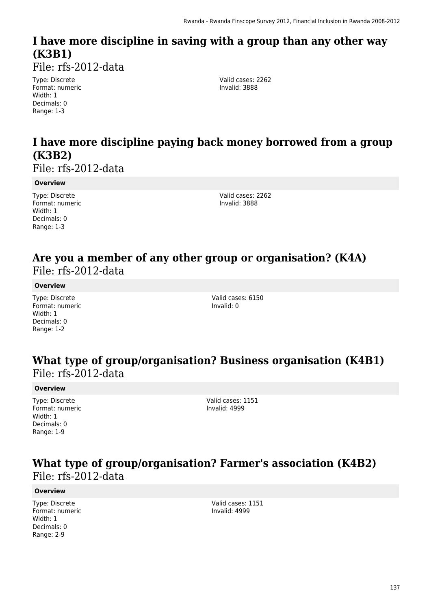## **I have more discipline in saving with a group than any other way (K3B1)**

File: rfs-2012-data

Type: Discrete Format: numeric Width: 1 Decimals: 0 Range: 1-3

Valid cases: 2262 Invalid: 3888

## **I have more discipline paying back money borrowed from a group (K3B2)**

File: rfs-2012-data

#### **Overview**

Type: Discrete Format: numeric Width: 1 Decimals: 0 Range: 1-3

Valid cases: 2262 Invalid: 3888

### **Are you a member of any other group or organisation? (K4A)**  File: rfs-2012-data

#### **Overview**

Type: Discrete Format: numeric Width: 1 Decimals: 0 Range: 1-2

Valid cases: 6150 Invalid: 0

### **What type of group/organisation? Business organisation (K4B1)**  File: rfs-2012-data

#### **Overview**

Type: Discrete Format: numeric Width: 1 Decimals: 0 Range: 1-9

Valid cases: 1151 Invalid: 4999

### **What type of group/organisation? Farmer's association (K4B2)**  File: rfs-2012-data

#### **Overview**

Type: Discrete Format: numeric Width: 1 Decimals: 0 Range: 2-9

Valid cases: 1151 Invalid: 4999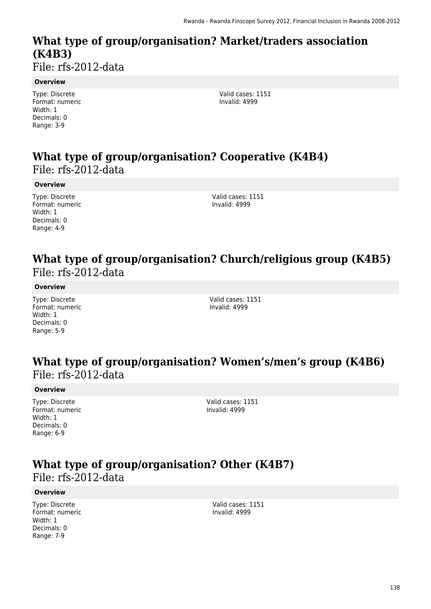# **What type of group/organisation? Market/traders association (K4B3)**

File: rfs-2012-data

#### **Overview**

Type: Discrete Format: numeric Width: 1 Decimals: 0 Range: 3-9

Valid cases: 1151 Invalid: 4999

## **What type of group/organisation? Cooperative (K4B4)**  File: rfs-2012-data

#### **Overview**

Type: Discrete Format: numeric Width: 1 Decimals: 0 Range: 4-9

Valid cases: 1151 Invalid: 4999

### **What type of group/organisation? Church/religious group (K4B5)**  File: rfs-2012-data

#### **Overview**

Type: Discrete Format: numeric Width: 1 Decimals: 0 Range: 5-9

Valid cases: 1151 Invalid: 4999

### **What type of group/organisation? Women's/men's group (K4B6)**  File: rfs-2012-data

#### **Overview**

Type: Discrete Format: numeric Width: 1 Decimals: 0 Range: 6-9

Valid cases: 1151 Invalid: 4999

## **What type of group/organisation? Other (K4B7)**

File: rfs-2012-data

#### **Overview**

Type: Discrete Format: numeric Width: 1 Decimals: 0 Range: 7-9

Valid cases: 1151 Invalid: 4999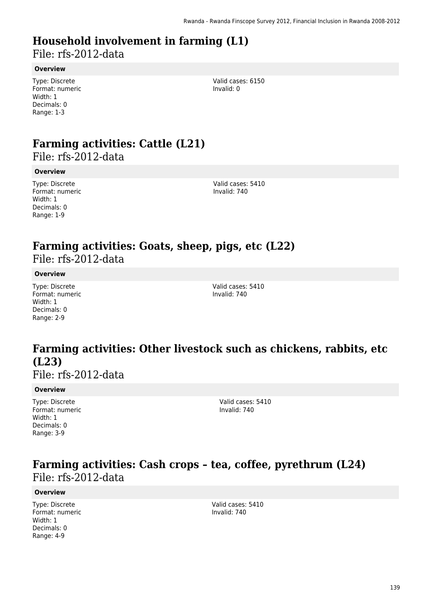## **Household involvement in farming (L1)**

File: rfs-2012-data

#### **Overview**

Type: Discrete Format: numeric Width: 1 Decimals: 0 Range: 1-3

Valid cases: 6150 Invalid: 0

# **Farming activities: Cattle (L21)**

File: rfs-2012-data

#### **Overview**

Type: Discrete Format: numeric Width: 1 Decimals: 0 Range: 1-9

Valid cases: 5410 Invalid: 740

# **Farming activities: Goats, sheep, pigs, etc (L22)**

File: rfs-2012-data

#### **Overview**

Type: Discrete Format: numeric Width: 1 Decimals: 0 Range: 2-9

Valid cases: 5410 Invalid: 740

## **Farming activities: Other livestock such as chickens, rabbits, etc (L23)**

File: rfs-2012-data

#### **Overview**

Type: Discrete Format: numeric Width: 1 Decimals: 0 Range: 3-9

Valid cases: 5410 Invalid: 740

### **Farming activities: Cash crops – tea, coffee, pyrethrum (L24)**  File: rfs-2012-data

#### **Overview**

Type: Discrete Format: numeric Width: 1 Decimals: 0 Range: 4-9

Valid cases: 5410 Invalid: 740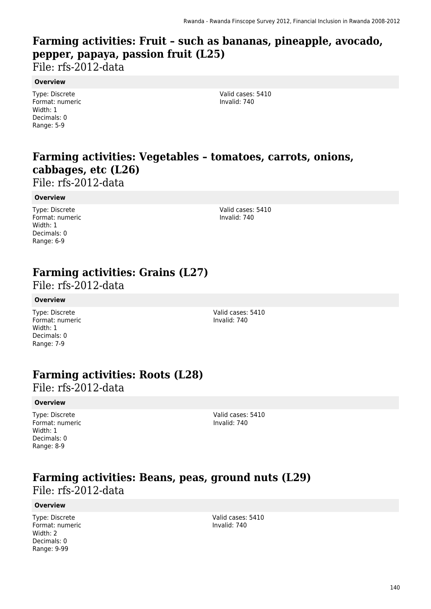## **Farming activities: Fruit – such as bananas, pineapple, avocado, pepper, papaya, passion fruit (L25)**

File: rfs-2012-data

#### **Overview**

Type: Discrete Format: numeric Width: 1 Decimals: 0 Range: 5-9

Valid cases: 5410 Invalid: 740

## **Farming activities: Vegetables – tomatoes, carrots, onions, cabbages, etc (L26)**

File: rfs-2012-data

#### **Overview**

Type: Discrete Format: numeric Width: 1 Decimals: 0 Range: 6-9

Valid cases: 5410 Invalid: 740

## **Farming activities: Grains (L27)**

File: rfs-2012-data

#### **Overview**

Type: Discrete Format: numeric Width: 1 Decimals: 0 Range: 7-9

Valid cases: 5410 Invalid: 740

## **Farming activities: Roots (L28)**

File: rfs-2012-data

#### **Overview**

Type: Discrete Format: numeric Width: 1 Decimals: 0 Range: 8-9

Valid cases: 5410 Invalid: 740

### **Farming activities: Beans, peas, ground nuts (L29)**  File: rfs-2012-data

#### **Overview**

Type: Discrete Format: numeric Width: 2 Decimals: 0 Range: 9-99

Valid cases: 5410 Invalid: 740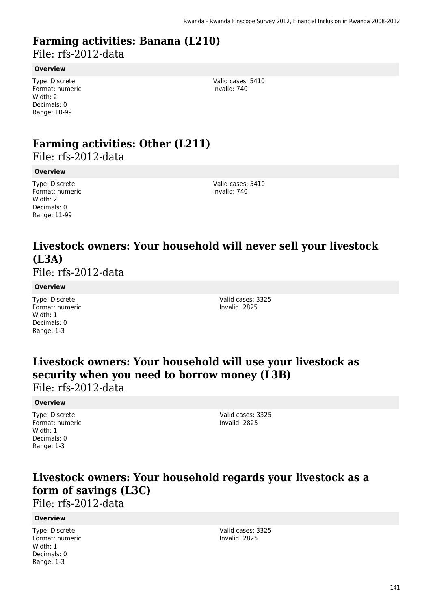## **Farming activities: Banana (L210)**

File: rfs-2012-data

#### **Overview**

Type: Discrete Format: numeric Width: 2 Decimals: 0 Range: 10-99

Valid cases: 5410 Invalid: 740

# **Farming activities: Other (L211)**

File: rfs-2012-data

#### **Overview**

Type: Discrete Format: numeric Width: 2 Decimals: 0 Range: 11-99

Valid cases: 5410 Invalid: 740

## **Livestock owners: Your household will never sell your livestock (L3A)**

File: rfs-2012-data

#### **Overview**

Type: Discrete Format: numeric Width: 1 Decimals: 0 Range: 1-3

Valid cases: 3325 Invalid: 2825

### **Livestock owners: Your household will use your livestock as security when you need to borrow money (L3B)**  File: rfs-2012-data

#### **Overview**

Type: Discrete Format: numeric Width: 1 Decimals: 0 Range: 1-3

Valid cases: 3325 Invalid: 2825

## **Livestock owners: Your household regards your livestock as a form of savings (L3C)**

File: rfs-2012-data

#### **Overview**

Type: Discrete Format: numeric Width: 1 Decimals: 0 Range: 1-3

Valid cases: 3325 Invalid: 2825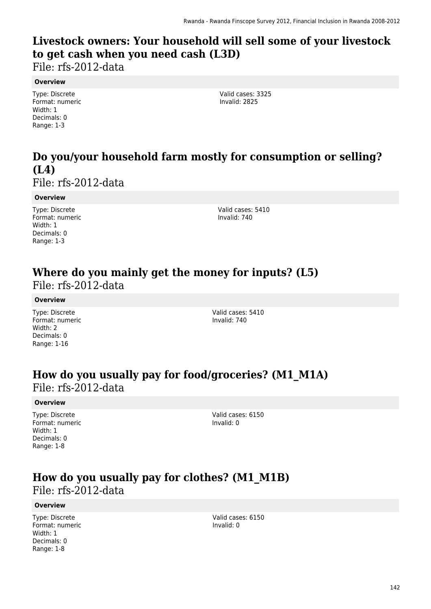## **Livestock owners: Your household will sell some of your livestock to get cash when you need cash (L3D)**

File: rfs-2012-data

#### **Overview**

Type: Discrete Format: numeric Width: 1 Decimals: 0 Range: 1-3

Valid cases: 3325 Invalid: 2825

## **Do you/your household farm mostly for consumption or selling? (L4)**

File: rfs-2012-data

#### **Overview**

Type: Discrete Format: numeric Width: 1 Decimals: 0 Range: 1-3

Valid cases: 5410 Invalid: 740

### **Where do you mainly get the money for inputs? (L5)**  File: rfs-2012-data

#### **Overview**

Type: Discrete Format: numeric Width: 2 Decimals: 0 Range: 1-16

Valid cases: 5410 Invalid: 740

### **How do you usually pay for food/groceries? (M1\_M1A)**  File: rfs-2012-data

#### **Overview**

Type: Discrete Format: numeric Width: 1 Decimals: 0 Range: 1-8

Valid cases: 6150 Invalid: 0

## **How do you usually pay for clothes? (M1\_M1B)**  File: rfs-2012-data

#### **Overview**

Type: Discrete Format: numeric Width: 1 Decimals: 0 Range: 1-8

Valid cases: 6150 Invalid: 0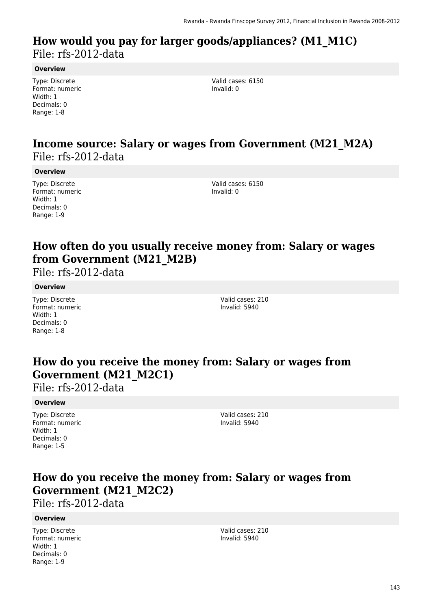### **How would you pay for larger goods/appliances? (M1\_M1C)**  File: rfs-2012-data

**Overview**

Type: Discrete Format: numeric Width: 1 Decimals: 0 Range: 1-8

Valid cases: 6150 Invalid: 0

### **Income source: Salary or wages from Government (M21\_M2A)**  File: rfs-2012-data

**Overview**

Type: Discrete Format: numeric Width: 1 Decimals: 0 Range: 1-9

Valid cases: 6150 Invalid: 0

## **How often do you usually receive money from: Salary or wages from Government (M21\_M2B)**

File: rfs-2012-data

#### **Overview**

Type: Discrete Format: numeric Width: 1 Decimals: 0 Range: 1-8

Valid cases: 210 Invalid: 5940

## **How do you receive the money from: Salary or wages from Government (M21\_M2C1)**

File: rfs-2012-data

#### **Overview**

Type: Discrete Format: numeric Width: 1 Decimals: 0 Range: 1-5

Valid cases: 210 Invalid: 5940

## **How do you receive the money from: Salary or wages from Government (M21\_M2C2)**

File: rfs-2012-data

#### **Overview**

Type: Discrete Format: numeric Width: 1 Decimals: 0 Range: 1-9

Valid cases: 210 Invalid: 5940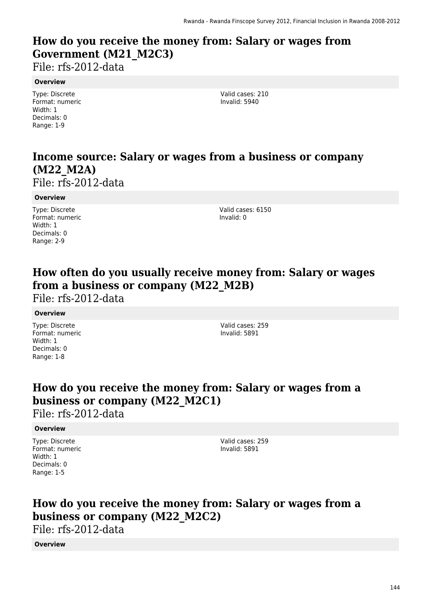## **How do you receive the money from: Salary or wages from Government (M21\_M2C3)**

File: rfs-2012-data

#### **Overview**

Type: Discrete Format: numeric Width: 1 Decimals: 0 Range: 1-9

Valid cases: 210 Invalid: 5940

## **Income source: Salary or wages from a business or company (M22\_M2A)**

File: rfs-2012-data

#### **Overview**

Type: Discrete Format: numeric Width: 1 Decimals: 0 Range: 2-9

Valid cases: 6150 Invalid: 0

## **How often do you usually receive money from: Salary or wages from a business or company (M22\_M2B)**

File: rfs-2012-data

#### **Overview**

Type: Discrete Format: numeric Width: 1 Decimals: 0 Range: 1-8

Valid cases: 259 Invalid: 5891

## **How do you receive the money from: Salary or wages from a business or company (M22\_M2C1)**

File: rfs-2012-data

#### **Overview**

Type: Discrete Format: numeric Width: 1 Decimals: 0 Range: 1-5

Valid cases: 259 Invalid: 5891

## **How do you receive the money from: Salary or wages from a business or company (M22\_M2C2)**

File: rfs-2012-data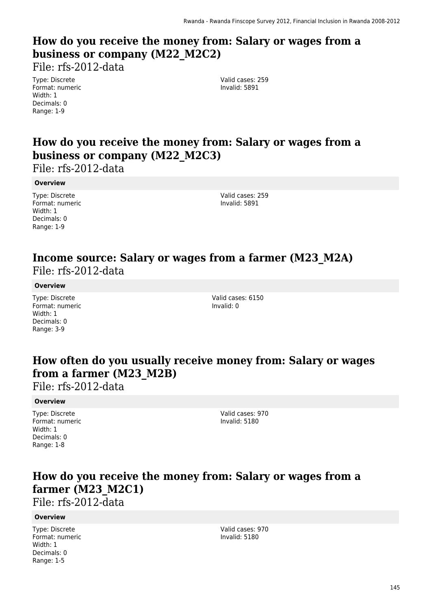## **How do you receive the money from: Salary or wages from a business or company (M22\_M2C2)**

File: rfs-2012-data

Type: Discrete Format: numeric Width: 1 Decimals: 0 Range: 1-9

Valid cases: 259 Invalid: 5891

## **How do you receive the money from: Salary or wages from a business or company (M22\_M2C3)**

File: rfs-2012-data

#### **Overview**

Type: Discrete Format: numeric Width: 1 Decimals: 0 Range: 1-9

Valid cases: 259 Invalid: 5891

### **Income source: Salary or wages from a farmer (M23\_M2A)**  File: rfs-2012-data

#### **Overview**

Type: Discrete Format: numeric Width: 1 Decimals: 0 Range: 3-9

Valid cases: 6150 Invalid: 0

### **How often do you usually receive money from: Salary or wages from a farmer (M23\_M2B)**

File: rfs-2012-data

#### **Overview**

Type: Discrete Format: numeric Width: 1 Decimals: 0 Range: 1-8

Valid cases: 970 Invalid: 5180

### **How do you receive the money from: Salary or wages from a farmer (M23\_M2C1)**

File: rfs-2012-data

#### **Overview**

Type: Discrete Format: numeric Width: 1 Decimals: 0 Range: 1-5

Valid cases: 970 Invalid: 5180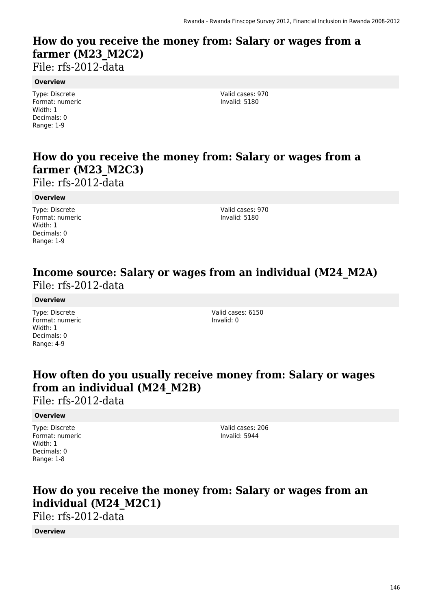## **How do you receive the money from: Salary or wages from a farmer (M23\_M2C2)**

File: rfs-2012-data

#### **Overview**

Type: Discrete Format: numeric Width: 1 Decimals: 0 Range: 1-9

Valid cases: 970 Invalid: 5180

## **How do you receive the money from: Salary or wages from a farmer (M23\_M2C3)**

File: rfs-2012-data

#### **Overview**

Type: Discrete Format: numeric Width: 1 Decimals: 0 Range: 1-9

Valid cases: 970 Invalid: 5180

### **Income source: Salary or wages from an individual (M24\_M2A)**  File: rfs-2012-data

#### **Overview**

Type: Discrete Format: numeric Width: 1 Decimals: 0 Range: 4-9

Valid cases: 6150 Invalid: 0

### **How often do you usually receive money from: Salary or wages from an individual (M24\_M2B)**

File: rfs-2012-data

#### **Overview**

Type: Discrete Format: numeric Width: 1 Decimals: 0 Range: 1-8

Valid cases: 206 Invalid: 5944

## **How do you receive the money from: Salary or wages from an individual (M24\_M2C1)**

File: rfs-2012-data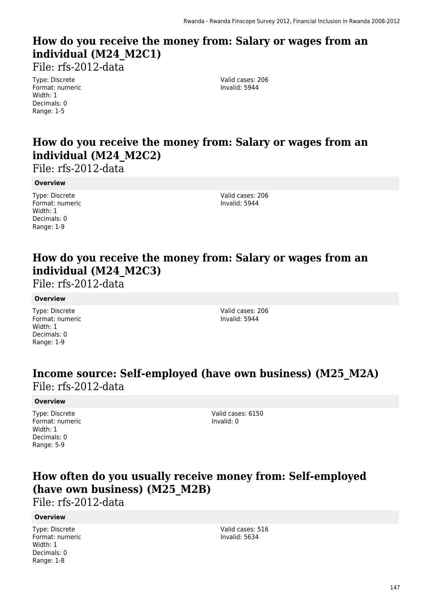## **How do you receive the money from: Salary or wages from an individual (M24\_M2C1)**

File: rfs-2012-data

Type: Discrete Format: numeric Width: 1 Decimals: 0 Range: 1-5

Valid cases: 206 Invalid: 5944

## **How do you receive the money from: Salary or wages from an individual (M24\_M2C2)**

File: rfs-2012-data

#### **Overview**

Type: Discrete Format: numeric Width: 1 Decimals: 0 Range: 1-9

Valid cases: 206 Invalid: 5944

## **How do you receive the money from: Salary or wages from an individual (M24\_M2C3)**

File: rfs-2012-data

#### **Overview**

Type: Discrete Format: numeric Width: 1 Decimals: 0 Range: 1-9

Valid cases: 206 Invalid: 5944

### **Income source: Self-employed (have own business) (M25\_M2A)**  File: rfs-2012-data

#### **Overview**

Type: Discrete Format: numeric Width: 1 Decimals: 0 Range: 5-9

Valid cases: 6150 Invalid: 0

### **How often do you usually receive money from: Self-employed (have own business) (M25\_M2B)**

File: rfs-2012-data

#### **Overview**

Type: Discrete Format: numeric Width: 1 Decimals: 0 Range: 1-8

Valid cases: 516 Invalid: 5634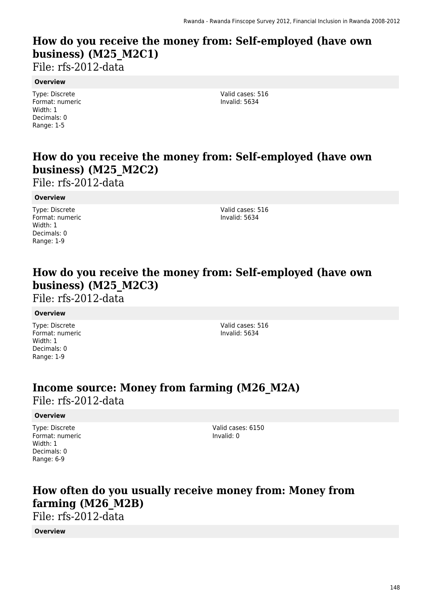## **How do you receive the money from: Self-employed (have own business) (M25\_M2C1)**

File: rfs-2012-data

#### **Overview**

Type: Discrete Format: numeric Width: 1 Decimals: 0 Range: 1-5

Valid cases: 516 Invalid: 5634

## **How do you receive the money from: Self-employed (have own business) (M25\_M2C2)**

File: rfs-2012-data

#### **Overview**

Type: Discrete Format: numeric Width: 1 Decimals: 0 Range: 1-9

Valid cases: 516 Invalid: 5634

### **How do you receive the money from: Self-employed (have own business) (M25\_M2C3)**

File: rfs-2012-data

#### **Overview**

Type: Discrete Format: numeric Width: 1 Decimals: 0 Range: 1-9

Valid cases: 516 Invalid: 5634

### **Income source: Money from farming (M26\_M2A)**

File: rfs-2012-data

#### **Overview**

Type: Discrete Format: numeric Width: 1 Decimals: 0 Range: 6-9

Valid cases: 6150 Invalid: 0

## **How often do you usually receive money from: Money from farming (M26\_M2B)**

File: rfs-2012-data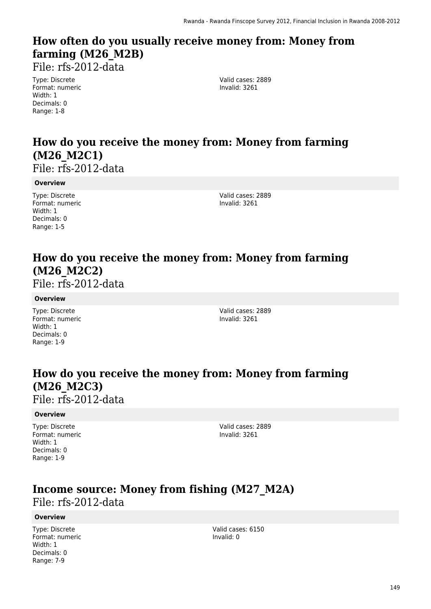## **How often do you usually receive money from: Money from farming (M26\_M2B)**

File: rfs-2012-data

Type: Discrete Format: numeric Width: 1 Decimals: 0 Range: 1-8

Valid cases: 2889 Invalid: 3261

## **How do you receive the money from: Money from farming (M26\_M2C1)**

File: rfs-2012-data

#### **Overview**

Type: Discrete Format: numeric Width: 1 Decimals: 0 Range: 1-5

Valid cases: 2889 Invalid: 3261

## **How do you receive the money from: Money from farming (M26\_M2C2)**

File: rfs-2012-data

#### **Overview**

Type: Discrete Format: numeric Width: 1 Decimals: 0 Range: 1-9

Valid cases: 2889 Invalid: 3261

## **How do you receive the money from: Money from farming (M26\_M2C3)**

File: rfs-2012-data

#### **Overview**

Type: Discrete Format: numeric Width: 1 Decimals: 0 Range: 1-9

Valid cases: 2889 Invalid: 3261

### **Income source: Money from fishing (M27\_M2A)**  File: rfs-2012-data

#### **Overview**

Type: Discrete Format: numeric Width: 1 Decimals: 0 Range: 7-9

Valid cases: 6150 Invalid: 0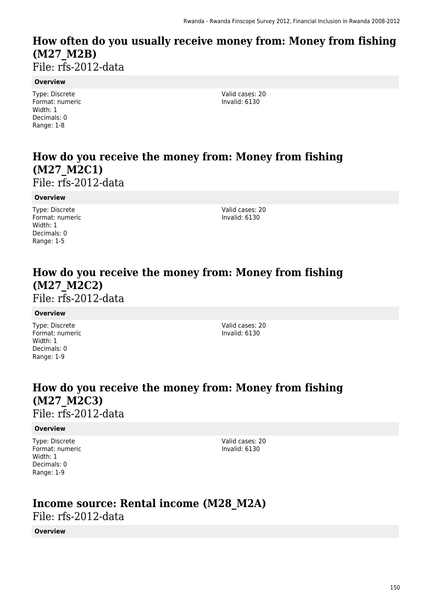## **How often do you usually receive money from: Money from fishing (M27\_M2B)**

File: rfs-2012-data

#### **Overview**

Type: Discrete Format: numeric Width: 1 Decimals: 0 Range: 1-8

Valid cases: 20 Invalid: 6130

## **How do you receive the money from: Money from fishing (M27\_M2C1)**

File: rfs-2012-data

#### **Overview**

Type: Discrete Format: numeric Width: 1 Decimals: 0 Range: 1-5

Valid cases: 20 Invalid: 6130

## **How do you receive the money from: Money from fishing (M27\_M2C2)**

File: rfs-2012-data

#### **Overview**

Type: Discrete Format: numeric Width: 1 Decimals: 0 Range: 1-9

Valid cases: 20 Invalid: 6130

### **How do you receive the money from: Money from fishing (M27\_M2C3)**  File: rfs-2012-data

#### **Overview**

Type: Discrete Format: numeric Width: 1 Decimals: 0 Range: 1-9

Valid cases: 20 Invalid: 6130

## **Income source: Rental income (M28\_M2A)**

File: rfs-2012-data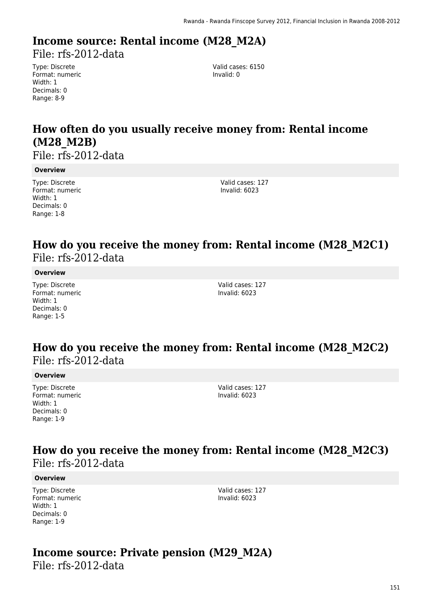## **Income source: Rental income (M28\_M2A)**

File: rfs-2012-data

Type: Discrete Format: numeric Width: 1 Decimals: 0 Range: 8-9

Valid cases: 6150 Invalid: 0

## **How often do you usually receive money from: Rental income (M28\_M2B)**

File: rfs-2012-data

#### **Overview**

Type: Discrete Format: numeric Width: 1 Decimals: 0 Range: 1-8

Valid cases: 127 Invalid: 6023

### **How do you receive the money from: Rental income (M28\_M2C1)**  File: rfs-2012-data

#### **Overview**

Type: Discrete Format: numeric Width: 1 Decimals: 0 Range: 1-5

Valid cases: 127 Invalid: 6023

### **How do you receive the money from: Rental income (M28\_M2C2)**  File: rfs-2012-data

#### **Overview**

Type: Discrete Format: numeric Width: 1 Decimals: 0 Range: 1-9

Valid cases: 127 Invalid: 6023

### **How do you receive the money from: Rental income (M28\_M2C3)**  File: rfs-2012-data

#### **Overview**

Type: Discrete Format: numeric Width: 1 Decimals: 0 Range: 1-9

Valid cases: 127 Invalid: 6023

# **Income source: Private pension (M29\_M2A)**

File: rfs-2012-data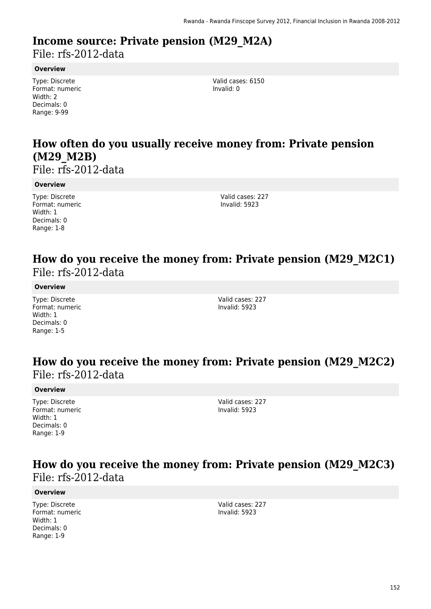# **Income source: Private pension (M29\_M2A)**

File: rfs-2012-data

#### **Overview**

Type: Discrete Format: numeric Width: 2 Decimals: 0 Range: 9-99

Valid cases: 6150 Invalid: 0

## **How often do you usually receive money from: Private pension (M29\_M2B)**

File: rfs-2012-data

#### **Overview**

Type: Discrete Format: numeric Width: 1 Decimals: 0 Range: 1-8

Valid cases: 227 Invalid: 5923

### **How do you receive the money from: Private pension (M29\_M2C1)**  File: rfs-2012-data

#### **Overview**

Type: Discrete Format: numeric Width: 1 Decimals: 0 Range: 1-5

Valid cases: 227 Invalid: 5923

### **How do you receive the money from: Private pension (M29\_M2C2)**  File: rfs-2012-data

#### **Overview**

Type: Discrete Format: numeric Width: 1 Decimals: 0 Range: 1-9

Valid cases: 227 Invalid: 5923

### **How do you receive the money from: Private pension (M29\_M2C3)**  File: rfs-2012-data

#### **Overview**

Type: Discrete Format: numeric Width: 1 Decimals: 0 Range: 1-9

Valid cases: 227 Invalid: 5923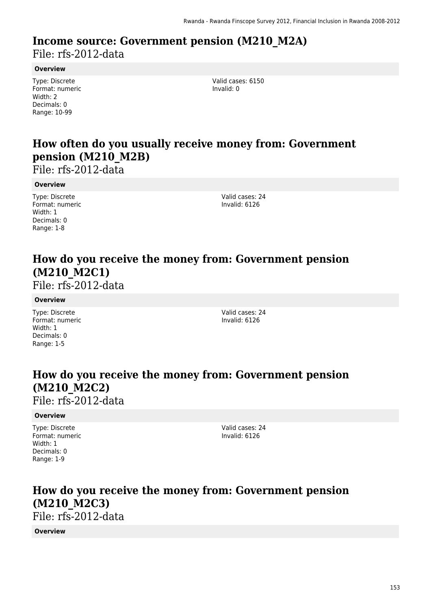### **Income source: Government pension (M210\_M2A)**  File: rfs-2012-data

#### **Overview**

Type: Discrete Format: numeric Width: 2 Decimals: 0 Range: 10-99

Valid cases: 6150 Invalid: 0

## **How often do you usually receive money from: Government pension (M210\_M2B)**

File: rfs-2012-data

#### **Overview**

Type: Discrete Format: numeric Width: 1 Decimals: 0 Range: 1-8

Valid cases: 24 Invalid: 6126

## **How do you receive the money from: Government pension (M210\_M2C1)**

File: rfs-2012-data

#### **Overview**

Type: Discrete Format: numeric Width: 1 Decimals: 0 Range: 1-5

Valid cases: 24 Invalid: 6126

## **How do you receive the money from: Government pension (M210\_M2C2)**

File: rfs-2012-data

#### **Overview**

Type: Discrete Format: numeric Width: 1 Decimals: 0 Range: 1-9

Valid cases: 24 Invalid: 6126

### **How do you receive the money from: Government pension (M210\_M2C3)**  File: rfs-2012-data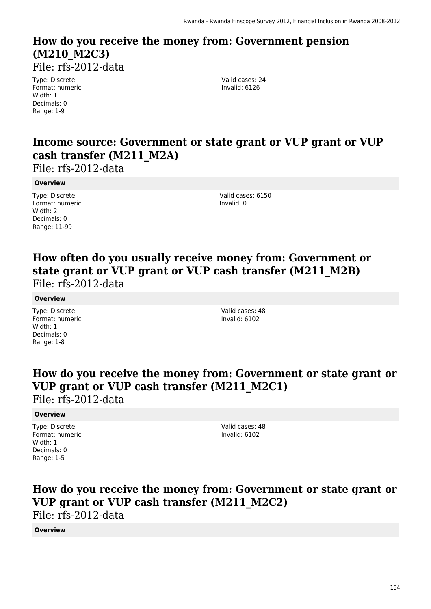## **How do you receive the money from: Government pension (M210\_M2C3)**

File: rfs-2012-data

Type: Discrete Format: numeric Width: 1 Decimals: 0 Range: 1-9

Valid cases: 24 Invalid: 6126

### **Income source: Government or state grant or VUP grant or VUP cash transfer (M211\_M2A)**

File: rfs-2012-data

#### **Overview**

Type: Discrete Format: numeric Width: 2 Decimals: 0 Range: 11-99

Valid cases: 6150 Invalid: 0

### **How often do you usually receive money from: Government or state grant or VUP grant or VUP cash transfer (M211\_M2B)**  File: rfs-2012-data

#### **Overview**

Type: Discrete Format: numeric Width: 1 Decimals: 0 Range: 1-8

Valid cases: 48 Invalid: 6102

### **How do you receive the money from: Government or state grant or VUP grant or VUP cash transfer (M211\_M2C1)**

File: rfs-2012-data

#### **Overview**

Type: Discrete Format: numeric Width: 1 Decimals: 0 Range: 1-5

Valid cases: 48 Invalid: 6102

## **How do you receive the money from: Government or state grant or VUP grant or VUP cash transfer (M211\_M2C2)**

File: rfs-2012-data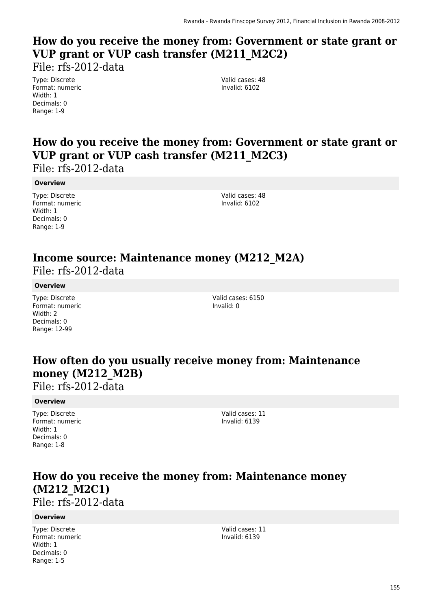## **How do you receive the money from: Government or state grant or VUP grant or VUP cash transfer (M211\_M2C2)**

File: rfs-2012-data

Type: Discrete Format: numeric Width: 1 Decimals: 0 Range: 1-9

Valid cases: 48 Invalid: 6102

## **How do you receive the money from: Government or state grant or VUP grant or VUP cash transfer (M211\_M2C3)**

File: rfs-2012-data

#### **Overview**

Type: Discrete Format: numeric Width: 1 Decimals: 0 Range: 1-9

Valid cases: 48 Invalid: 6102

## **Income source: Maintenance money (M212\_M2A)**

File: rfs-2012-data

#### **Overview**

Type: Discrete Format: numeric Width: 2 Decimals: 0 Range: 12-99

Valid cases: 6150 Invalid: 0

## **How often do you usually receive money from: Maintenance money (M212\_M2B)**

File: rfs-2012-data

#### **Overview**

Type: Discrete Format: numeric Width: 1 Decimals: 0 Range: 1-8

Valid cases: 11 Invalid: 6139

## **How do you receive the money from: Maintenance money (M212\_M2C1)**

File: rfs-2012-data

#### **Overview**

Type: Discrete Format: numeric Width: 1 Decimals: 0 Range: 1-5

Valid cases: 11 Invalid: 6139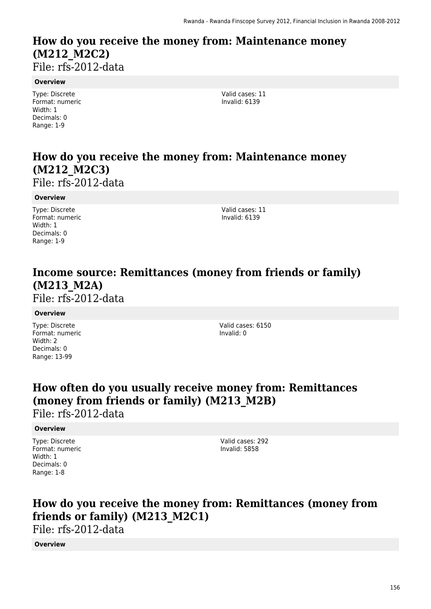### **How do you receive the money from: Maintenance money (M212\_M2C2)**  File: rfs-2012-data

**Overview**

Type: Discrete Format: numeric Width: 1 Decimals: 0 Range: 1-9

Valid cases: 11 Invalid: 6139

## **How do you receive the money from: Maintenance money (M212\_M2C3)**

File: rfs-2012-data

#### **Overview**

Type: Discrete Format: numeric Width: 1 Decimals: 0 Range: 1-9

Valid cases: 11 Invalid: 6139

## **Income source: Remittances (money from friends or family) (M213\_M2A)**

File: rfs-2012-data

#### **Overview**

Type: Discrete Format: numeric Width: 2 Decimals: 0 Range: 13-99

Valid cases: 6150 Invalid: 0

## **How often do you usually receive money from: Remittances (money from friends or family) (M213\_M2B)**

File: rfs-2012-data

#### **Overview**

Type: Discrete Format: numeric Width: 1 Decimals: 0 Range: 1-8

Valid cases: 292 Invalid: 5858

## **How do you receive the money from: Remittances (money from friends or family) (M213\_M2C1)**

File: rfs-2012-data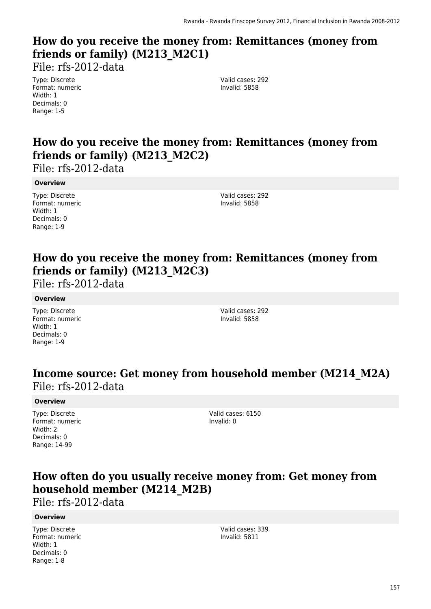## **How do you receive the money from: Remittances (money from friends or family) (M213\_M2C1)**

File: rfs-2012-data

Type: Discrete Format: numeric Width: 1 Decimals: 0 Range: 1-5

Valid cases: 292 Invalid: 5858

## **How do you receive the money from: Remittances (money from friends or family) (M213\_M2C2)**

File: rfs-2012-data

**Overview**

Type: Discrete Format: numeric Width: 1 Decimals: 0 Range: 1-9

Valid cases: 292 Invalid: 5858

## **How do you receive the money from: Remittances (money from friends or family) (M213\_M2C3)**

File: rfs-2012-data

#### **Overview**

Type: Discrete Format: numeric Width: 1 Decimals: 0 Range: 1-9

Valid cases: 292 Invalid: 5858

### **Income source: Get money from household member (M214\_M2A)**  File: rfs-2012-data

#### **Overview**

Type: Discrete Format: numeric Width: 2 Decimals: 0 Range: 14-99

Valid cases: 6150 Invalid: 0

### **How often do you usually receive money from: Get money from household member (M214\_M2B)**

File: rfs-2012-data

#### **Overview**

Type: Discrete Format: numeric Width: 1 Decimals: 0 Range: 1-8

Valid cases: 339 Invalid: 5811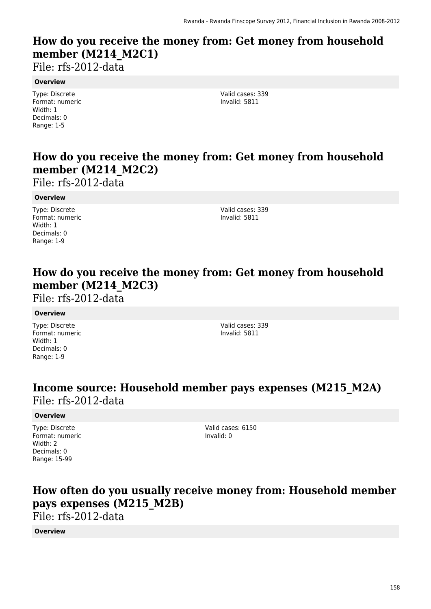## **How do you receive the money from: Get money from household member (M214\_M2C1)**

File: rfs-2012-data

#### **Overview**

Type: Discrete Format: numeric Width: 1 Decimals: 0 Range: 1-5

Valid cases: 339 Invalid: 5811

## **How do you receive the money from: Get money from household member (M214\_M2C2)**

File: rfs-2012-data

#### **Overview**

Type: Discrete Format: numeric Width: 1 Decimals: 0 Range: 1-9

Valid cases: 339 Invalid: 5811

### **How do you receive the money from: Get money from household member (M214\_M2C3)**

File: rfs-2012-data

#### **Overview**

Type: Discrete Format: numeric Width: 1 Decimals: 0 Range: 1-9

Valid cases: 339 Invalid: 5811

### **Income source: Household member pays expenses (M215\_M2A)**  File: rfs-2012-data

#### **Overview**

Type: Discrete Format: numeric Width: 2 Decimals: 0 Range: 15-99

Valid cases: 6150 Invalid: 0

## **How often do you usually receive money from: Household member pays expenses (M215\_M2B)**

File: rfs-2012-data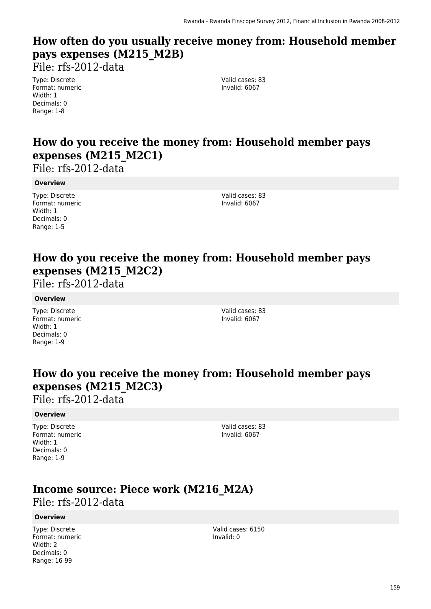## **How often do you usually receive money from: Household member pays expenses (M215\_M2B)**

File: rfs-2012-data

Type: Discrete Format: numeric Width: 1 Decimals: 0 Range: 1-8

Valid cases: 83 Invalid: 6067

## **How do you receive the money from: Household member pays expenses (M215\_M2C1)**

File: rfs-2012-data

#### **Overview**

Type: Discrete Format: numeric Width: 1 Decimals: 0 Range: 1-5

Valid cases: 83 Invalid: 6067

### **How do you receive the money from: Household member pays expenses (M215\_M2C2)**

File: rfs-2012-data

#### **Overview**

Type: Discrete Format: numeric Width: 1 Decimals: 0 Range: 1-9

Valid cases: 83 Invalid: 6067

### **How do you receive the money from: Household member pays expenses (M215\_M2C3)**

File: rfs-2012-data

#### **Overview**

Type: Discrete Format: numeric Width: 1 Decimals: 0 Range: 1-9

Valid cases: 83 Invalid: 6067

### **Income source: Piece work (M216\_M2A)**  File: rfs-2012-data

#### **Overview**

Type: Discrete Format: numeric Width: 2 Decimals: 0 Range: 16-99

Valid cases: 6150 Invalid: 0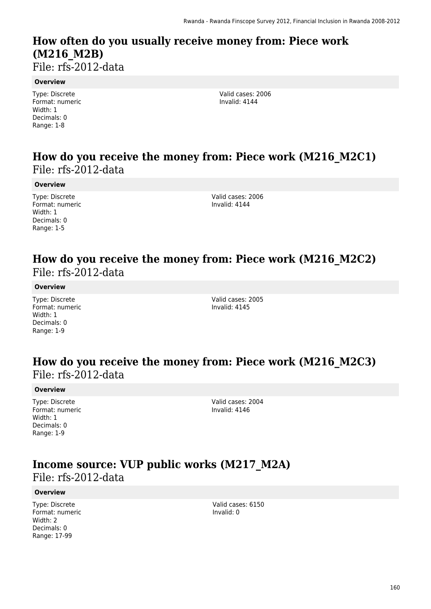## **How often do you usually receive money from: Piece work (M216\_M2B)**

File: rfs-2012-data

#### **Overview**

Type: Discrete Format: numeric Width: 1 Decimals: 0 Range: 1-8

Valid cases: 2006 Invalid: 4144

### **How do you receive the money from: Piece work (M216\_M2C1)**  File: rfs-2012-data

#### **Overview**

Type: Discrete Format: numeric Width: 1 Decimals: 0 Range: 1-5

Valid cases: 2006 Invalid: 4144

### **How do you receive the money from: Piece work (M216\_M2C2)**  File: rfs-2012-data

#### **Overview**

Type: Discrete Format: numeric Width: 1 Decimals: 0 Range: 1-9

Valid cases: 2005 Invalid: 4145

### **How do you receive the money from: Piece work (M216\_M2C3)**  File: rfs-2012-data

#### **Overview**

Type: Discrete Format: numeric Width: 1 Decimals: 0 Range: 1-9

Valid cases: 2004 Invalid: 4146

### **Income source: VUP public works (M217\_M2A)**  File: rfs-2012-data

#### **Overview**

Type: Discrete Format: numeric Width: 2 Decimals: 0 Range: 17-99

Valid cases: 6150 Invalid: 0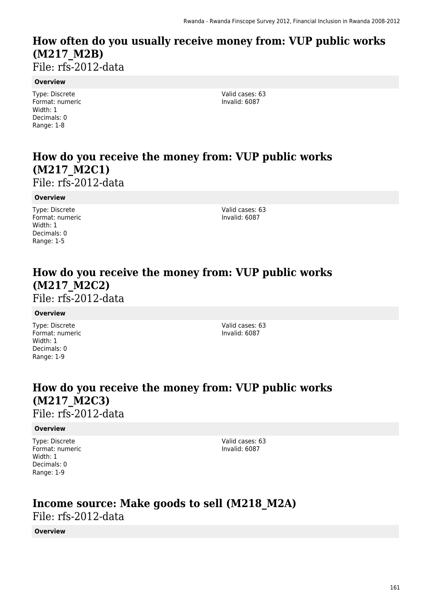## **How often do you usually receive money from: VUP public works (M217\_M2B)**

File: rfs-2012-data

#### **Overview**

Type: Discrete Format: numeric Width: 1 Decimals: 0 Range: 1-8

Valid cases: 63 Invalid: 6087

## **How do you receive the money from: VUP public works (M217\_M2C1)**

File: rfs-2012-data

#### **Overview**

Type: Discrete Format: numeric Width: 1 Decimals: 0 Range: 1-5

Valid cases: 63 Invalid: 6087

## **How do you receive the money from: VUP public works (M217\_M2C2)**

File: rfs-2012-data

#### **Overview**

Type: Discrete Format: numeric Width: 1 Decimals: 0 Range: 1-9

Valid cases: 63 Invalid: 6087

### **How do you receive the money from: VUP public works (M217\_M2C3)**  File: rfs-2012-data

#### **Overview**

Type: Discrete Format: numeric Width: 1 Decimals: 0 Range: 1-9

Valid cases: 63 Invalid: 6087

### **Income source: Make goods to sell (M218\_M2A)**  File: rfs-2012-data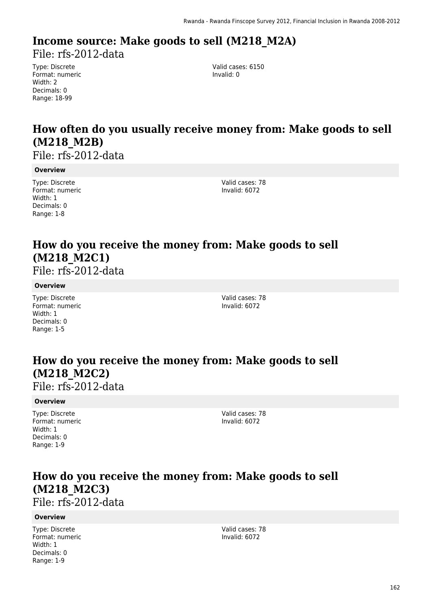# **Income source: Make goods to sell (M218\_M2A)**

File: rfs-2012-data

Type: Discrete Format: numeric Width: 2 Decimals: 0 Range: 18-99

Valid cases: 6150 Invalid: 0

## **How often do you usually receive money from: Make goods to sell (M218\_M2B)**

File: rfs-2012-data

#### **Overview**

Type: Discrete Format: numeric Width: 1 Decimals: 0 Range: 1-8

Valid cases: 78 Invalid: 6072

## **How do you receive the money from: Make goods to sell (M218\_M2C1)**

File: rfs-2012-data

#### **Overview**

Type: Discrete Format: numeric Width: 1 Decimals: 0 Range: 1-5

Valid cases: 78 Invalid: 6072

## **How do you receive the money from: Make goods to sell (M218\_M2C2)**

File: rfs-2012-data

#### **Overview**

Type: Discrete Format: numeric Width: 1 Decimals: 0 Range: 1-9

Valid cases: 78 Invalid: 6072

## **How do you receive the money from: Make goods to sell (M218\_M2C3)**

File: rfs-2012-data

#### **Overview**

Type: Discrete Format: numeric Width: 1 Decimals: 0 Range: 1-9

Valid cases: 78 Invalid: 6072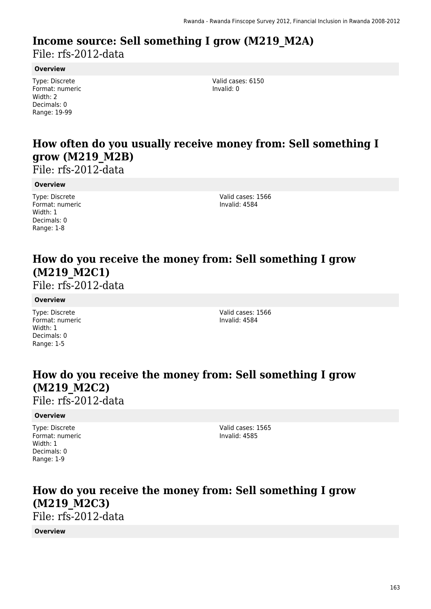### **Income source: Sell something I grow (M219\_M2A)**  File: rfs-2012-data

#### **Overview**

Type: Discrete Format: numeric Width: 2 Decimals: 0 Range: 19-99

Valid cases: 6150 Invalid: 0

## **How often do you usually receive money from: Sell something I grow (M219\_M2B)**

File: rfs-2012-data

#### **Overview**

Type: Discrete Format: numeric Width: 1 Decimals: 0 Range: 1-8

Valid cases: 1566 Invalid: 4584

## **How do you receive the money from: Sell something I grow (M219\_M2C1)**

File: rfs-2012-data

#### **Overview**

Type: Discrete Format: numeric Width: 1 Decimals: 0 Range: 1-5

Valid cases: 1566 Invalid: 4584

## **How do you receive the money from: Sell something I grow (M219\_M2C2)**

File: rfs-2012-data

#### **Overview**

Type: Discrete Format: numeric Width: 1 Decimals: 0 Range: 1-9

Valid cases: 1565 Invalid: 4585

### **How do you receive the money from: Sell something I grow (M219\_M2C3)**  File: rfs-2012-data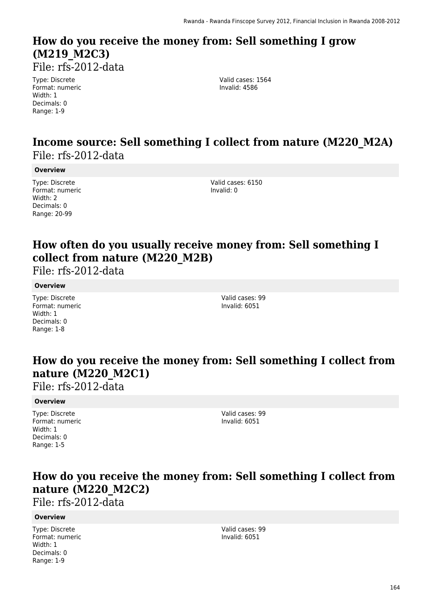## **How do you receive the money from: Sell something I grow (M219\_M2C3)**

File: rfs-2012-data

Type: Discrete Format: numeric Width: 1 Decimals: 0 Range: 1-9

Valid cases: 1564 Invalid: 4586

### **Income source: Sell something I collect from nature (M220\_M2A)**  File: rfs-2012-data

#### **Overview**

Type: Discrete Format: numeric Width: 2 Decimals: 0 Range: 20-99

Valid cases: 6150 Invalid: 0

## **How often do you usually receive money from: Sell something I collect from nature (M220\_M2B)**

File: rfs-2012-data

#### **Overview**

Type: Discrete Format: numeric Width: 1 Decimals: 0 Range: 1-8

Valid cases: 99 Invalid: 6051

### **How do you receive the money from: Sell something I collect from nature (M220\_M2C1)**

File: rfs-2012-data

#### **Overview**

Type: Discrete Format: numeric Width: 1 Decimals: 0 Range: 1-5

Valid cases: 99 Invalid: 6051

### **How do you receive the money from: Sell something I collect from nature (M220\_M2C2)**

File: rfs-2012-data

#### **Overview**

Type: Discrete Format: numeric Width: 1 Decimals: 0 Range: 1-9

Valid cases: 99 Invalid: 6051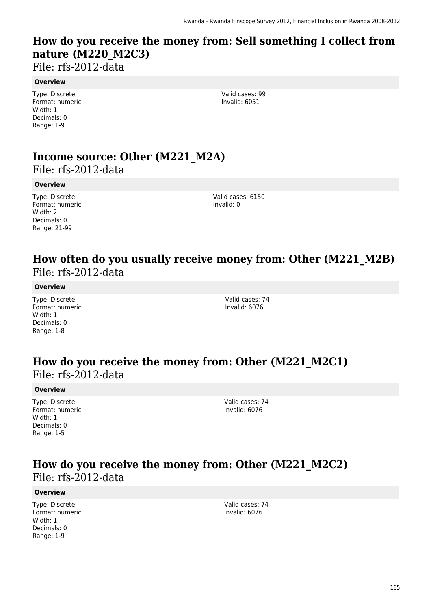## **How do you receive the money from: Sell something I collect from nature (M220\_M2C3)**

File: rfs-2012-data

#### **Overview**

Type: Discrete Format: numeric Width: 1 Decimals: 0 Range: 1-9

Valid cases: 99 Invalid: 6051

## **Income source: Other (M221\_M2A)**

File: rfs-2012-data

#### **Overview**

Type: Discrete Format: numeric Width: 2 Decimals: 0 Range: 21-99

Valid cases: 6150 Invalid: 0

### **How often do you usually receive money from: Other (M221\_M2B)**  File: rfs-2012-data

#### **Overview**

Type: Discrete Format: numeric Width: 1 Decimals: 0 Range: 1-8

Valid cases: 74 Invalid: 6076

### **How do you receive the money from: Other (M221\_M2C1)**  File: rfs-2012-data

#### **Overview**

Type: Discrete Format: numeric Width: 1 Decimals: 0 Range: 1-5

Valid cases: 74 Invalid: 6076

### **How do you receive the money from: Other (M221\_M2C2)**  File: rfs-2012-data

#### **Overview**

Type: Discrete Format: numeric Width: 1 Decimals: 0 Range: 1-9

Valid cases: 74 Invalid: 6076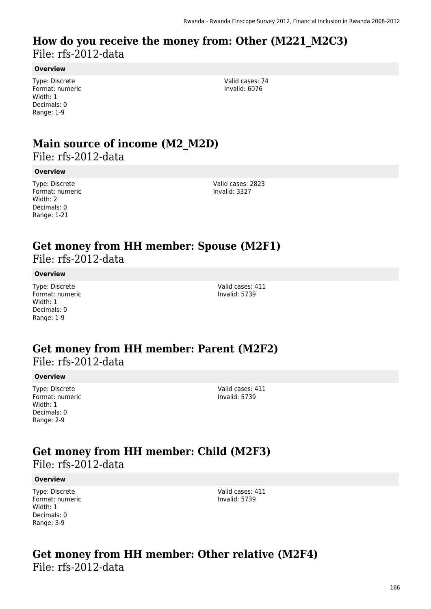### **How do you receive the money from: Other (M221\_M2C3)**  File: rfs-2012-data

#### **Overview**

Type: Discrete Format: numeric Width: 1 Decimals: 0 Range: 1-9

Valid cases: 74 Invalid: 6076

## **Main source of income (M2\_M2D)**

File: rfs-2012-data

#### **Overview**

Type: Discrete Format: numeric Width: 2 Decimals: 0 Range: 1-21

Valid cases: 2823 Invalid: 3327

### **Get money from HH member: Spouse (M2F1)**

File: rfs-2012-data

#### **Overview**

Type: Discrete Format: numeric Width: 1 Decimals: 0 Range: 1-9

Valid cases: 411 Invalid: 5739

### **Get money from HH member: Parent (M2F2)**  File: rfs-2012-data

#### **Overview**

Type: Discrete Format: numeric Width: 1 Decimals: 0 Range: 2-9

Valid cases: 411 Invalid: 5739

### **Get money from HH member: Child (M2F3)**

File: rfs-2012-data

#### **Overview**

Type: Discrete Format: numeric Width: 1 Decimals: 0 Range: 3-9

Valid cases: 411 Invalid: 5739

### **Get money from HH member: Other relative (M2F4)**  File: rfs-2012-data

166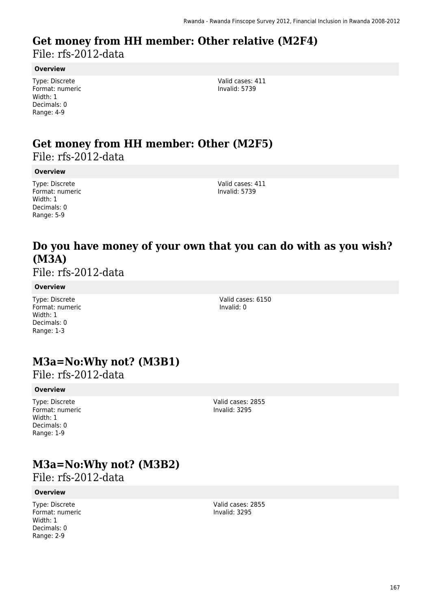### **Get money from HH member: Other relative (M2F4)**  File: rfs-2012-data

#### **Overview**

Type: Discrete Format: numeric Width: 1 Decimals: 0 Range: 4-9

Valid cases: 411 Invalid: 5739

### **Get money from HH member: Other (M2F5)**  File: rfs-2012-data

#### **Overview**

Type: Discrete Format: numeric Width: 1 Decimals: 0 Range: 5-9

Valid cases: 411 Invalid: 5739

### **Do you have money of your own that you can do with as you wish? (M3A)**

File: rfs-2012-data

#### **Overview**

Type: Discrete Format: numeric Width: 1 Decimals: 0 Range: 1-3

Valid cases: 6150 Invalid: 0

## **M3a=No:Why not? (M3B1)**

File: rfs-2012-data

#### **Overview**

Type: Discrete Format: numeric Width: 1 Decimals: 0 Range: 1-9

Valid cases: 2855 Invalid: 3295

## **M3a=No:Why not? (M3B2)**

File: rfs-2012-data

#### **Overview**

Type: Discrete Format: numeric Width: 1 Decimals: 0 Range: 2-9

Valid cases: 2855 Invalid: 3295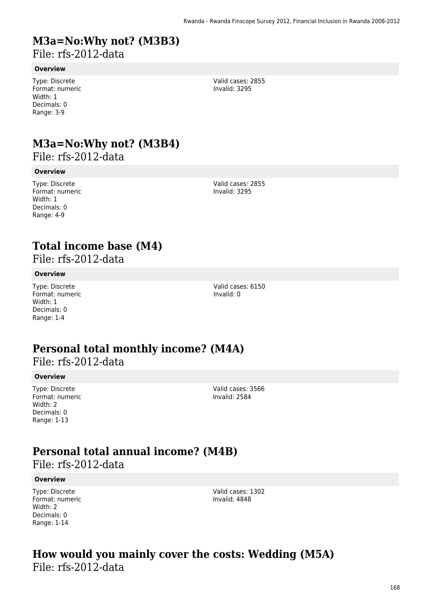## **M3a=No:Why not? (M3B3)**

File: rfs-2012-data

#### **Overview**

Type: Discrete Format: numeric Width: 1 Decimals: 0 Range: 3-9

Valid cases: 2855 Invalid: 3295

## **M3a=No:Why not? (M3B4)**

File: rfs-2012-data

#### **Overview**

Type: Discrete Format: numeric Width: 1 Decimals: 0 Range: 4-9

Valid cases: 2855 Invalid: 3295

### **Total income base (M4)**

File: rfs-2012-data

#### **Overview**

Type: Discrete Format: numeric Width: 1 Decimals: 0 Range: 1-4

Valid cases: 6150 Invalid: 0

## **Personal total monthly income? (M4A)**

File: rfs-2012-data

#### **Overview**

Type: Discrete Format: numeric Width: 2 Decimals: 0 Range: 1-13

Valid cases: 3566 Invalid: 2584

## **Personal total annual income? (M4B)**

File: rfs-2012-data

#### **Overview**

Type: Discrete Format: numeric Width: 2 Decimals: 0 Range: 1-14

Valid cases: 1302 Invalid: 4848

### **How would you mainly cover the costs: Wedding (M5A)**  File: rfs-2012-data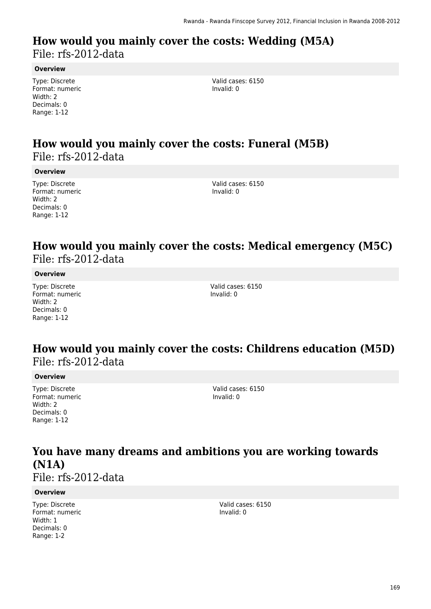### **How would you mainly cover the costs: Wedding (M5A)**  File: rfs-2012-data

**Overview**

Type: Discrete Format: numeric Width: 2 Decimals: 0 Range: 1-12

Valid cases: 6150 Invalid: 0

### **How would you mainly cover the costs: Funeral (M5B)**  File: rfs-2012-data

**Overview**

Type: Discrete Format: numeric Width: 2 Decimals: 0 Range: 1-12

Valid cases: 6150 Invalid: 0

### **How would you mainly cover the costs: Medical emergency (M5C)**  File: rfs-2012-data

**Overview**

Type: Discrete Format: numeric Width: 2 Decimals: 0 Range: 1-12

Valid cases: 6150 Invalid: 0

### **How would you mainly cover the costs: Childrens education (M5D)**  File: rfs-2012-data

#### **Overview**

Type: Discrete Format: numeric Width: 2 Decimals: 0 Range: 1-12

Valid cases: 6150 Invalid: 0

## **You have many dreams and ambitions you are working towards (N1A)**

File: rfs-2012-data

#### **Overview**

Type: Discrete Format: numeric Width: 1 Decimals: 0 Range: 1-2

Valid cases: 6150 Invalid: 0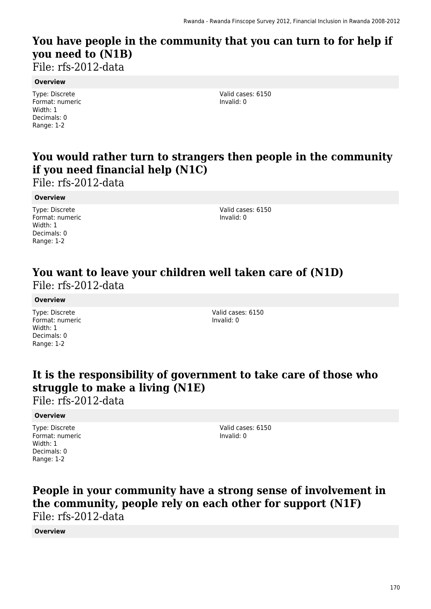## **You have people in the community that you can turn to for help if you need to (N1B)**

File: rfs-2012-data

#### **Overview**

Type: Discrete Format: numeric Width: 1 Decimals: 0 Range: 1-2

Valid cases: 6150 Invalid: 0

## **You would rather turn to strangers then people in the community if you need financial help (N1C)**

File: rfs-2012-data

#### **Overview**

Type: Discrete Format: numeric Width: 1 Decimals: 0 Range: 1-2

Valid cases: 6150 Invalid: 0

### **You want to leave your children well taken care of (N1D)**  File: rfs-2012-data

#### **Overview**

Type: Discrete Format: numeric Width: 1 Decimals: 0 Range: 1-2

Valid cases: 6150 Invalid: 0

### **It is the responsibility of government to take care of those who struggle to make a living (N1E)**

File: rfs-2012-data

#### **Overview**

Type: Discrete Format: numeric Width: 1 Decimals: 0 Range: 1-2

Valid cases: 6150 Invalid: 0

### **People in your community have a strong sense of involvement in the community, people rely on each other for support (N1F)**  File: rfs-2012-data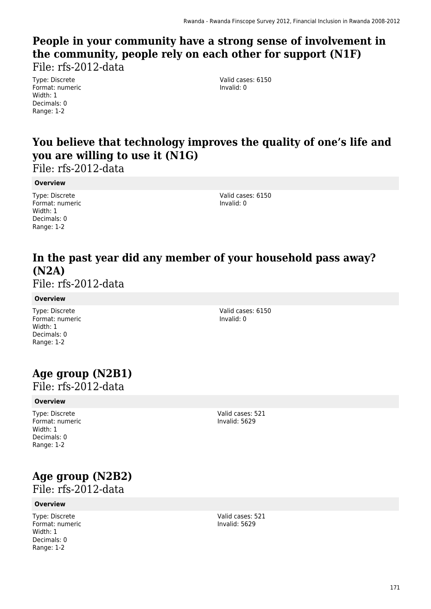# **People in your community have a strong sense of involvement in the community, people rely on each other for support (N1F)**

File: rfs-2012-data

Type: Discrete Format: numeric Width: 1 Decimals: 0 Range: 1-2

Valid cases: 6150 Invalid: 0

## **You believe that technology improves the quality of one's life and you are willing to use it (N1G)**

File: rfs-2012-data

#### **Overview**

Type: Discrete Format: numeric Width: 1 Decimals: 0 Range: 1-2

Valid cases: 6150 Invalid: 0

### **In the past year did any member of your household pass away? (N2A)**

File: rfs-2012-data

#### **Overview**

Type: Discrete Format: numeric Width: 1 Decimals: 0 Range: 1-2

Valid cases: 6150 Invalid: 0

## **Age group (N2B1)**

File: rfs-2012-data

#### **Overview**

Type: Discrete Format: numeric Width: 1 Decimals: 0 Range: 1-2

Valid cases: 521 Invalid: 5629

# **Age group (N2B2)**

File: rfs-2012-data

#### **Overview**

Type: Discrete Format: numeric Width: 1 Decimals: 0 Range: 1-2

Valid cases: 521 Invalid: 5629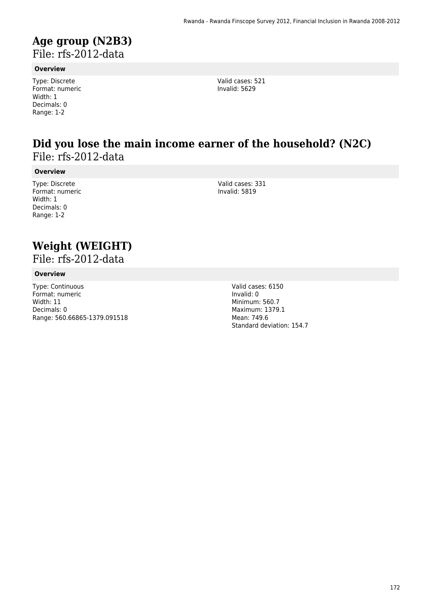### **Age group (N2B3)**  File: rfs-2012-data

#### **Overview**

Type: Discrete Format: numeric Width: 1 Decimals: 0 Range: 1-2

Valid cases: 521 Invalid: 5629

### **Did you lose the main income earner of the household? (N2C)**  File: rfs-2012-data

**Overview**

Type: Discrete Format: numeric Width: 1 Decimals: 0 Range: 1-2

Valid cases: 331 Invalid: 5819

## **Weight (WEIGHT)**

File: rfs-2012-data

#### **Overview**

Type: Continuous Format: numeric Width: 11 Decimals: 0 Range: 560.66865-1379.091518

Valid cases: 6150 Invalid: 0 Minimum: 560.7 Maximum: 1379.1 Mean: 749.6 Standard deviation: 154.7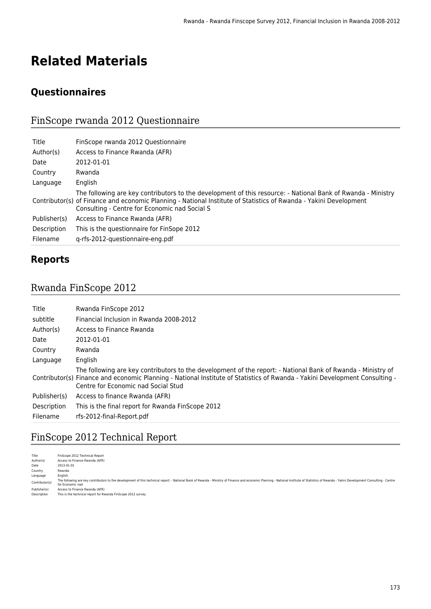# **Related Materials**

### **Questionnaires**

### FinScope rwanda 2012 Questionnaire

| Title        | FinScope rwanda 2012 Questionnaire                                                                                                                                                                                                                                                 |
|--------------|------------------------------------------------------------------------------------------------------------------------------------------------------------------------------------------------------------------------------------------------------------------------------------|
| Author(s)    | Access to Finance Rwanda (AFR)                                                                                                                                                                                                                                                     |
| Date         | 2012-01-01                                                                                                                                                                                                                                                                         |
| Country      | Rwanda                                                                                                                                                                                                                                                                             |
| Language     | English                                                                                                                                                                                                                                                                            |
|              | The following are key contributors to the development of this resource: - National Bank of Rwanda - Ministry<br>Contributor(s) of Finance and economic Planning - National Institute of Statistics of Rwanda - Yakini Development<br>Consulting - Centre for Economic nad Social S |
| Publisher(s) | Access to Finance Rwanda (AFR)                                                                                                                                                                                                                                                     |
| Description  | This is the questionnaire for FinSope 2012                                                                                                                                                                                                                                         |
| Filename     | g-rfs-2012-questionnaire-eng.pdf                                                                                                                                                                                                                                                   |

### **Reports**

### Rwanda FinScope 2012

| Title        | Rwanda FinScope 2012                                                                                                                                                                                                                                                               |
|--------------|------------------------------------------------------------------------------------------------------------------------------------------------------------------------------------------------------------------------------------------------------------------------------------|
| subtitle     | Financial Inclusion in Rwanda 2008-2012                                                                                                                                                                                                                                            |
| Author(s)    | Access to Finance Rwanda                                                                                                                                                                                                                                                           |
| Date         | 2012-01-01                                                                                                                                                                                                                                                                         |
| Country      | Rwanda                                                                                                                                                                                                                                                                             |
| Language     | English                                                                                                                                                                                                                                                                            |
|              | The following are key contributors to the development of the report: - National Bank of Rwanda - Ministry of<br>Contributor(s) Finance and economic Planning - National Institute of Statistics of Rwanda - Yakini Development Consulting -<br>Centre for Economic nad Social Stud |
| Publisher(s) | Access to finance Rwanda (AFR)                                                                                                                                                                                                                                                     |
| Description  | This is the final report for Rwanda FinScope 2012                                                                                                                                                                                                                                  |
| Filename     | rfs-2012-final-Report.pdf                                                                                                                                                                                                                                                          |

### FinScope 2012 Technical Report

| Title          | FinScope 2012 Technical Report                                                                                                                                                                                                                     |
|----------------|----------------------------------------------------------------------------------------------------------------------------------------------------------------------------------------------------------------------------------------------------|
| Author(s)      | Access to Finance Rwanda (AFR)                                                                                                                                                                                                                     |
| Date           | 2013-01-01                                                                                                                                                                                                                                         |
| Country        | Rwanda                                                                                                                                                                                                                                             |
| Language       | English                                                                                                                                                                                                                                            |
| Contributor(s) | The following are key contributors to the development of this technical report: - National Bank of Rwanda - Ministry of Finance and economic Planning - National Institute of Statistics of Rwanda - Yakini Development Consul<br>for Economic nad |
| Publisher(s)   | Access to Finance Rwanda (AFR)                                                                                                                                                                                                                     |
| Description    | This is the technical report for Rwanda FinScope 2012 survey                                                                                                                                                                                       |
|                |                                                                                                                                                                                                                                                    |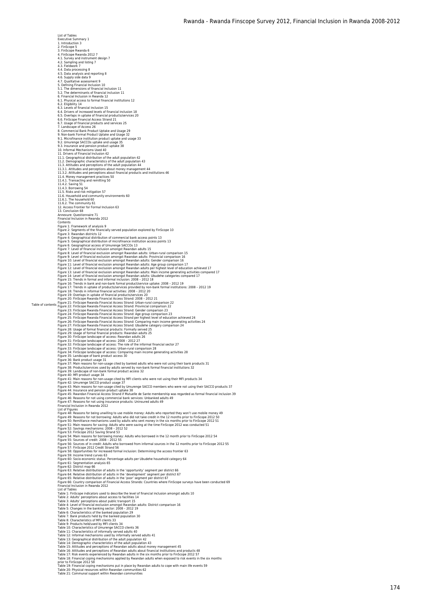Table of contents Executive Summary 1 1. Introduction 3 2. FinScope 5 3. FinScope Rwanda 6 4. FinScope Rwanda 2012 7 4.1. Survey and instrument design 7 4.2. Sampling and listing 7 4.3. Fieldwork 7 4.4. Data processing 8<br>4.5. Data analysis and reporting 8<br>4.5. Oqualitative assessment 9<br>4.7. Qualitative assessment 9<br>5. Defining Financial Inclusion 11<br>5.2. The dimensions of financial inclusion 11<br>5.2. The determinants 6. Financial Inclusion in Rwanda 12 6.1. Physical access to formal financial institutions 12 6.2. Eligibility 14<br>6.3. Eligibility 14<br>6.3. Devels of financial inclusion 15<br>6.5. Diverso fincreased levels of financial inclusion 18<br>6.5. FinScope Financial Access Strand 21<br>6.7. Usage of financial products and services 9. Non-bank Formal Product Uptake and Usage 32<br>9.1. Unicrofinance institution product uptake and usage 33<br>9.2. Umurenge SACCOs uptake and usage 35<br>9.3. Insurance and pension product uptake 38<br>10. Informal Mechanisms Used 4 11.3.1. Attitudes and perceptions about money management 44<br>11.3.1. Attitudes and perceptions about financial products and institutions 46<br>11.4. Money management practices 50<br>11.4.1. Transacting and remitting 50<br>11.4.2. Sa Figure 1: Framework of analysis 9<br>Figure 1: Framework of analysis 9<br>Figure 3: Rwandan distribution of commercial bank access points 13<br>Figure 4: Geographical distribution of commercial bank access points 13<br>Figure 5: Geogr Figure 17: Trends in uptake of products/services provided by non-bank formal institutions: 2008 – 2012 19<br>Figure 18: Trends in informal financial activities: 2008 – 2012 20<br>Figure 19: Overlaps in uptake of financial produc Figure 27: FinScope Rwanda Financial Access Strand: Ubudehe category comparison 24<br>Figure 28: Usage of formal financial products: Formally served 25<br>Figure 29: Usage of formal financial products: Rwandan adults 25<br>Figure 3 Figure 35: Bank product usage 31<br>Figure 35: Bank product usage cited by banked adults who were not using their bank products 31<br>Figure 33: ProductS/services used by adults served by non-bank formal financial institutions 3 List of Figures<br>
List of Figures (Seasons for being unwilling to use mobile money: Adults who reported they won't use mobile money 49<br>Figure 48: Reasons for both convincing Adults who did not take credit in the 12 months p Table 17: Risk events experienced by Rwandan adults in the six months prior to FinScope 2012 57<br>Table 18: Financial coping mechanisms applied by Rwandan adults when exposed to risk events in the six months<br>prior to FinScop

List of Tables